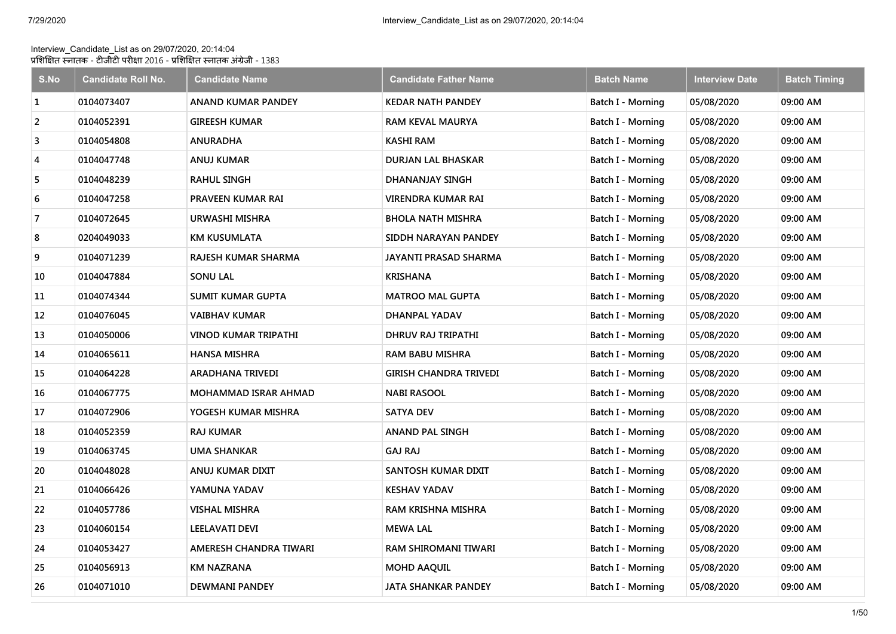## Interview\_Candidate\_List as on 29/07/2020, 20:14:04 प्रशिक्षित स्नातक - टीजीटी परीक्षा 2016 - प्रशिक्षित स्नातक अंग्रेजी - 1383

| S.No | <b>Candidate Roll No.</b> | <b>Candidate Name</b>       | <b>Candidate Father Name</b>  | <b>Batch Name</b>        | <b>Interview Date</b> | <b>Batch Timing</b> |
|------|---------------------------|-----------------------------|-------------------------------|--------------------------|-----------------------|---------------------|
| 1    | 0104073407                | <b>ANAND KUMAR PANDEY</b>   | <b>KEDAR NATH PANDEY</b>      | Batch I - Morning        | 05/08/2020            | 09:00 AM            |
| 2    | 0104052391                | <b>GIREESH KUMAR</b>        | <b>RAM KEVAL MAURYA</b>       | Batch I - Morning        | 05/08/2020            | 09:00 AM            |
| 3    | 0104054808                | <b>ANURADHA</b>             | KASHI RAM                     | Batch I - Morning        | 05/08/2020            | 09:00 AM            |
| 4    | 0104047748                | <b>ANUJ KUMAR</b>           | <b>DURJAN LAL BHASKAR</b>     | Batch I - Morning        | 05/08/2020            | 09:00 AM            |
| 5    | 0104048239                | <b>RAHUL SINGH</b>          | DHANANJAY SINGH               | Batch I - Morning        | 05/08/2020            | 09:00 AM            |
| 6    | 0104047258                | <b>PRAVEEN KUMAR RAI</b>    | VIRENDRA KUMAR RAI            | Batch I - Morning        | 05/08/2020            | 09:00 AM            |
| 7    | 0104072645                | URWASHI MISHRA              | <b>BHOLA NATH MISHRA</b>      | Batch I - Morning        | 05/08/2020            | 09:00 AM            |
| 8    | 0204049033                | <b>KM KUSUMLATA</b>         | SIDDH NARAYAN PANDEY          | Batch I - Morning        | 05/08/2020            | 09:00 AM            |
| 9    | 0104071239                | <b>RAJESH KUMAR SHARMA</b>  | JAYANTI PRASAD SHARMA         | Batch I - Morning        | 05/08/2020            | 09:00 AM            |
| 10   | 0104047884                | <b>SONU LAL</b>             | <b>KRISHANA</b>               | Batch I - Morning        | 05/08/2020            | 09:00 AM            |
| 11   | 0104074344                | <b>SUMIT KUMAR GUPTA</b>    | <b>MATROO MAL GUPTA</b>       | <b>Batch I - Morning</b> | 05/08/2020            | 09:00 AM            |
| 12   | 0104076045                | <b>VAIBHAV KUMAR</b>        | DHANPAL YADAV                 | Batch I - Morning        | 05/08/2020            | 09:00 AM            |
| 13   | 0104050006                | <b>VINOD KUMAR TRIPATHI</b> | DHRUV RAJ TRIPATHI            | Batch I - Morning        | 05/08/2020            | 09:00 AM            |
| 14   | 0104065611                | <b>HANSA MISHRA</b>         | <b>RAM BABU MISHRA</b>        | Batch I - Morning        | 05/08/2020            | 09:00 AM            |
| 15   | 0104064228                | <b>ARADHANA TRIVEDI</b>     | <b>GIRISH CHANDRA TRIVEDI</b> | Batch I - Morning        | 05/08/2020            | 09:00 AM            |
| 16   | 0104067775                | <b>MOHAMMAD ISRAR AHMAD</b> | <b>NABI RASOOL</b>            | Batch I - Morning        | 05/08/2020            | 09:00 AM            |
| 17   | 0104072906                | YOGESH KUMAR MISHRA         | <b>SATYA DEV</b>              | Batch I - Morning        | 05/08/2020            | 09:00 AM            |
| 18   | 0104052359                | <b>RAJ KUMAR</b>            | <b>ANAND PAL SINGH</b>        | Batch I - Morning        | 05/08/2020            | 09:00 AM            |
| 19   | 0104063745                | UMA SHANKAR                 | <b>GAJ RAJ</b>                | Batch I - Morning        | 05/08/2020            | 09:00 AM            |
| 20   | 0104048028                | ANUJ KUMAR DIXIT            | SANTOSH KUMAR DIXIT           | Batch I - Morning        | 05/08/2020            | 09:00 AM            |
| 21   | 0104066426                | YAMUNA YADAV                | <b>KESHAV YADAV</b>           | Batch I - Morning        | 05/08/2020            | 09:00 AM            |
| 22   | 0104057786                | <b>VISHAL MISHRA</b>        | RAM KRISHNA MISHRA            | Batch I - Morning        | 05/08/2020            | 09:00 AM            |
| 23   | 0104060154                | <b>LEELAVATI DEVI</b>       | <b>MEWA LAL</b>               | Batch I - Morning        | 05/08/2020            | 09:00 AM            |
| 24   | 0104053427                | AMERESH CHANDRA TIWARI      | RAM SHIROMANI TIWARI          | Batch I - Morning        | 05/08/2020            | 09:00 AM            |
| 25   | 0104056913                | <b>KM NAZRANA</b>           | MOHD AAQUIL                   | Batch I - Morning        | 05/08/2020            | 09:00 AM            |
| 26   | 0104071010                | <b>DEWMANI PANDEY</b>       | JATA SHANKAR PANDEY           | Batch I - Morning        | 05/08/2020            | 09:00 AM            |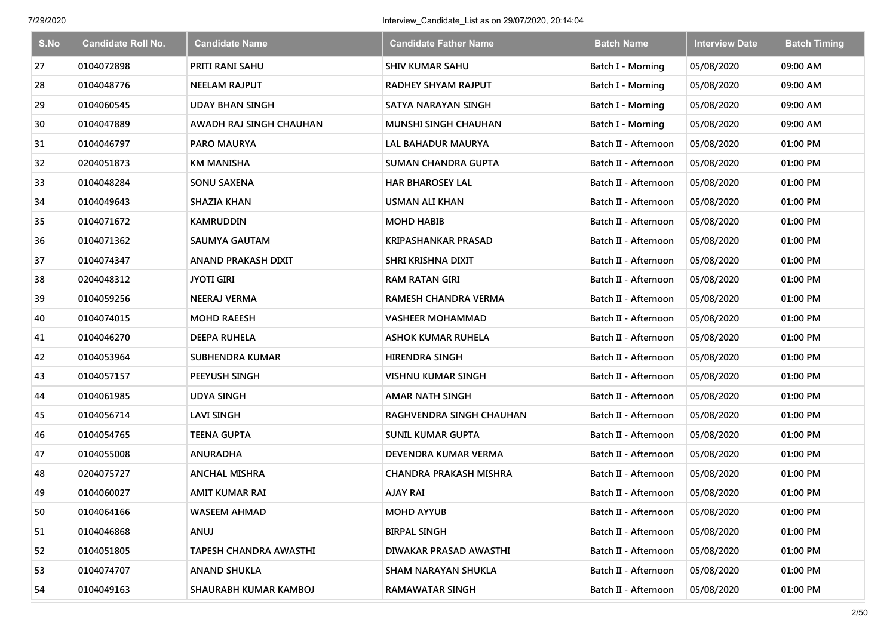| S.No | <b>Candidate Roll No.</b> | <b>Candidate Name</b>         | <b>Candidate Father Name</b>  | <b>Batch Name</b>    | <b>Interview Date</b> | <b>Batch Timing</b> |
|------|---------------------------|-------------------------------|-------------------------------|----------------------|-----------------------|---------------------|
| 27   | 0104072898                | PRITI RANI SAHU               | <b>SHIV KUMAR SAHU</b>        | Batch I - Morning    | 05/08/2020            | 09:00 AM            |
| 28   | 0104048776                | <b>NEELAM RAJPUT</b>          | <b>RADHEY SHYAM RAJPUT</b>    | Batch I - Morning    | 05/08/2020            | 09:00 AM            |
| 29   | 0104060545                | <b>UDAY BHAN SINGH</b>        | SATYA NARAYAN SINGH           | Batch I - Morning    | 05/08/2020            | 09:00 AM            |
| 30   | 0104047889                | AWADH RAJ SINGH CHAUHAN       | MUNSHI SINGH CHAUHAN          | Batch I - Morning    | 05/08/2020            | 09:00 AM            |
| 31   | 0104046797                | <b>PARO MAURYA</b>            | LAL BAHADUR MAURYA            | Batch II - Afternoon | 05/08/2020            | 01:00 PM            |
| 32   | 0204051873                | <b>KM MANISHA</b>             | <b>SUMAN CHANDRA GUPTA</b>    | Batch II - Afternoon | 05/08/2020            | 01:00 PM            |
| 33   | 0104048284                | <b>SONU SAXENA</b>            | <b>HAR BHAROSEY LAL</b>       | Batch II - Afternoon | 05/08/2020            | 01:00 PM            |
| 34   | 0104049643                | <b>SHAZIA KHAN</b>            | <b>USMAN ALI KHAN</b>         | Batch II - Afternoon | 05/08/2020            | 01:00 PM            |
| 35   | 0104071672                | <b>KAMRUDDIN</b>              | <b>MOHD HABIB</b>             | Batch II - Afternoon | 05/08/2020            | 01:00 PM            |
| 36   | 0104071362                | <b>SAUMYA GAUTAM</b>          | <b>KRIPASHANKAR PRASAD</b>    | Batch II - Afternoon | 05/08/2020            | 01:00 PM            |
| 37   | 0104074347                | <b>ANAND PRAKASH DIXIT</b>    | SHRI KRISHNA DIXIT            | Batch II - Afternoon | 05/08/2020            | 01:00 PM            |
| 38   | 0204048312                | <b>JYOTI GIRI</b>             | <b>RAM RATAN GIRI</b>         | Batch II - Afternoon | 05/08/2020            | 01:00 PM            |
| 39   | 0104059256                | <b>NEERAJ VERMA</b>           | <b>RAMESH CHANDRA VERMA</b>   | Batch II - Afternoon | 05/08/2020            | 01:00 PM            |
| 40   | 0104074015                | <b>MOHD RAEESH</b>            | <b>VASHEER MOHAMMAD</b>       | Batch II - Afternoon | 05/08/2020            | 01:00 PM            |
| 41   | 0104046270                | <b>DEEPA RUHELA</b>           | ASHOK KUMAR RUHELA            | Batch II - Afternoon | 05/08/2020            | 01:00 PM            |
| 42   | 0104053964                | <b>SUBHENDRA KUMAR</b>        | <b>HIRENDRA SINGH</b>         | Batch II - Afternoon | 05/08/2020            | 01:00 PM            |
| 43   | 0104057157                | PEEYUSH SINGH                 | <b>VISHNU KUMAR SINGH</b>     | Batch II - Afternoon | 05/08/2020            | 01:00 PM            |
| 44   | 0104061985                | <b>UDYA SINGH</b>             | <b>AMAR NATH SINGH</b>        | Batch II - Afternoon | 05/08/2020            | 01:00 PM            |
| 45   | 0104056714                | <b>LAVI SINGH</b>             | RAGHVENDRA SINGH CHAUHAN      | Batch II - Afternoon | 05/08/2020            | 01:00 PM            |
| 46   | 0104054765                | <b>TEENA GUPTA</b>            | <b>SUNIL KUMAR GUPTA</b>      | Batch II - Afternoon | 05/08/2020            | 01:00 PM            |
| 47   | 0104055008                | <b>ANURADHA</b>               | DEVENDRA KUMAR VERMA          | Batch II - Afternoon | 05/08/2020            | 01:00 PM            |
| 48   | 0204075727                | <b>ANCHAL MISHRA</b>          | <b>CHANDRA PRAKASH MISHRA</b> | Batch II - Afternoon | 05/08/2020            | 01:00 PM            |
| 49   | 0104060027                | AMIT KUMAR RAI                | AJAY RAI                      | Batch II - Afternoon | 05/08/2020            | 01:00 PM            |
| 50   | 0104064166                | <b>WASEEM AHMAD</b>           | <b>MOHD AYYUB</b>             | Batch II - Afternoon | 05/08/2020            | 01:00 PM            |
| 51   | 0104046868                | ANUJ                          | <b>BIRPAL SINGH</b>           | Batch II - Afternoon | 05/08/2020            | 01:00 PM            |
| 52   | 0104051805                | <b>TAPESH CHANDRA AWASTHI</b> | DIWAKAR PRASAD AWASTHI        | Batch II - Afternoon | 05/08/2020            | 01:00 PM            |
| 53   | 0104074707                | ANAND SHUKLA                  | SHAM NARAYAN SHUKLA           | Batch II - Afternoon | 05/08/2020            | 01:00 PM            |
| 54   | 0104049163                | SHAURABH KUMAR KAMBOJ         | <b>RAMAWATAR SINGH</b>        | Batch II - Afternoon | 05/08/2020            | 01:00 PM            |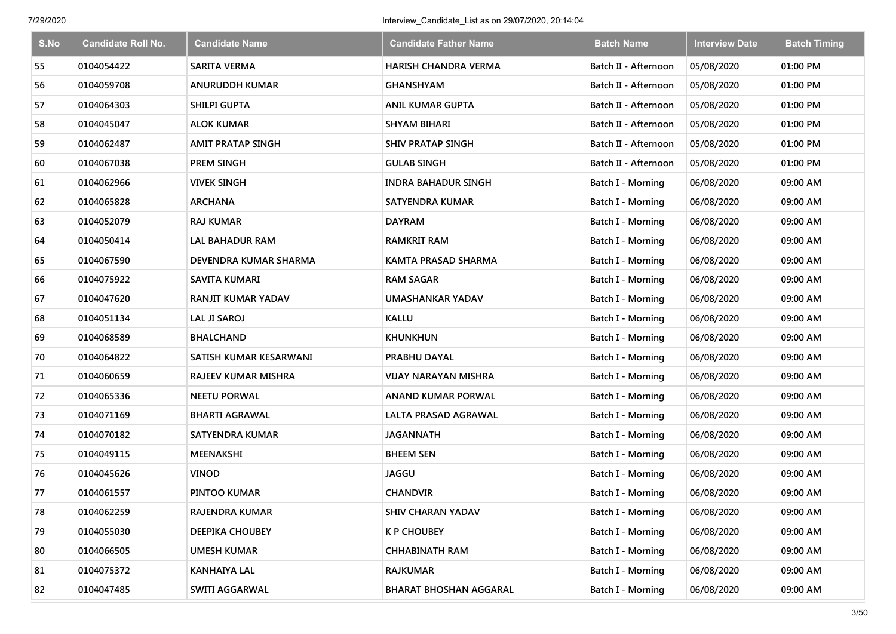| S.No | <b>Candidate Roll No.</b> | <b>Candidate Name</b>      | <b>Candidate Father Name</b>  | <b>Batch Name</b>        | <b>Interview Date</b> | <b>Batch Timing</b> |
|------|---------------------------|----------------------------|-------------------------------|--------------------------|-----------------------|---------------------|
| 55   | 0104054422                | <b>SARITA VERMA</b>        | <b>HARISH CHANDRA VERMA</b>   | Batch II - Afternoon     | 05/08/2020            | 01:00 PM            |
| 56   | 0104059708                | <b>ANURUDDH KUMAR</b>      | <b>GHANSHYAM</b>              | Batch II - Afternoon     | 05/08/2020            | 01:00 PM            |
| 57   | 0104064303                | <b>SHILPI GUPTA</b>        | <b>ANIL KUMAR GUPTA</b>       | Batch II - Afternoon     | 05/08/2020            | 01:00 PM            |
| 58   | 0104045047                | <b>ALOK KUMAR</b>          | <b>SHYAM BIHARI</b>           | Batch II - Afternoon     | 05/08/2020            | 01:00 PM            |
| 59   | 0104062487                | <b>AMIT PRATAP SINGH</b>   | <b>SHIV PRATAP SINGH</b>      | Batch II - Afternoon     | 05/08/2020            | 01:00 PM            |
| 60   | 0104067038                | <b>PREM SINGH</b>          | <b>GULAB SINGH</b>            | Batch II - Afternoon     | 05/08/2020            | 01:00 PM            |
| 61   | 0104062966                | <b>VIVEK SINGH</b>         | <b>INDRA BAHADUR SINGH</b>    | Batch I - Morning        | 06/08/2020            | 09:00 AM            |
| 62   | 0104065828                | <b>ARCHANA</b>             | <b>SATYENDRA KUMAR</b>        | Batch I - Morning        | 06/08/2020            | 09:00 AM            |
| 63   | 0104052079                | <b>RAJ KUMAR</b>           | <b>DAYRAM</b>                 | Batch I - Morning        | 06/08/2020            | 09:00 AM            |
| 64   | 0104050414                | <b>LAL BAHADUR RAM</b>     | <b>RAMKRIT RAM</b>            | Batch I - Morning        | 06/08/2020            | 09:00 AM            |
| 65   | 0104067590                | DEVENDRA KUMAR SHARMA      | <b>KAMTA PRASAD SHARMA</b>    | Batch I - Morning        | 06/08/2020            | 09:00 AM            |
| 66   | 0104075922                | <b>SAVITA KUMARI</b>       | <b>RAM SAGAR</b>              | <b>Batch I - Morning</b> | 06/08/2020            | 09:00 AM            |
| 67   | 0104047620                | <b>RANJIT KUMAR YADAV</b>  | <b>UMASHANKAR YADAV</b>       | Batch I - Morning        | 06/08/2020            | 09:00 AM            |
| 68   | 0104051134                | <b>LAL JI SAROJ</b>        | <b>KALLU</b>                  | <b>Batch I - Morning</b> | 06/08/2020            | 09:00 AM            |
| 69   | 0104068589                | <b>BHALCHAND</b>           | <b>KHUNKHUN</b>               | Batch I - Morning        | 06/08/2020            | 09:00 AM            |
| 70   | 0104064822                | SATISH KUMAR KESARWANI     | PRABHU DAYAL                  | Batch I - Morning        | 06/08/2020            | 09:00 AM            |
| 71   | 0104060659                | <b>RAJEEV KUMAR MISHRA</b> | <b>VIJAY NARAYAN MISHRA</b>   | <b>Batch I - Morning</b> | 06/08/2020            | 09:00 AM            |
| 72   | 0104065336                | <b>NEETU PORWAL</b>        | <b>ANAND KUMAR PORWAL</b>     | Batch I - Morning        | 06/08/2020            | 09:00 AM            |
| 73   | 0104071169                | <b>BHARTI AGRAWAL</b>      | LALTA PRASAD AGRAWAL          | Batch I - Morning        | 06/08/2020            | 09:00 AM            |
| 74   | 0104070182                | <b>SATYENDRA KUMAR</b>     | <b>JAGANNATH</b>              | Batch I - Morning        | 06/08/2020            | 09:00 AM            |
| 75   | 0104049115                | <b>MEENAKSHI</b>           | <b>BHEEM SEN</b>              | Batch I - Morning        | 06/08/2020            | 09:00 AM            |
| 76   | 0104045626                | <b>VINOD</b>               | <b>JAGGU</b>                  | Batch I - Morning        | 06/08/2020            | 09:00 AM            |
| 77   | 0104061557                | PINTOO KUMAR               | <b>CHANDVIR</b>               | Batch I - Morning        | 06/08/2020            | 09:00 AM            |
| 78   | 0104062259                | RAJENDRA KUMAR             | <b>SHIV CHARAN YADAV</b>      | Batch I - Morning        | 06/08/2020            | 09:00 AM            |
| 79   | 0104055030                | DEEPIKA CHOUBEY            | <b>K P CHOUBEY</b>            | Batch I - Morning        | 06/08/2020            | 09:00 AM            |
| 80   | 0104066505                | <b>UMESH KUMAR</b>         | <b>CHHABINATH RAM</b>         | Batch I - Morning        | 06/08/2020            | 09:00 AM            |
| 81   | 0104075372                | <b>KANHAIYA LAL</b>        | <b>RAJKUMAR</b>               | Batch I - Morning        | 06/08/2020            | 09:00 AM            |
| 82   | 0104047485                | SWITI AGGARWAL             | <b>BHARAT BHOSHAN AGGARAL</b> | Batch I - Morning        | 06/08/2020            | 09:00 AM            |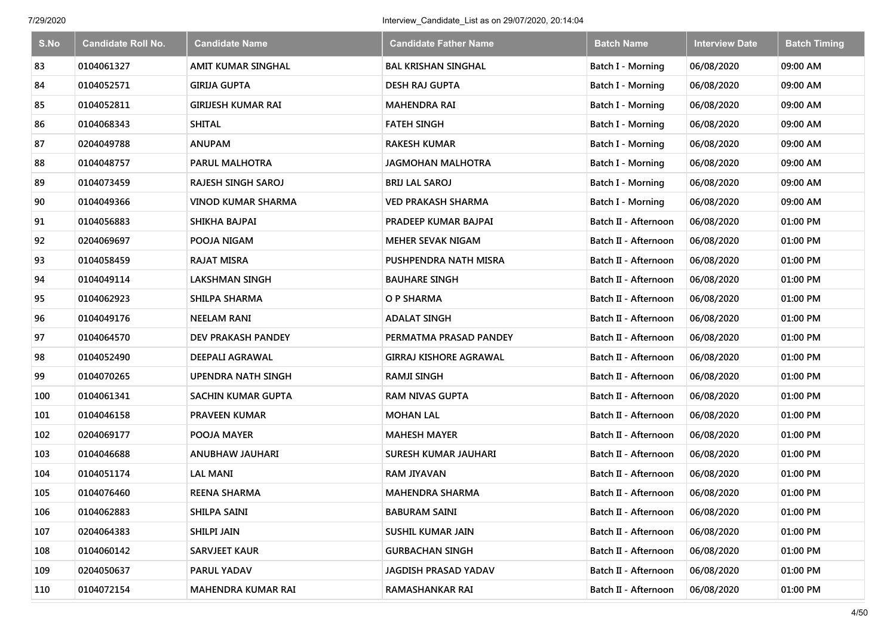| S.No | <b>Candidate Roll No.</b> | <b>Candidate Name</b>     | <b>Candidate Father Name</b>  | <b>Batch Name</b>    | <b>Interview Date</b> | <b>Batch Timing</b> |
|------|---------------------------|---------------------------|-------------------------------|----------------------|-----------------------|---------------------|
| 83   | 0104061327                | <b>AMIT KUMAR SINGHAL</b> | <b>BAL KRISHAN SINGHAL</b>    | Batch I - Morning    | 06/08/2020            | 09:00 AM            |
| 84   | 0104052571                | <b>GIRIJA GUPTA</b>       | <b>DESH RAJ GUPTA</b>         | Batch I - Morning    | 06/08/2020            | 09:00 AM            |
| 85   | 0104052811                | <b>GIRIJESH KUMAR RAI</b> | <b>MAHENDRA RAI</b>           | Batch I - Morning    | 06/08/2020            | 09:00 AM            |
| 86   | 0104068343                | <b>SHITAL</b>             | <b>FATEH SINGH</b>            | Batch I - Morning    | 06/08/2020            | 09:00 AM            |
| 87   | 0204049788                | <b>ANUPAM</b>             | <b>RAKESH KUMAR</b>           | Batch I - Morning    | 06/08/2020            | 09:00 AM            |
| 88   | 0104048757                | PARUL MALHOTRA            | <b>JAGMOHAN MALHOTRA</b>      | Batch I - Morning    | 06/08/2020            | 09:00 AM            |
| 89   | 0104073459                | <b>RAJESH SINGH SAROJ</b> | <b>BRIJ LAL SAROJ</b>         | Batch I - Morning    | 06/08/2020            | 09:00 AM            |
| 90   | 0104049366                | <b>VINOD KUMAR SHARMA</b> | <b>VED PRAKASH SHARMA</b>     | Batch I - Morning    | 06/08/2020            | 09:00 AM            |
| 91   | 0104056883                | SHIKHA BAJPAI             | PRADEEP KUMAR BAJPAI          | Batch II - Afternoon | 06/08/2020            | 01:00 PM            |
| 92   | 0204069697                | POOJA NIGAM               | <b>MEHER SEVAK NIGAM</b>      | Batch II - Afternoon | 06/08/2020            | 01:00 PM            |
| 93   | 0104058459                | <b>RAJAT MISRA</b>        | PUSHPENDRA NATH MISRA         | Batch II - Afternoon | 06/08/2020            | 01:00 PM            |
| 94   | 0104049114                | <b>LAKSHMAN SINGH</b>     | <b>BAUHARE SINGH</b>          | Batch II - Afternoon | 06/08/2020            | 01:00 PM            |
| 95   | 0104062923                | <b>SHILPA SHARMA</b>      | O P SHARMA                    | Batch II - Afternoon | 06/08/2020            | 01:00 PM            |
| 96   | 0104049176                | <b>NEELAM RANI</b>        | <b>ADALAT SINGH</b>           | Batch II - Afternoon | 06/08/2020            | 01:00 PM            |
| 97   | 0104064570                | DEV PRAKASH PANDEY        | PERMATMA PRASAD PANDEY        | Batch II - Afternoon | 06/08/2020            | 01:00 PM            |
| 98   | 0104052490                | <b>DEEPALI AGRAWAL</b>    | <b>GIRRAJ KISHORE AGRAWAL</b> | Batch II - Afternoon | 06/08/2020            | 01:00 PM            |
| 99   | 0104070265                | <b>UPENDRA NATH SINGH</b> | <b>RAMJI SINGH</b>            | Batch II - Afternoon | 06/08/2020            | 01:00 PM            |
| 100  | 0104061341                | <b>SACHIN KUMAR GUPTA</b> | <b>RAM NIVAS GUPTA</b>        | Batch II - Afternoon | 06/08/2020            | 01:00 PM            |
| 101  | 0104046158                | <b>PRAVEEN KUMAR</b>      | <b>MOHAN LAL</b>              | Batch II - Afternoon | 06/08/2020            | 01:00 PM            |
| 102  | 0204069177                | POOJA MAYER               | <b>MAHESH MAYER</b>           | Batch II - Afternoon | 06/08/2020            | 01:00 PM            |
| 103  | 0104046688                | ANUBHAW JAUHARI           | <b>SURESH KUMAR JAUHARI</b>   | Batch II - Afternoon | 06/08/2020            | 01:00 PM            |
| 104  | 0104051174                | <b>LAL MANI</b>           | <b>RAM JIYAVAN</b>            | Batch II - Afternoon | 06/08/2020            | 01:00 PM            |
| 105  | 0104076460                | <b>REENA SHARMA</b>       | <b>MAHENDRA SHARMA</b>        | Batch II - Afternoon | 06/08/2020            | 01:00 PM            |
| 106  | 0104062883                | SHILPA SAINI              | <b>BABURAM SAINI</b>          | Batch II - Afternoon | 06/08/2020            | 01:00 PM            |
| 107  | 0204064383                | <b>SHILPI JAIN</b>        | SUSHIL KUMAR JAIN             | Batch II - Afternoon | 06/08/2020            | 01:00 PM            |
| 108  | 0104060142                | <b>SARVJEET KAUR</b>      | <b>GURBACHAN SINGH</b>        | Batch II - Afternoon | 06/08/2020            | 01:00 PM            |
| 109  | 0204050637                | PARUL YADAV               | <b>JAGDISH PRASAD YADAV</b>   | Batch II - Afternoon | 06/08/2020            | 01:00 PM            |
| 110  | 0104072154                | <b>MAHENDRA KUMAR RAI</b> | <b>RAMASHANKAR RAI</b>        | Batch II - Afternoon | 06/08/2020            | 01:00 PM            |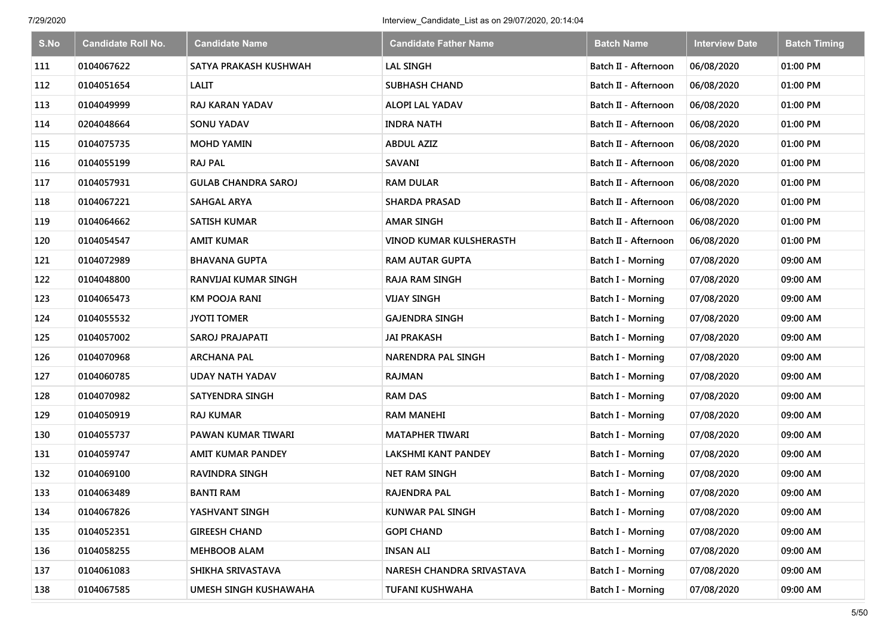| S.No | <b>Candidate Roll No.</b> | <b>Candidate Name</b>      | <b>Candidate Father Name</b>   | <b>Batch Name</b>        | <b>Interview Date</b> | <b>Batch Timing</b> |
|------|---------------------------|----------------------------|--------------------------------|--------------------------|-----------------------|---------------------|
| 111  | 0104067622                | SATYA PRAKASH KUSHWAH      | <b>LAL SINGH</b>               | Batch II - Afternoon     | 06/08/2020            | 01:00 PM            |
| 112  | 0104051654                | <b>LALIT</b>               | <b>SUBHASH CHAND</b>           | Batch II - Afternoon     | 06/08/2020            | 01:00 PM            |
| 113  | 0104049999                | <b>RAJ KARAN YADAV</b>     | ALOPI LAL YADAV                | Batch II - Afternoon     | 06/08/2020            | 01:00 PM            |
| 114  | 0204048664                | <b>SONU YADAV</b>          | <b>INDRA NATH</b>              | Batch II - Afternoon     | 06/08/2020            | 01:00 PM            |
| 115  | 0104075735                | <b>MOHD YAMIN</b>          | <b>ABDUL AZIZ</b>              | Batch II - Afternoon     | 06/08/2020            | 01:00 PM            |
| 116  | 0104055199                | <b>RAJ PAL</b>             | SAVANI                         | Batch II - Afternoon     | 06/08/2020            | 01:00 PM            |
| 117  | 0104057931                | <b>GULAB CHANDRA SAROJ</b> | <b>RAM DULAR</b>               | Batch II - Afternoon     | 06/08/2020            | 01:00 PM            |
| 118  | 0104067221                | <b>SAHGAL ARYA</b>         | <b>SHARDA PRASAD</b>           | Batch II - Afternoon     | 06/08/2020            | 01:00 PM            |
| 119  | 0104064662                | <b>SATISH KUMAR</b>        | <b>AMAR SINGH</b>              | Batch II - Afternoon     | 06/08/2020            | 01:00 PM            |
| 120  | 0104054547                | <b>AMIT KUMAR</b>          | <b>VINOD KUMAR KULSHERASTH</b> | Batch II - Afternoon     | 06/08/2020            | 01:00 PM            |
| 121  | 0104072989                | <b>BHAVANA GUPTA</b>       | RAM AUTAR GUPTA                | Batch I - Morning        | 07/08/2020            | 09:00 AM            |
| 122  | 0104048800                | RANVIJAI KUMAR SINGH       | <b>RAJA RAM SINGH</b>          | <b>Batch I - Morning</b> | 07/08/2020            | 09:00 AM            |
| 123  | 0104065473                | <b>KM POOJA RANI</b>       | <b>VIJAY SINGH</b>             | Batch I - Morning        | 07/08/2020            | 09:00 AM            |
| 124  | 0104055532                | JYOTI TOMER                | <b>GAJENDRA SINGH</b>          | <b>Batch I - Morning</b> | 07/08/2020            | 09:00 AM            |
| 125  | 0104057002                | <b>SAROJ PRAJAPATI</b>     | <b>JAI PRAKASH</b>             | Batch I - Morning        | 07/08/2020            | 09:00 AM            |
| 126  | 0104070968                | <b>ARCHANA PAL</b>         | <b>NARENDRA PAL SINGH</b>      | Batch I - Morning        | 07/08/2020            | 09:00 AM            |
| 127  | 0104060785                | <b>UDAY NATH YADAV</b>     | <b>RAJMAN</b>                  | Batch I - Morning        | 07/08/2020            | 09:00 AM            |
| 128  | 0104070982                | <b>SATYENDRA SINGH</b>     | <b>RAM DAS</b>                 | Batch I - Morning        | 07/08/2020            | 09:00 AM            |
| 129  | 0104050919                | <b>RAJ KUMAR</b>           | <b>RAM MANEHI</b>              | Batch I - Morning        | 07/08/2020            | 09:00 AM            |
| 130  | 0104055737                | PAWAN KUMAR TIWARI         | <b>MATAPHER TIWARI</b>         | Batch I - Morning        | 07/08/2020            | 09:00 AM            |
| 131  | 0104059747                | <b>AMIT KUMAR PANDEY</b>   | <b>LAKSHMI KANT PANDEY</b>     | Batch I - Morning        | 07/08/2020            | 09:00 AM            |
| 132  | 0104069100                | <b>RAVINDRA SINGH</b>      | <b>NET RAM SINGH</b>           | Batch I - Morning        | 07/08/2020            | 09:00 AM            |
| 133  | 0104063489                | <b>BANTI RAM</b>           | <b>RAJENDRA PAL</b>            | Batch I - Morning        | 07/08/2020            | 09:00 AM            |
| 134  | 0104067826                | YASHVANT SINGH             | KUNWAR PAL SINGH               | Batch I - Morning        | 07/08/2020            | 09:00 AM            |
| 135  | 0104052351                | <b>GIREESH CHAND</b>       | <b>GOPI CHAND</b>              | Batch I - Morning        | 07/08/2020            | 09:00 AM            |
| 136  | 0104058255                | <b>MEHBOOB ALAM</b>        | <b>INSAN ALI</b>               | Batch I - Morning        | 07/08/2020            | 09:00 AM            |
| 137  | 0104061083                | SHIKHA SRIVASTAVA          | NARESH CHANDRA SRIVASTAVA      | Batch I - Morning        | 07/08/2020            | 09:00 AM            |
| 138  | 0104067585                | UMESH SINGH KUSHAWAHA      | <b>TUFANI KUSHWAHA</b>         | <b>Batch I - Morning</b> | 07/08/2020            | 09:00 AM            |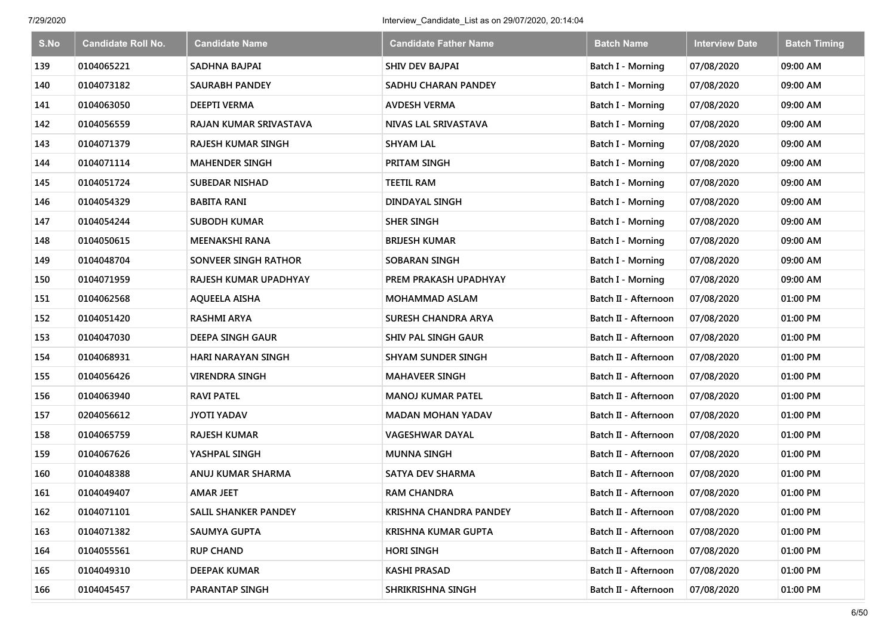| S.No | <b>Candidate Roll No.</b> | <b>Candidate Name</b>     | <b>Candidate Father Name</b>  | <b>Batch Name</b>        | <b>Interview Date</b> | <b>Batch Timing</b> |
|------|---------------------------|---------------------------|-------------------------------|--------------------------|-----------------------|---------------------|
| 139  | 0104065221                | SADHNA BAJPAI             | <b>SHIV DEV BAJPAI</b>        | Batch I - Morning        | 07/08/2020            | 09:00 AM            |
| 140  | 0104073182                | <b>SAURABH PANDEY</b>     | SADHU CHARAN PANDEY           | Batch I - Morning        | 07/08/2020            | 09:00 AM            |
| 141  | 0104063050                | <b>DEEPTI VERMA</b>       | <b>AVDESH VERMA</b>           | Batch I - Morning        | 07/08/2020            | 09:00 AM            |
| 142  | 0104056559                | RAJAN KUMAR SRIVASTAVA    | NIVAS LAL SRIVASTAVA          | Batch I - Morning        | 07/08/2020            | 09:00 AM            |
| 143  | 0104071379                | <b>RAJESH KUMAR SINGH</b> | <b>SHYAM LAL</b>              | <b>Batch I - Morning</b> | 07/08/2020            | 09:00 AM            |
| 144  | 0104071114                | <b>MAHENDER SINGH</b>     | PRITAM SINGH                  | Batch I - Morning        | 07/08/2020            | 09:00 AM            |
| 145  | 0104051724                | <b>SUBEDAR NISHAD</b>     | <b>TEETIL RAM</b>             | Batch I - Morning        | 07/08/2020            | 09:00 AM            |
| 146  | 0104054329                | <b>BABITA RANI</b>        | DINDAYAL SINGH                | Batch I - Morning        | 07/08/2020            | 09:00 AM            |
| 147  | 0104054244                | <b>SUBODH KUMAR</b>       | <b>SHER SINGH</b>             | Batch I - Morning        | 07/08/2020            | 09:00 AM            |
| 148  | 0104050615                | <b>MEENAKSHI RANA</b>     | <b>BRIJESH KUMAR</b>          | Batch I - Morning        | 07/08/2020            | 09:00 AM            |
| 149  | 0104048704                | SONVEER SINGH RATHOR      | SOBARAN SINGH                 | Batch I - Morning        | 07/08/2020            | 09:00 AM            |
| 150  | 0104071959                | RAJESH KUMAR UPADHYAY     | PREM PRAKASH UPADHYAY         | Batch I - Morning        | 07/08/2020            | 09:00 AM            |
| 151  | 0104062568                | <b>AQUEELA AISHA</b>      | <b>MOHAMMAD ASLAM</b>         | Batch II - Afternoon     | 07/08/2020            | 01:00 PM            |
| 152  | 0104051420                | <b>RASHMI ARYA</b>        | SURESH CHANDRA ARYA           | Batch II - Afternoon     | 07/08/2020            | 01:00 PM            |
| 153  | 0104047030                | DEEPA SINGH GAUR          | SHIV PAL SINGH GAUR           | Batch II - Afternoon     | 07/08/2020            | 01:00 PM            |
| 154  | 0104068931                | <b>HARI NARAYAN SINGH</b> | <b>SHYAM SUNDER SINGH</b>     | Batch II - Afternoon     | 07/08/2020            | 01:00 PM            |
| 155  | 0104056426                | <b>VIRENDRA SINGH</b>     | <b>MAHAVEER SINGH</b>         | Batch II - Afternoon     | 07/08/2020            | 01:00 PM            |
| 156  | 0104063940                | <b>RAVI PATEL</b>         | <b>MANOJ KUMAR PATEL</b>      | Batch II - Afternoon     | 07/08/2020            | 01:00 PM            |
| 157  | 0204056612                | <b>JYOTI YADAV</b>        | <b>MADAN MOHAN YADAV</b>      | Batch II - Afternoon     | 07/08/2020            | 01:00 PM            |
| 158  | 0104065759                | <b>RAJESH KUMAR</b>       | <b>VAGESHWAR DAYAL</b>        | Batch II - Afternoon     | 07/08/2020            | 01:00 PM            |
| 159  | 0104067626                | YASHPAL SINGH             | <b>MUNNA SINGH</b>            | Batch II - Afternoon     | 07/08/2020            | 01:00 PM            |
| 160  | 0104048388                | ANUJ KUMAR SHARMA         | <b>SATYA DEV SHARMA</b>       | Batch II - Afternoon     | 07/08/2020            | 01:00 PM            |
| 161  | 0104049407                | <b>AMAR JEET</b>          | <b>RAM CHANDRA</b>            | Batch II - Afternoon     | 07/08/2020            | 01:00 PM            |
| 162  | 0104071101                | SALIL SHANKER PANDEY      | <b>KRISHNA CHANDRA PANDEY</b> | Batch II - Afternoon     | 07/08/2020            | 01:00 PM            |
| 163  | 0104071382                | <b>SAUMYA GUPTA</b>       | <b>KRISHNA KUMAR GUPTA</b>    | Batch II - Afternoon     | 07/08/2020            | 01:00 PM            |
| 164  | 0104055561                | <b>RUP CHAND</b>          | <b>HORI SINGH</b>             | Batch II - Afternoon     | 07/08/2020            | 01:00 PM            |
| 165  | 0104049310                | <b>DEEPAK KUMAR</b>       | KASHI PRASAD                  | Batch II - Afternoon     | 07/08/2020            | 01:00 PM            |
| 166  | 0104045457                | PARANTAP SINGH            | SHRIKRISHNA SINGH             | Batch II - Afternoon     | 07/08/2020            | 01:00 PM            |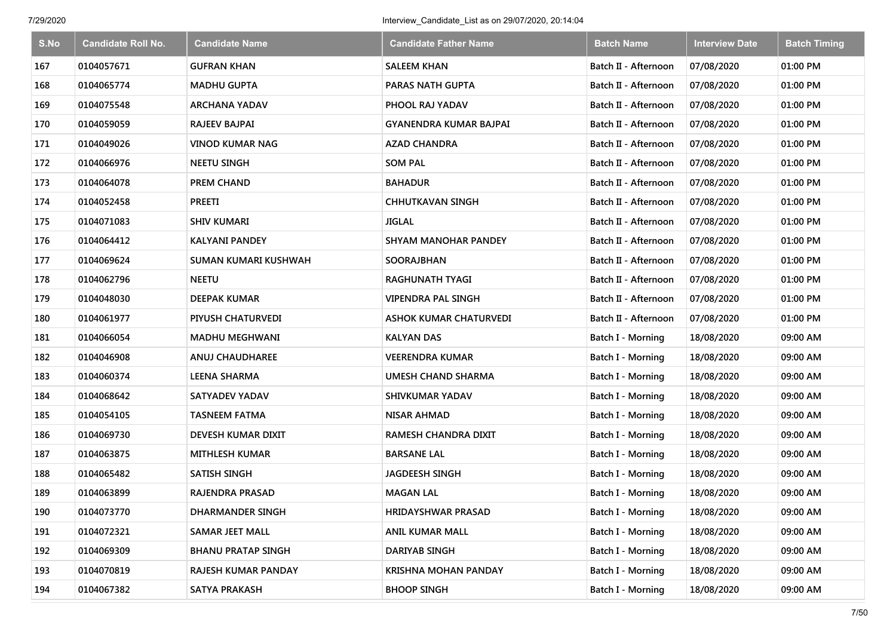| S.No | <b>Candidate Roll No.</b> | <b>Candidate Name</b>     | <b>Candidate Father Name</b>  | <b>Batch Name</b>        | <b>Interview Date</b> | <b>Batch Timing</b> |
|------|---------------------------|---------------------------|-------------------------------|--------------------------|-----------------------|---------------------|
| 167  | 0104057671                | <b>GUFRAN KHAN</b>        | <b>SALEEM KHAN</b>            | Batch II - Afternoon     | 07/08/2020            | 01:00 PM            |
| 168  | 0104065774                | <b>MADHU GUPTA</b>        | PARAS NATH GUPTA              | Batch II - Afternoon     | 07/08/2020            | 01:00 PM            |
| 169  | 0104075548                | <b>ARCHANA YADAV</b>      | PHOOL RAJ YADAV               | Batch II - Afternoon     | 07/08/2020            | 01:00 PM            |
| 170  | 0104059059                | <b>RAJEEV BAJPAI</b>      | GYANENDRA KUMAR BAJPAI        | Batch II - Afternoon     | 07/08/2020            | 01:00 PM            |
| 171  | 0104049026                | <b>VINOD KUMAR NAG</b>    | <b>AZAD CHANDRA</b>           | Batch II - Afternoon     | 07/08/2020            | 01:00 PM            |
| 172  | 0104066976                | <b>NEETU SINGH</b>        | <b>SOM PAL</b>                | Batch II - Afternoon     | 07/08/2020            | 01:00 PM            |
| 173  | 0104064078                | <b>PREM CHAND</b>         | <b>BAHADUR</b>                | Batch II - Afternoon     | 07/08/2020            | 01:00 PM            |
| 174  | 0104052458                | <b>PREETI</b>             | <b>CHHUTKAVAN SINGH</b>       | Batch II - Afternoon     | 07/08/2020            | 01:00 PM            |
| 175  | 0104071083                | <b>SHIV KUMARI</b>        | <b>JIGLAL</b>                 | Batch II - Afternoon     | 07/08/2020            | 01:00 PM            |
| 176  | 0104064412                | <b>KALYANI PANDEY</b>     | <b>SHYAM MANOHAR PANDEY</b>   | Batch II - Afternoon     | 07/08/2020            | 01:00 PM            |
| 177  | 0104069624                | SUMAN KUMARI KUSHWAH      | SOORAJBHAN                    | Batch II - Afternoon     | 07/08/2020            | 01:00 PM            |
| 178  | 0104062796                | <b>NEETU</b>              | <b>RAGHUNATH TYAGI</b>        | Batch II - Afternoon     | 07/08/2020            | 01:00 PM            |
| 179  | 0104048030                | <b>DEEPAK KUMAR</b>       | <b>VIPENDRA PAL SINGH</b>     | Batch II - Afternoon     | 07/08/2020            | 01:00 PM            |
| 180  | 0104061977                | PIYUSH CHATURVEDI         | <b>ASHOK KUMAR CHATURVEDI</b> | Batch II - Afternoon     | 07/08/2020            | 01:00 PM            |
| 181  | 0104066054                | <b>MADHU MEGHWANI</b>     | <b>KALYAN DAS</b>             | Batch I - Morning        | 18/08/2020            | 09:00 AM            |
| 182  | 0104046908                | ANUJ CHAUDHAREE           | VEERENDRA KUMAR               | Batch I - Morning        | 18/08/2020            | 09:00 AM            |
| 183  | 0104060374                | <b>LEENA SHARMA</b>       | <b>UMESH CHAND SHARMA</b>     | Batch I - Morning        | 18/08/2020            | 09:00 AM            |
| 184  | 0104068642                | <b>SATYADEV YADAV</b>     | <b>SHIVKUMAR YADAV</b>        | <b>Batch I - Morning</b> | 18/08/2020            | 09:00 AM            |
| 185  | 0104054105                | <b>TASNEEM FATMA</b>      | <b>NISAR AHMAD</b>            | <b>Batch I - Morning</b> | 18/08/2020            | 09:00 AM            |
| 186  | 0104069730                | DEVESH KUMAR DIXIT        | RAMESH CHANDRA DIXIT          | Batch I - Morning        | 18/08/2020            | 09:00 AM            |
| 187  | 0104063875                | <b>MITHLESH KUMAR</b>     | <b>BARSANE LAL</b>            | Batch I - Morning        | 18/08/2020            | 09:00 AM            |
| 188  | 0104065482                | <b>SATISH SINGH</b>       | <b>JAGDEESH SINGH</b>         | Batch I - Morning        | 18/08/2020            | 09:00 AM            |
| 189  | 0104063899                | <b>RAJENDRA PRASAD</b>    | <b>MAGAN LAL</b>              | Batch I - Morning        | 18/08/2020            | 09:00 AM            |
| 190  | 0104073770                | DHARMANDER SINGH          | <b>HRIDAYSHWAR PRASAD</b>     | <b>Batch I - Morning</b> | 18/08/2020            | 09:00 AM            |
| 191  | 0104072321                | <b>SAMAR JEET MALL</b>    | <b>ANIL KUMAR MALL</b>        | Batch I - Morning        | 18/08/2020            | 09:00 AM            |
| 192  | 0104069309                | <b>BHANU PRATAP SINGH</b> | DARIYAB SINGH                 | Batch I - Morning        | 18/08/2020            | 09:00 AM            |
| 193  | 0104070819                | RAJESH KUMAR PANDAY       | <b>KRISHNA MOHAN PANDAY</b>   | Batch I - Morning        | 18/08/2020            | 09:00 AM            |
| 194  | 0104067382                | <b>SATYA PRAKASH</b>      | <b>BHOOP SINGH</b>            | <b>Batch I - Morning</b> | 18/08/2020            | 09:00 AM            |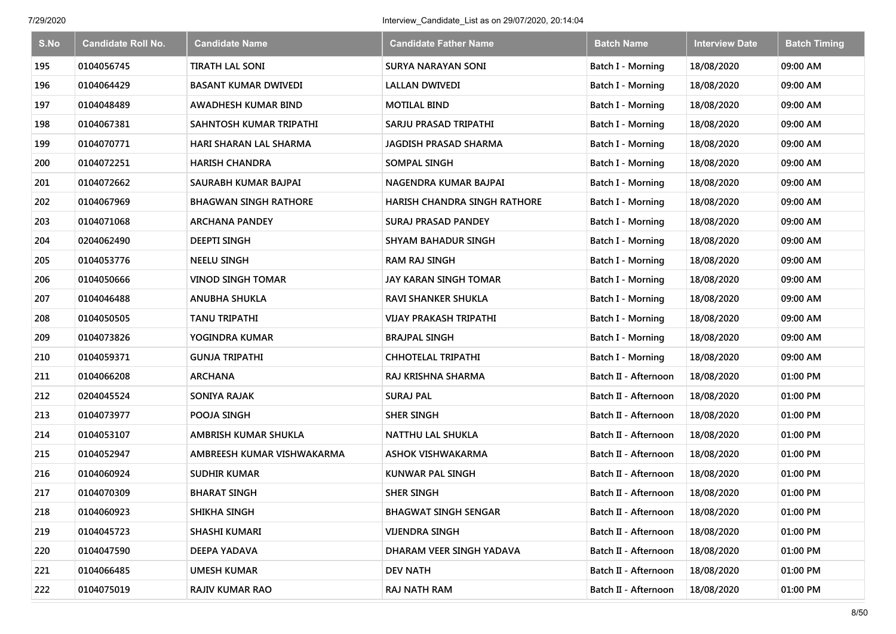| S.No | <b>Candidate Roll No.</b> | <b>Candidate Name</b>        | <b>Candidate Father Name</b>  | <b>Batch Name</b>        | <b>Interview Date</b> | <b>Batch Timing</b> |
|------|---------------------------|------------------------------|-------------------------------|--------------------------|-----------------------|---------------------|
| 195  | 0104056745                | <b>TIRATH LAL SONI</b>       | <b>SURYA NARAYAN SONI</b>     | Batch I - Morning        | 18/08/2020            | 09:00 AM            |
| 196  | 0104064429                | <b>BASANT KUMAR DWIVEDI</b>  | <b>LALLAN DWIVEDI</b>         | Batch I - Morning        | 18/08/2020            | 09:00 AM            |
| 197  | 0104048489                | AWADHESH KUMAR BIND          | <b>MOTILAL BIND</b>           | Batch I - Morning        | 18/08/2020            | 09:00 AM            |
| 198  | 0104067381                | SAHNTOSH KUMAR TRIPATHI      | SARJU PRASAD TRIPATHI         | Batch I - Morning        | 18/08/2020            | 09:00 AM            |
| 199  | 0104070771                | HARI SHARAN LAL SHARMA       | <b>JAGDISH PRASAD SHARMA</b>  | Batch I - Morning        | 18/08/2020            | 09:00 AM            |
| 200  | 0104072251                | <b>HARISH CHANDRA</b>        | <b>SOMPAL SINGH</b>           | Batch I - Morning        | 18/08/2020            | 09:00 AM            |
| 201  | 0104072662                | SAURABH KUMAR BAJPAI         | NAGENDRA KUMAR BAJPAI         | Batch I - Morning        | 18/08/2020            | 09:00 AM            |
| 202  | 0104067969                | <b>BHAGWAN SINGH RATHORE</b> | HARISH CHANDRA SINGH RATHORE  | Batch I - Morning        | 18/08/2020            | 09:00 AM            |
| 203  | 0104071068                | <b>ARCHANA PANDEY</b>        | <b>SURAJ PRASAD PANDEY</b>    | Batch I - Morning        | 18/08/2020            | 09:00 AM            |
| 204  | 0204062490                | <b>DEEPTI SINGH</b>          | <b>SHYAM BAHADUR SINGH</b>    | <b>Batch I - Morning</b> | 18/08/2020            | 09:00 AM            |
| 205  | 0104053776                | <b>NEELU SINGH</b>           | <b>RAM RAJ SINGH</b>          | Batch I - Morning        | 18/08/2020            | 09:00 AM            |
| 206  | 0104050666                | <b>VINOD SINGH TOMAR</b>     | <b>JAY KARAN SINGH TOMAR</b>  | <b>Batch I - Morning</b> | 18/08/2020            | 09:00 AM            |
| 207  | 0104046488                | <b>ANUBHA SHUKLA</b>         | <b>RAVI SHANKER SHUKLA</b>    | Batch I - Morning        | 18/08/2020            | 09:00 AM            |
| 208  | 0104050505                | <b>TANU TRIPATHI</b>         | <b>VIJAY PRAKASH TRIPATHI</b> | <b>Batch I - Morning</b> | 18/08/2020            | 09:00 AM            |
| 209  | 0104073826                | YOGINDRA KUMAR               | <b>BRAJPAL SINGH</b>          | Batch I - Morning        | 18/08/2020            | 09:00 AM            |
| 210  | 0104059371                | <b>GUNJA TRIPATHI</b>        | CHHOTELAL TRIPATHI            | Batch I - Morning        | 18/08/2020            | 09:00 AM            |
| 211  | 0104066208                | <b>ARCHANA</b>               | RAJ KRISHNA SHARMA            | Batch II - Afternoon     | 18/08/2020            | 01:00 PM            |
| 212  | 0204045524                | SONIYA RAJAK                 | <b>SURAJ PAL</b>              | Batch II - Afternoon     | 18/08/2020            | 01:00 PM            |
| 213  | 0104073977                | POOJA SINGH                  | <b>SHER SINGH</b>             | Batch II - Afternoon     | 18/08/2020            | 01:00 PM            |
| 214  | 0104053107                | AMBRISH KUMAR SHUKLA         | <b>NATTHU LAL SHUKLA</b>      | Batch II - Afternoon     | 18/08/2020            | 01:00 PM            |
| 215  | 0104052947                | AMBREESH KUMAR VISHWAKARMA   | <b>ASHOK VISHWAKARMA</b>      | Batch II - Afternoon     | 18/08/2020            | 01:00 PM            |
| 216  | 0104060924                | <b>SUDHIR KUMAR</b>          | <b>KUNWAR PAL SINGH</b>       | Batch II - Afternoon     | 18/08/2020            | 01:00 PM            |
| 217  | 0104070309                | <b>BHARAT SINGH</b>          | <b>SHER SINGH</b>             | Batch II - Afternoon     | 18/08/2020            | 01:00 PM            |
| 218  | 0104060923                | SHIKHA SINGH                 | <b>BHAGWAT SINGH SENGAR</b>   | Batch II - Afternoon     | 18/08/2020            | 01:00 PM            |
| 219  | 0104045723                | SHASHI KUMARI                | <b>VIJENDRA SINGH</b>         | Batch II - Afternoon     | 18/08/2020            | 01:00 PM            |
| 220  | 0104047590                | <b>DEEPA YADAVA</b>          | DHARAM VEER SINGH YADAVA      | Batch II - Afternoon     | 18/08/2020            | 01:00 PM            |
| 221  | 0104066485                | <b>UMESH KUMAR</b>           | <b>DEV NATH</b>               | Batch II - Afternoon     | 18/08/2020            | 01:00 PM            |
| 222  | 0104075019                | <b>RAJIV KUMAR RAO</b>       | RAJ NATH RAM                  | Batch II - Afternoon     | 18/08/2020            | 01:00 PM            |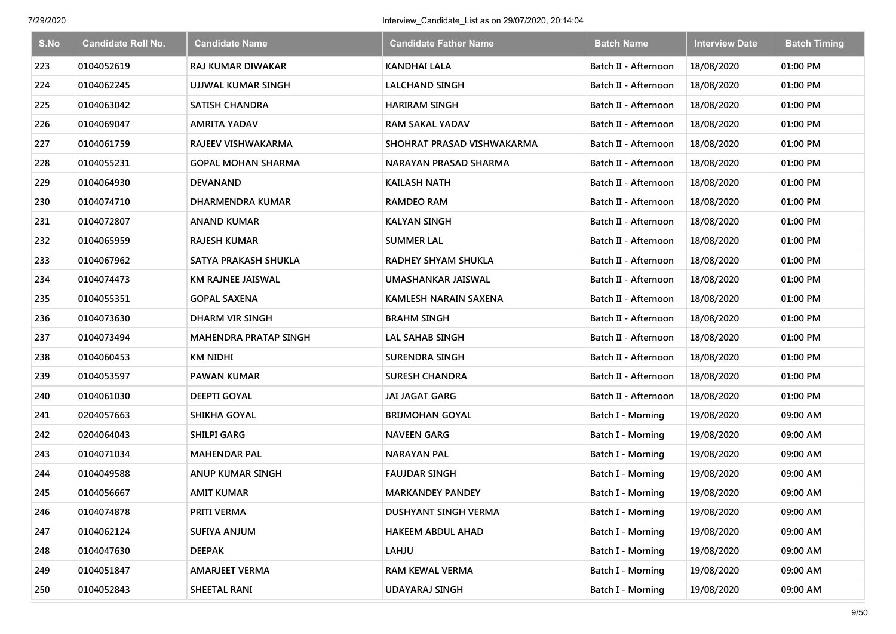| S.No | <b>Candidate Roll No.</b> | <b>Candidate Name</b>        | <b>Candidate Father Name</b> | <b>Batch Name</b>        | <b>Interview Date</b> | <b>Batch Timing</b> |
|------|---------------------------|------------------------------|------------------------------|--------------------------|-----------------------|---------------------|
| 223  | 0104052619                | <b>RAJ KUMAR DIWAKAR</b>     | <b>KANDHAI LALA</b>          | Batch II - Afternoon     | 18/08/2020            | 01:00 PM            |
| 224  | 0104062245                | UJJWAL KUMAR SINGH           | <b>LALCHAND SINGH</b>        | Batch II - Afternoon     | 18/08/2020            | 01:00 PM            |
| 225  | 0104063042                | <b>SATISH CHANDRA</b>        | <b>HARIRAM SINGH</b>         | Batch II - Afternoon     | 18/08/2020            | 01:00 PM            |
| 226  | 0104069047                | <b>AMRITA YADAV</b>          | <b>RAM SAKAL YADAV</b>       | Batch II - Afternoon     | 18/08/2020            | 01:00 PM            |
| 227  | 0104061759                | RAJEEV VISHWAKARMA           | SHOHRAT PRASAD VISHWAKARMA   | Batch II - Afternoon     | 18/08/2020            | 01:00 PM            |
| 228  | 0104055231                | <b>GOPAL MOHAN SHARMA</b>    | NARAYAN PRASAD SHARMA        | Batch II - Afternoon     | 18/08/2020            | 01:00 PM            |
| 229  | 0104064930                | <b>DEVANAND</b>              | <b>KAILASH NATH</b>          | Batch II - Afternoon     | 18/08/2020            | 01:00 PM            |
| 230  | 0104074710                | <b>DHARMENDRA KUMAR</b>      | <b>RAMDEO RAM</b>            | Batch II - Afternoon     | 18/08/2020            | 01:00 PM            |
| 231  | 0104072807                | <b>ANAND KUMAR</b>           | <b>KALYAN SINGH</b>          | Batch II - Afternoon     | 18/08/2020            | 01:00 PM            |
| 232  | 0104065959                | <b>RAJESH KUMAR</b>          | <b>SUMMER LAL</b>            | Batch II - Afternoon     | 18/08/2020            | 01:00 PM            |
| 233  | 0104067962                | SATYA PRAKASH SHUKLA         | RADHEY SHYAM SHUKLA          | Batch II - Afternoon     | 18/08/2020            | 01:00 PM            |
| 234  | 0104074473                | KM RAJNEE JAISWAL            | UMASHANKAR JAISWAL           | Batch II - Afternoon     | 18/08/2020            | 01:00 PM            |
| 235  | 0104055351                | <b>GOPAL SAXENA</b>          | <b>KAMLESH NARAIN SAXENA</b> | Batch II - Afternoon     | 18/08/2020            | 01:00 PM            |
| 236  | 0104073630                | <b>DHARM VIR SINGH</b>       | <b>BRAHM SINGH</b>           | Batch II - Afternoon     | 18/08/2020            | 01:00 PM            |
| 237  | 0104073494                | <b>MAHENDRA PRATAP SINGH</b> | <b>LAL SAHAB SINGH</b>       | Batch II - Afternoon     | 18/08/2020            | 01:00 PM            |
| 238  | 0104060453                | <b>KM NIDHI</b>              | <b>SURENDRA SINGH</b>        | Batch II - Afternoon     | 18/08/2020            | 01:00 PM            |
| 239  | 0104053597                | <b>PAWAN KUMAR</b>           | <b>SURESH CHANDRA</b>        | Batch II - Afternoon     | 18/08/2020            | 01:00 PM            |
| 240  | 0104061030                | <b>DEEPTI GOYAL</b>          | <b>JAI JAGAT GARG</b>        | Batch II - Afternoon     | 18/08/2020            | 01:00 PM            |
| 241  | 0204057663                | SHIKHA GOYAL                 | <b>BRIJMOHAN GOYAL</b>       | Batch I - Morning        | 19/08/2020            | 09:00 AM            |
| 242  | 0204064043                | <b>SHILPI GARG</b>           | <b>NAVEEN GARG</b>           | Batch I - Morning        | 19/08/2020            | 09:00 AM            |
| 243  | 0104071034                | <b>MAHENDAR PAL</b>          | <b>NARAYAN PAL</b>           | Batch I - Morning        | 19/08/2020            | 09:00 AM            |
| 244  | 0104049588                | <b>ANUP KUMAR SINGH</b>      | <b>FAUJDAR SINGH</b>         | Batch I - Morning        | 19/08/2020            | 09:00 AM            |
| 245  | 0104056667                | <b>AMIT KUMAR</b>            | <b>MARKANDEY PANDEY</b>      | Batch I - Morning        | 19/08/2020            | 09:00 AM            |
| 246  | 0104074878                | PRITI VERMA                  | <b>DUSHYANT SINGH VERMA</b>  | Batch I - Morning        | 19/08/2020            | 09:00 AM            |
| 247  | 0104062124                | SUFIYA ANJUM                 | <b>HAKEEM ABDUL AHAD</b>     | Batch I - Morning        | 19/08/2020            | 09:00 AM            |
| 248  | 0104047630                | <b>DEEPAK</b>                | LAHJU                        | Batch I - Morning        | 19/08/2020            | 09:00 AM            |
| 249  | 0104051847                | <b>AMARJEET VERMA</b>        | RAM KEWAL VERMA              | Batch I - Morning        | 19/08/2020            | 09:00 AM            |
| 250  | 0104052843                | SHEETAL RANI                 | <b>UDAYARAJ SINGH</b>        | <b>Batch I - Morning</b> | 19/08/2020            | 09:00 AM            |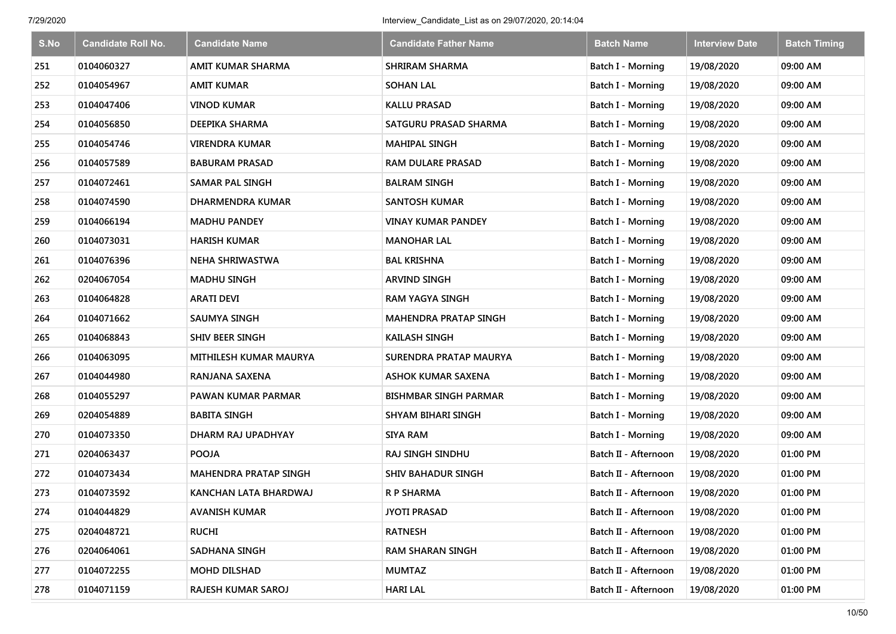| S.No | <b>Candidate Roll No.</b> | <b>Candidate Name</b>        | <b>Candidate Father Name</b>  | <b>Batch Name</b>        | <b>Interview Date</b> | <b>Batch Timing</b> |
|------|---------------------------|------------------------------|-------------------------------|--------------------------|-----------------------|---------------------|
| 251  | 0104060327                | AMIT KUMAR SHARMA            | <b>SHRIRAM SHARMA</b>         | Batch I - Morning        | 19/08/2020            | 09:00 AM            |
| 252  | 0104054967                | <b>AMIT KUMAR</b>            | <b>SOHAN LAL</b>              | Batch I - Morning        | 19/08/2020            | 09:00 AM            |
| 253  | 0104047406                | <b>VINOD KUMAR</b>           | <b>KALLU PRASAD</b>           | Batch I - Morning        | 19/08/2020            | 09:00 AM            |
| 254  | 0104056850                | DEEPIKA SHARMA               | SATGURU PRASAD SHARMA         | Batch I - Morning        | 19/08/2020            | 09:00 AM            |
| 255  | 0104054746                | <b>VIRENDRA KUMAR</b>        | <b>MAHIPAL SINGH</b>          | Batch I - Morning        | 19/08/2020            | 09:00 AM            |
| 256  | 0104057589                | <b>BABURAM PRASAD</b>        | <b>RAM DULARE PRASAD</b>      | Batch I - Morning        | 19/08/2020            | 09:00 AM            |
| 257  | 0104072461                | <b>SAMAR PAL SINGH</b>       | <b>BALRAM SINGH</b>           | Batch I - Morning        | 19/08/2020            | 09:00 AM            |
| 258  | 0104074590                | DHARMENDRA KUMAR             | <b>SANTOSH KUMAR</b>          | Batch I - Morning        | 19/08/2020            | 09:00 AM            |
| 259  | 0104066194                | <b>MADHU PANDEY</b>          | <b>VINAY KUMAR PANDEY</b>     | Batch I - Morning        | 19/08/2020            | 09:00 AM            |
| 260  | 0104073031                | <b>HARISH KUMAR</b>          | <b>MANOHAR LAL</b>            | <b>Batch I - Morning</b> | 19/08/2020            | 09:00 AM            |
| 261  | 0104076396                | NEHA SHRIWASTWA              | <b>BAL KRISHNA</b>            | Batch I - Morning        | 19/08/2020            | 09:00 AM            |
| 262  | 0204067054                | <b>MADHU SINGH</b>           | <b>ARVIND SINGH</b>           | <b>Batch I - Morning</b> | 19/08/2020            | 09:00 AM            |
| 263  | 0104064828                | <b>ARATI DEVI</b>            | <b>RAM YAGYA SINGH</b>        | Batch I - Morning        | 19/08/2020            | 09:00 AM            |
| 264  | 0104071662                | <b>SAUMYA SINGH</b>          | <b>MAHENDRA PRATAP SINGH</b>  | <b>Batch I - Morning</b> | 19/08/2020            | 09:00 AM            |
| 265  | 0104068843                | SHIV BEER SINGH              | <b>KAILASH SINGH</b>          | Batch I - Morning        | 19/08/2020            | 09:00 AM            |
| 266  | 0104063095                | MITHILESH KUMAR MAURYA       | <b>SURENDRA PRATAP MAURYA</b> | Batch I - Morning        | 19/08/2020            | 09:00 AM            |
| 267  | 0104044980                | RANJANA SAXENA               | ASHOK KUMAR SAXENA            | <b>Batch I - Morning</b> | 19/08/2020            | 09:00 AM            |
| 268  | 0104055297                | PAWAN KUMAR PARMAR           | <b>BISHMBAR SINGH PARMAR</b>  | Batch I - Morning        | 19/08/2020            | 09:00 AM            |
| 269  | 0204054889                | <b>BABITA SINGH</b>          | SHYAM BIHARI SINGH            | Batch I - Morning        | 19/08/2020            | 09:00 AM            |
| 270  | 0104073350                | DHARM RAJ UPADHYAY           | <b>SIYA RAM</b>               | Batch I - Morning        | 19/08/2020            | 09:00 AM            |
| 271  | 0204063437                | <b>POOJA</b>                 | RAJ SINGH SINDHU              | Batch II - Afternoon     | 19/08/2020            | 01:00 PM            |
| 272  | 0104073434                | <b>MAHENDRA PRATAP SINGH</b> | <b>SHIV BAHADUR SINGH</b>     | Batch II - Afternoon     | 19/08/2020            | 01:00 PM            |
| 273  | 0104073592                | KANCHAN LATA BHARDWAJ        | R P SHARMA                    | Batch II - Afternoon     | 19/08/2020            | 01:00 PM            |
| 274  | 0104044829                | <b>AVANISH KUMAR</b>         | <b>JYOTI PRASAD</b>           | Batch II - Afternoon     | 19/08/2020            | 01:00 PM            |
| 275  | 0204048721                | <b>RUCHI</b>                 | <b>RATNESH</b>                | Batch II - Afternoon     | 19/08/2020            | 01:00 PM            |
| 276  | 0204064061                | SADHANA SINGH                | <b>RAM SHARAN SINGH</b>       | Batch II - Afternoon     | 19/08/2020            | 01:00 PM            |
| 277  | 0104072255                | <b>MOHD DILSHAD</b>          | <b>MUMTAZ</b>                 | Batch II - Afternoon     | 19/08/2020            | 01:00 PM            |
| 278  | 0104071159                | RAJESH KUMAR SAROJ           | <b>HARI LAL</b>               | Batch II - Afternoon     | 19/08/2020            | 01:00 PM            |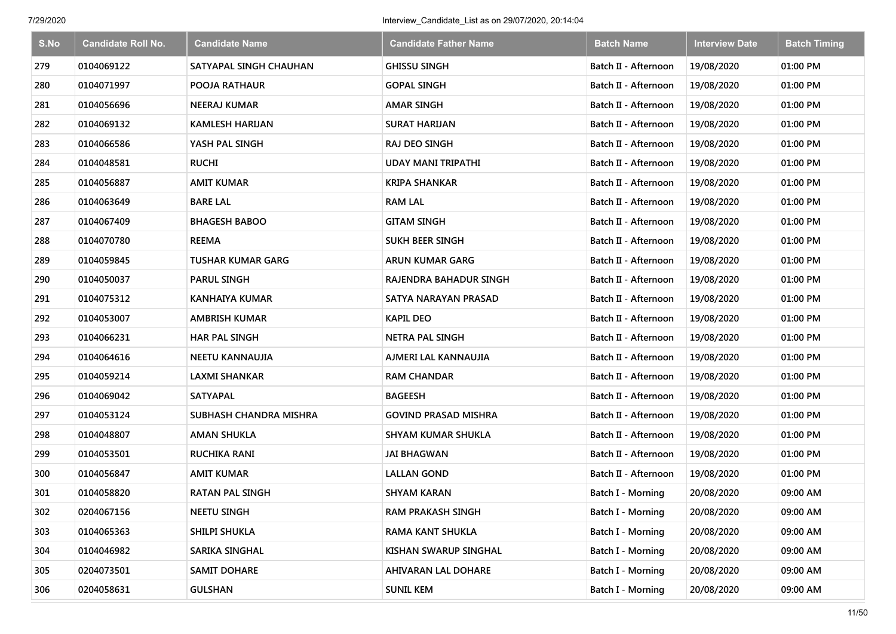| S.No | <b>Candidate Roll No.</b> | <b>Candidate Name</b>    | <b>Candidate Father Name</b> | <b>Batch Name</b>        | <b>Interview Date</b> | <b>Batch Timing</b> |
|------|---------------------------|--------------------------|------------------------------|--------------------------|-----------------------|---------------------|
| 279  | 0104069122                | SATYAPAL SINGH CHAUHAN   | <b>GHISSU SINGH</b>          | Batch II - Afternoon     | 19/08/2020            | 01:00 PM            |
| 280  | 0104071997                | POOJA RATHAUR            | <b>GOPAL SINGH</b>           | Batch II - Afternoon     | 19/08/2020            | 01:00 PM            |
| 281  | 0104056696                | <b>NEERAJ KUMAR</b>      | <b>AMAR SINGH</b>            | Batch II - Afternoon     | 19/08/2020            | 01:00 PM            |
| 282  | 0104069132                | <b>KAMLESH HARIJAN</b>   | <b>SURAT HARIJAN</b>         | Batch II - Afternoon     | 19/08/2020            | 01:00 PM            |
| 283  | 0104066586                | YASH PAL SINGH           | RAJ DEO SINGH                | Batch II - Afternoon     | 19/08/2020            | 01:00 PM            |
| 284  | 0104048581                | <b>RUCHI</b>             | <b>UDAY MANI TRIPATHI</b>    | Batch II - Afternoon     | 19/08/2020            | 01:00 PM            |
| 285  | 0104056887                | <b>AMIT KUMAR</b>        | <b>KRIPA SHANKAR</b>         | Batch II - Afternoon     | 19/08/2020            | 01:00 PM            |
| 286  | 0104063649                | <b>BARE LAL</b>          | <b>RAM LAL</b>               | Batch II - Afternoon     | 19/08/2020            | 01:00 PM            |
| 287  | 0104067409                | <b>BHAGESH BABOO</b>     | <b>GITAM SINGH</b>           | Batch II - Afternoon     | 19/08/2020            | 01:00 PM            |
| 288  | 0104070780                | <b>REEMA</b>             | <b>SUKH BEER SINGH</b>       | Batch II - Afternoon     | 19/08/2020            | 01:00 PM            |
| 289  | 0104059845                | <b>TUSHAR KUMAR GARG</b> | <b>ARUN KUMAR GARG</b>       | Batch II - Afternoon     | 19/08/2020            | 01:00 PM            |
| 290  | 0104050037                | <b>PARUL SINGH</b>       | RAJENDRA BAHADUR SINGH       | Batch II - Afternoon     | 19/08/2020            | 01:00 PM            |
| 291  | 0104075312                | <b>KANHAIYA KUMAR</b>    | SATYA NARAYAN PRASAD         | Batch II - Afternoon     | 19/08/2020            | 01:00 PM            |
| 292  | 0104053007                | <b>AMBRISH KUMAR</b>     | <b>KAPIL DEO</b>             | Batch II - Afternoon     | 19/08/2020            | 01:00 PM            |
| 293  | 0104066231                | <b>HAR PAL SINGH</b>     | <b>NETRA PAL SINGH</b>       | Batch II - Afternoon     | 19/08/2020            | 01:00 PM            |
| 294  | 0104064616                | NEETU KANNAUJIA          | AJMERI LAL KANNAUJIA         | Batch II - Afternoon     | 19/08/2020            | 01:00 PM            |
| 295  | 0104059214                | <b>LAXMI SHANKAR</b>     | <b>RAM CHANDAR</b>           | Batch II - Afternoon     | 19/08/2020            | 01:00 PM            |
| 296  | 0104069042                | <b>SATYAPAL</b>          | <b>BAGEESH</b>               | Batch II - Afternoon     | 19/08/2020            | 01:00 PM            |
| 297  | 0104053124                | SUBHASH CHANDRA MISHRA   | <b>GOVIND PRASAD MISHRA</b>  | Batch II - Afternoon     | 19/08/2020            | 01:00 PM            |
| 298  | 0104048807                | <b>AMAN SHUKLA</b>       | <b>SHYAM KUMAR SHUKLA</b>    | Batch II - Afternoon     | 19/08/2020            | 01:00 PM            |
| 299  | 0104053501                | <b>RUCHIKA RANI</b>      | <b>JAI BHAGWAN</b>           | Batch II - Afternoon     | 19/08/2020            | 01:00 PM            |
| 300  | 0104056847                | <b>AMIT KUMAR</b>        | <b>LALLAN GOND</b>           | Batch II - Afternoon     | 19/08/2020            | 01:00 PM            |
| 301  | 0104058820                | <b>RATAN PAL SINGH</b>   | <b>SHYAM KARAN</b>           | Batch I - Morning        | 20/08/2020            | 09:00 AM            |
| 302  | 0204067156                | <b>NEETU SINGH</b>       | <b>RAM PRAKASH SINGH</b>     | Batch I - Morning        | 20/08/2020            | 09:00 AM            |
| 303  | 0104065363                | <b>SHILPI SHUKLA</b>     | RAMA KANT SHUKLA             | Batch I - Morning        | 20/08/2020            | 09:00 AM            |
| 304  | 0104046982                | SARIKA SINGHAL           | KISHAN SWARUP SINGHAL        | Batch I - Morning        | 20/08/2020            | 09:00 AM            |
| 305  | 0204073501                | <b>SAMIT DOHARE</b>      | <b>AHIVARAN LAL DOHARE</b>   | Batch I - Morning        | 20/08/2020            | 09:00 AM            |
| 306  | 0204058631                | <b>GULSHAN</b>           | <b>SUNIL KEM</b>             | <b>Batch I - Morning</b> | 20/08/2020            | 09:00 AM            |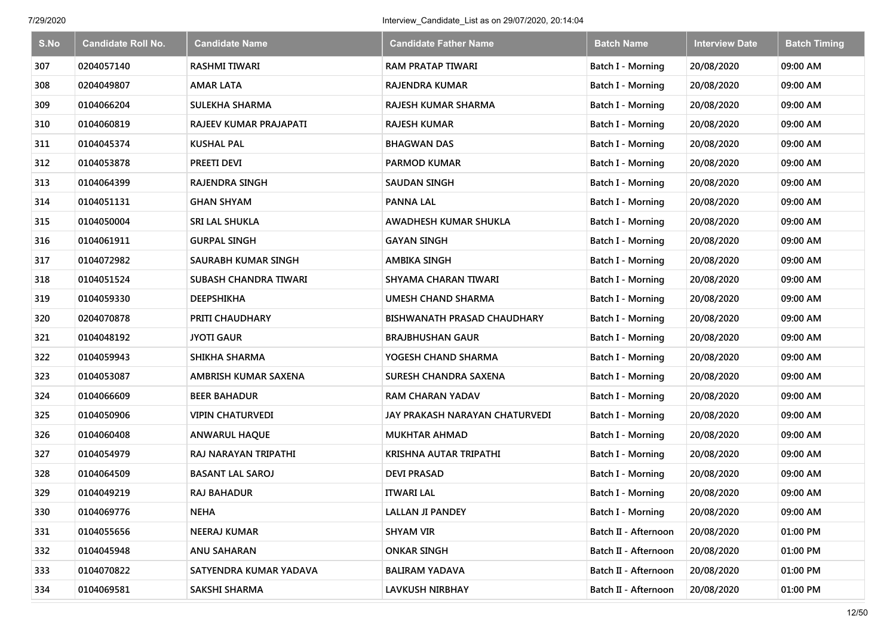| S.No | <b>Candidate Roll No.</b> | <b>Candidate Name</b>        | <b>Candidate Father Name</b>   | <b>Batch Name</b>        | <b>Interview Date</b> | <b>Batch Timing</b> |
|------|---------------------------|------------------------------|--------------------------------|--------------------------|-----------------------|---------------------|
| 307  | 0204057140                | <b>RASHMI TIWARI</b>         | <b>RAM PRATAP TIWARI</b>       | Batch I - Morning        | 20/08/2020            | 09:00 AM            |
| 308  | 0204049807                | <b>AMAR LATA</b>             | <b>RAJENDRA KUMAR</b>          | Batch I - Morning        | 20/08/2020            | 09:00 AM            |
| 309  | 0104066204                | SULEKHA SHARMA               | RAJESH KUMAR SHARMA            | <b>Batch I - Morning</b> | 20/08/2020            | 09:00 AM            |
| 310  | 0104060819                | RAJEEV KUMAR PRAJAPATI       | RAJESH KUMAR                   | Batch I - Morning        | 20/08/2020            | 09:00 AM            |
| 311  | 0104045374                | <b>KUSHAL PAL</b>            | <b>BHAGWAN DAS</b>             | <b>Batch I - Morning</b> | 20/08/2020            | 09:00 AM            |
| 312  | 0104053878                | PREETI DEVI                  | <b>PARMOD KUMAR</b>            | Batch I - Morning        | 20/08/2020            | 09:00 AM            |
| 313  | 0104064399                | <b>RAJENDRA SINGH</b>        | <b>SAUDAN SINGH</b>            | Batch I - Morning        | 20/08/2020            | 09:00 AM            |
| 314  | 0104051131                | <b>GHAN SHYAM</b>            | <b>PANNA LAL</b>               | Batch I - Morning        | 20/08/2020            | 09:00 AM            |
| 315  | 0104050004                | SRI LAL SHUKLA               | AWADHESH KUMAR SHUKLA          | Batch I - Morning        | 20/08/2020            | 09:00 AM            |
| 316  | 0104061911                | <b>GURPAL SINGH</b>          | <b>GAYAN SINGH</b>             | Batch I - Morning        | 20/08/2020            | 09:00 AM            |
| 317  | 0104072982                | SAURABH KUMAR SINGH          | <b>AMBIKA SINGH</b>            | Batch I - Morning        | 20/08/2020            | 09:00 AM            |
| 318  | 0104051524                | <b>SUBASH CHANDRA TIWARI</b> | SHYAMA CHARAN TIWARI           | <b>Batch I - Morning</b> | 20/08/2020            | 09:00 AM            |
| 319  | 0104059330                | <b>DEEPSHIKHA</b>            | <b>UMESH CHAND SHARMA</b>      | Batch I - Morning        | 20/08/2020            | 09:00 AM            |
| 320  | 0204070878                | PRITI CHAUDHARY              | BISHWANATH PRASAD CHAUDHARY    | <b>Batch I - Morning</b> | 20/08/2020            | 09:00 AM            |
| 321  | 0104048192                | <b>JYOTI GAUR</b>            | <b>BRAJBHUSHAN GAUR</b>        | <b>Batch I - Morning</b> | 20/08/2020            | 09:00 AM            |
| 322  | 0104059943                | SHIKHA SHARMA                | YOGESH CHAND SHARMA            | <b>Batch I - Morning</b> | 20/08/2020            | 09:00 AM            |
| 323  | 0104053087                | AMBRISH KUMAR SAXENA         | SURESH CHANDRA SAXENA          | <b>Batch I - Morning</b> | 20/08/2020            | 09:00 AM            |
| 324  | 0104066609                | <b>BEER BAHADUR</b>          | <b>RAM CHARAN YADAV</b>        | Batch I - Morning        | 20/08/2020            | 09:00 AM            |
| 325  | 0104050906                | <b>VIPIN CHATURVEDI</b>      | JAY PRAKASH NARAYAN CHATURVEDI | Batch I - Morning        | 20/08/2020            | 09:00 AM            |
| 326  | 0104060408                | <b>ANWARUL HAQUE</b>         | <b>MUKHTAR AHMAD</b>           | Batch I - Morning        | 20/08/2020            | 09:00 AM            |
| 327  | 0104054979                | RAJ NARAYAN TRIPATHI         | KRISHNA AUTAR TRIPATHI         | Batch I - Morning        | 20/08/2020            | 09:00 AM            |
| 328  | 0104064509                | <b>BASANT LAL SAROJ</b>      | <b>DEVI PRASAD</b>             | Batch I - Morning        | 20/08/2020            | 09:00 AM            |
| 329  | 0104049219                | <b>RAJ BAHADUR</b>           | <b>ITWARI LAL</b>              | Batch I - Morning        | 20/08/2020            | 09:00 AM            |
| 330  | 0104069776                | <b>NEHA</b>                  | <b>LALLAN JI PANDEY</b>        | Batch I - Morning        | 20/08/2020            | 09:00 AM            |
| 331  | 0104055656                | <b>NEERAJ KUMAR</b>          | <b>SHYAM VIR</b>               | Batch II - Afternoon     | 20/08/2020            | 01:00 PM            |
| 332  | 0104045948                | <b>ANU SAHARAN</b>           | <b>ONKAR SINGH</b>             | Batch II - Afternoon     | 20/08/2020            | 01:00 PM            |
| 333  | 0104070822                | SATYENDRA KUMAR YADAVA       | <b>BALIRAM YADAVA</b>          | Batch II - Afternoon     | 20/08/2020            | 01:00 PM            |
| 334  | 0104069581                | SAKSHI SHARMA                | <b>LAVKUSH NIRBHAY</b>         | Batch II - Afternoon     | 20/08/2020            | 01:00 PM            |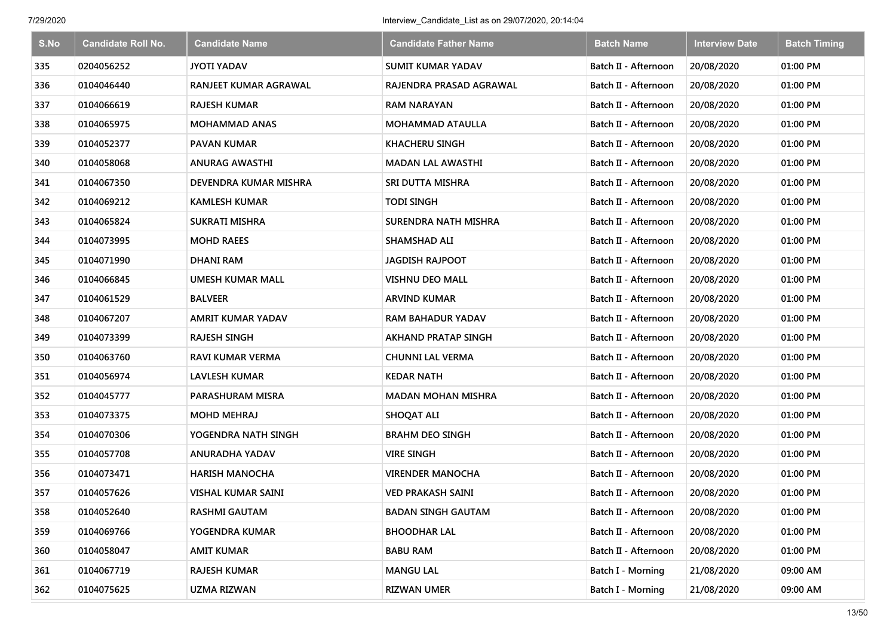| S.No | <b>Candidate Roll No.</b> | <b>Candidate Name</b>        | <b>Candidate Father Name</b> | <b>Batch Name</b>    | <b>Interview Date</b> | <b>Batch Timing</b> |
|------|---------------------------|------------------------------|------------------------------|----------------------|-----------------------|---------------------|
| 335  | 0204056252                | <b>JYOTI YADAV</b>           | <b>SUMIT KUMAR YADAV</b>     | Batch II - Afternoon | 20/08/2020            | 01:00 PM            |
| 336  | 0104046440                | RANJEET KUMAR AGRAWAL        | RAJENDRA PRASAD AGRAWAL      | Batch II - Afternoon | 20/08/2020            | 01:00 PM            |
| 337  | 0104066619                | <b>RAJESH KUMAR</b>          | <b>RAM NARAYAN</b>           | Batch II - Afternoon | 20/08/2020            | 01:00 PM            |
| 338  | 0104065975                | <b>MOHAMMAD ANAS</b>         | <b>MOHAMMAD ATAULLA</b>      | Batch II - Afternoon | 20/08/2020            | 01:00 PM            |
| 339  | 0104052377                | <b>PAVAN KUMAR</b>           | <b>KHACHERU SINGH</b>        | Batch II - Afternoon | 20/08/2020            | 01:00 PM            |
| 340  | 0104058068                | <b>ANURAG AWASTHI</b>        | <b>MADAN LAL AWASTHI</b>     | Batch II - Afternoon | 20/08/2020            | 01:00 PM            |
| 341  | 0104067350                | <b>DEVENDRA KUMAR MISHRA</b> | SRI DUTTA MISHRA             | Batch II - Afternoon | 20/08/2020            | 01:00 PM            |
| 342  | 0104069212                | <b>KAMLESH KUMAR</b>         | <b>TODI SINGH</b>            | Batch II - Afternoon | 20/08/2020            | 01:00 PM            |
| 343  | 0104065824                | <b>SUKRATI MISHRA</b>        | <b>SURENDRA NATH MISHRA</b>  | Batch II - Afternoon | 20/08/2020            | 01:00 PM            |
| 344  | 0104073995                | <b>MOHD RAEES</b>            | <b>SHAMSHAD ALI</b>          | Batch II - Afternoon | 20/08/2020            | 01:00 PM            |
| 345  | 0104071990                | <b>DHANI RAM</b>             | <b>JAGDISH RAJPOOT</b>       | Batch II - Afternoon | 20/08/2020            | 01:00 PM            |
| 346  | 0104066845                | <b>UMESH KUMAR MALL</b>      | <b>VISHNU DEO MALL</b>       | Batch II - Afternoon | 20/08/2020            | 01:00 PM            |
| 347  | 0104061529                | <b>BALVEER</b>               | <b>ARVIND KUMAR</b>          | Batch II - Afternoon | 20/08/2020            | 01:00 PM            |
| 348  | 0104067207                | <b>AMRIT KUMAR YADAV</b>     | RAM BAHADUR YADAV            | Batch II - Afternoon | 20/08/2020            | 01:00 PM            |
| 349  | 0104073399                | <b>RAJESH SINGH</b>          | <b>AKHAND PRATAP SINGH</b>   | Batch II - Afternoon | 20/08/2020            | 01:00 PM            |
| 350  | 0104063760                | RAVI KUMAR VERMA             | <b>CHUNNI LAL VERMA</b>      | Batch II - Afternoon | 20/08/2020            | 01:00 PM            |
| 351  | 0104056974                | <b>LAVLESH KUMAR</b>         | <b>KEDAR NATH</b>            | Batch II - Afternoon | 20/08/2020            | 01:00 PM            |
| 352  | 0104045777                | PARASHURAM MISRA             | <b>MADAN MOHAN MISHRA</b>    | Batch II - Afternoon | 20/08/2020            | 01:00 PM            |
| 353  | 0104073375                | <b>MOHD MEHRAJ</b>           | <b>SHOQAT ALI</b>            | Batch II - Afternoon | 20/08/2020            | 01:00 PM            |
| 354  | 0104070306                | YOGENDRA NATH SINGH          | <b>BRAHM DEO SINGH</b>       | Batch II - Afternoon | 20/08/2020            | 01:00 PM            |
| 355  | 0104057708                | ANURADHA YADAV               | <b>VIRE SINGH</b>            | Batch II - Afternoon | 20/08/2020            | 01:00 PM            |
| 356  | 0104073471                | <b>HARISH MANOCHA</b>        | <b>VIRENDER MANOCHA</b>      | Batch II - Afternoon | 20/08/2020            | 01:00 PM            |
| 357  | 0104057626                | <b>VISHAL KUMAR SAINI</b>    | <b>VED PRAKASH SAINI</b>     | Batch II - Afternoon | 20/08/2020            | 01:00 PM            |
| 358  | 0104052640                | <b>RASHMI GAUTAM</b>         | <b>BADAN SINGH GAUTAM</b>    | Batch II - Afternoon | 20/08/2020            | 01:00 PM            |
| 359  | 0104069766                | YOGENDRA KUMAR               | <b>BHOODHAR LAL</b>          | Batch II - Afternoon | 20/08/2020            | 01:00 PM            |
| 360  | 0104058047                | AMIT KUMAR                   | <b>BABU RAM</b>              | Batch II - Afternoon | 20/08/2020            | 01:00 PM            |
| 361  | 0104067719                | <b>RAJESH KUMAR</b>          | <b>MANGU LAL</b>             | Batch I - Morning    | 21/08/2020            | 09:00 AM            |
| 362  | 0104075625                | <b>UZMA RIZWAN</b>           | <b>RIZWAN UMER</b>           | Batch I - Morning    | 21/08/2020            | 09:00 AM            |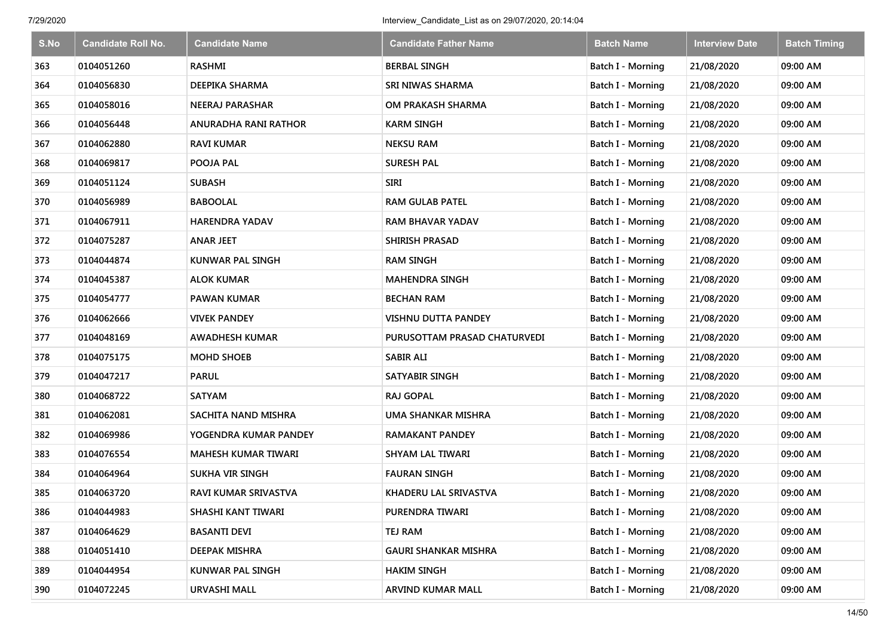| S.No | <b>Candidate Roll No.</b> | <b>Candidate Name</b>       | <b>Candidate Father Name</b> | <b>Batch Name</b>        | <b>Interview Date</b> | <b>Batch Timing</b> |
|------|---------------------------|-----------------------------|------------------------------|--------------------------|-----------------------|---------------------|
| 363  | 0104051260                | <b>RASHMI</b>               | <b>BERBAL SINGH</b>          | Batch I - Morning        | 21/08/2020            | 09:00 AM            |
| 364  | 0104056830                | DEEPIKA SHARMA              | SRI NIWAS SHARMA             | Batch I - Morning        | 21/08/2020            | 09:00 AM            |
| 365  | 0104058016                | NEERAJ PARASHAR             | OM PRAKASH SHARMA            | <b>Batch I - Morning</b> | 21/08/2020            | 09:00 AM            |
| 366  | 0104056448                | ANURADHA RANI RATHOR        | <b>KARM SINGH</b>            | Batch I - Morning        | 21/08/2020            | 09:00 AM            |
| 367  | 0104062880                | <b>RAVI KUMAR</b>           | <b>NEKSU RAM</b>             | <b>Batch I - Morning</b> | 21/08/2020            | 09:00 AM            |
| 368  | 0104069817                | POOJA PAL                   | <b>SURESH PAL</b>            | Batch I - Morning        | 21/08/2020            | 09:00 AM            |
| 369  | 0104051124                | <b>SUBASH</b>               | <b>SIRI</b>                  | Batch I - Morning        | 21/08/2020            | 09:00 AM            |
| 370  | 0104056989                | <b>BABOOLAL</b>             | <b>RAM GULAB PATEL</b>       | Batch I - Morning        | 21/08/2020            | 09:00 AM            |
| 371  | 0104067911                | <b>HARENDRA YADAV</b>       | <b>RAM BHAVAR YADAV</b>      | Batch I - Morning        | 21/08/2020            | 09:00 AM            |
| 372  | 0104075287                | <b>ANAR JEET</b>            | <b>SHIRISH PRASAD</b>        | Batch I - Morning        | 21/08/2020            | 09:00 AM            |
| 373  | 0104044874                | <b>KUNWAR PAL SINGH</b>     | <b>RAM SINGH</b>             | Batch I - Morning        | 21/08/2020            | 09:00 AM            |
| 374  | 0104045387                | ALOK KUMAR                  | <b>MAHENDRA SINGH</b>        | Batch I - Morning        | 21/08/2020            | 09:00 AM            |
| 375  | 0104054777                | <b>PAWAN KUMAR</b>          | <b>BECHAN RAM</b>            | Batch I - Morning        | 21/08/2020            | 09:00 AM            |
| 376  | 0104062666                | VIVEK PANDEY                | <b>VISHNU DUTTA PANDEY</b>   | <b>Batch I - Morning</b> | 21/08/2020            | 09:00 AM            |
| 377  | 0104048169                | <b>AWADHESH KUMAR</b>       | PURUSOTTAM PRASAD CHATURVEDI | <b>Batch I - Morning</b> | 21/08/2020            | 09:00 AM            |
| 378  | 0104075175                | <b>MOHD SHOEB</b>           | <b>SABIR ALI</b>             | <b>Batch I - Morning</b> | 21/08/2020            | 09:00 AM            |
| 379  | 0104047217                | <b>PARUL</b>                | <b>SATYABIR SINGH</b>        | <b>Batch I - Morning</b> | 21/08/2020            | 09:00 AM            |
| 380  | 0104068722                | <b>SATYAM</b>               | <b>RAJ GOPAL</b>             | Batch I - Morning        | 21/08/2020            | 09:00 AM            |
| 381  | 0104062081                | SACHITA NAND MISHRA         | UMA SHANKAR MISHRA           | Batch I - Morning        | 21/08/2020            | 09:00 AM            |
| 382  | 0104069986                | YOGENDRA KUMAR PANDEY       | <b>RAMAKANT PANDEY</b>       | Batch I - Morning        | 21/08/2020            | 09:00 AM            |
| 383  | 0104076554                | <b>MAHESH KUMAR TIWARI</b>  | <b>SHYAM LAL TIWARI</b>      | Batch I - Morning        | 21/08/2020            | 09:00 AM            |
| 384  | 0104064964                | <b>SUKHA VIR SINGH</b>      | <b>FAURAN SINGH</b>          | Batch I - Morning        | 21/08/2020            | 09:00 AM            |
| 385  | 0104063720                | <b>RAVI KUMAR SRIVASTVA</b> | KHADERU LAL SRIVASTVA        | Batch I - Morning        | 21/08/2020            | 09:00 AM            |
| 386  | 0104044983                | SHASHI KANT TIWARI          | PURENDRA TIWARI              | Batch I - Morning        | 21/08/2020            | 09:00 AM            |
| 387  | 0104064629                | <b>BASANTI DEVI</b>         | <b>TEJ RAM</b>               | Batch I - Morning        | 21/08/2020            | 09:00 AM            |
| 388  | 0104051410                | DEEPAK MISHRA               | <b>GAURI SHANKAR MISHRA</b>  | Batch I - Morning        | 21/08/2020            | 09:00 AM            |
| 389  | 0104044954                | KUNWAR PAL SINGH            | <b>HAKIM SINGH</b>           | Batch I - Morning        | 21/08/2020            | 09:00 AM            |
| 390  | 0104072245                | <b>URVASHI MALL</b>         | <b>ARVIND KUMAR MALL</b>     | Batch I - Morning        | 21/08/2020            | 09:00 AM            |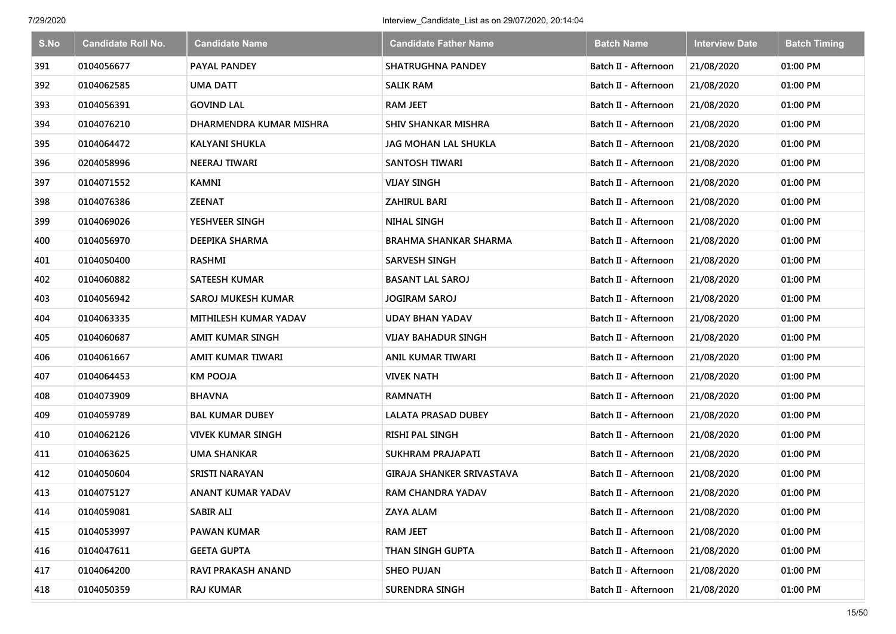| S.No | <b>Candidate Roll No.</b> | <b>Candidate Name</b>     | <b>Candidate Father Name</b>     | <b>Batch Name</b>    | <b>Interview Date</b> | <b>Batch Timing</b> |
|------|---------------------------|---------------------------|----------------------------------|----------------------|-----------------------|---------------------|
| 391  | 0104056677                | <b>PAYAL PANDEY</b>       | <b>SHATRUGHNA PANDEY</b>         | Batch II - Afternoon | 21/08/2020            | 01:00 PM            |
| 392  | 0104062585                | <b>UMA DATT</b>           | <b>SALIK RAM</b>                 | Batch II - Afternoon | 21/08/2020            | 01:00 PM            |
| 393  | 0104056391                | <b>GOVIND LAL</b>         | <b>RAM JEET</b>                  | Batch II - Afternoon | 21/08/2020            | 01:00 PM            |
| 394  | 0104076210                | DHARMENDRA KUMAR MISHRA   | <b>SHIV SHANKAR MISHRA</b>       | Batch II - Afternoon | 21/08/2020            | 01:00 PM            |
| 395  | 0104064472                | <b>KALYANI SHUKLA</b>     | JAG MOHAN LAL SHUKLA             | Batch II - Afternoon | 21/08/2020            | 01:00 PM            |
| 396  | 0204058996                | NEERAJ TIWARI             | <b>SANTOSH TIWARI</b>            | Batch II - Afternoon | 21/08/2020            | 01:00 PM            |
| 397  | 0104071552                | <b>KAMNI</b>              | <b>VIJAY SINGH</b>               | Batch II - Afternoon | 21/08/2020            | 01:00 PM            |
| 398  | 0104076386                | <b>ZEENAT</b>             | ZAHIRUL BARI                     | Batch II - Afternoon | 21/08/2020            | 01:00 PM            |
| 399  | 0104069026                | YESHVEER SINGH            | <b>NIHAL SINGH</b>               | Batch II - Afternoon | 21/08/2020            | 01:00 PM            |
| 400  | 0104056970                | DEEPIKA SHARMA            | <b>BRAHMA SHANKAR SHARMA</b>     | Batch II - Afternoon | 21/08/2020            | 01:00 PM            |
| 401  | 0104050400                | RASHMI                    | <b>SARVESH SINGH</b>             | Batch II - Afternoon | 21/08/2020            | 01:00 PM            |
| 402  | 0104060882                | <b>SATEESH KUMAR</b>      | <b>BASANT LAL SAROJ</b>          | Batch II - Afternoon | 21/08/2020            | 01:00 PM            |
| 403  | 0104056942                | SAROJ MUKESH KUMAR        | <b>JOGIRAM SAROJ</b>             | Batch II - Afternoon | 21/08/2020            | 01:00 PM            |
| 404  | 0104063335                | MITHILESH KUMAR YADAV     | <b>UDAY BHAN YADAV</b>           | Batch II - Afternoon | 21/08/2020            | 01:00 PM            |
| 405  | 0104060687                | AMIT KUMAR SINGH          | VIJAY BAHADUR SINGH              | Batch II - Afternoon | 21/08/2020            | 01:00 PM            |
| 406  | 0104061667                | AMIT KUMAR TIWARI         | ANIL KUMAR TIWARI                | Batch II - Afternoon | 21/08/2020            | 01:00 PM            |
| 407  | 0104064453                | <b>KM POOJA</b>           | <b>VIVEK NATH</b>                | Batch II - Afternoon | 21/08/2020            | 01:00 PM            |
| 408  | 0104073909                | <b>BHAVNA</b>             | <b>RAMNATH</b>                   | Batch II - Afternoon | 21/08/2020            | 01:00 PM            |
| 409  | 0104059789                | <b>BAL KUMAR DUBEY</b>    | <b>LALATA PRASAD DUBEY</b>       | Batch II - Afternoon | 21/08/2020            | 01:00 PM            |
| 410  | 0104062126                | <b>VIVEK KUMAR SINGH</b>  | RISHI PAL SINGH                  | Batch II - Afternoon | 21/08/2020            | 01:00 PM            |
| 411  | 0104063625                | <b>UMA SHANKAR</b>        | SUKHRAM PRAJAPATI                | Batch II - Afternoon | 21/08/2020            | 01:00 PM            |
| 412  | 0104050604                | <b>SRISTI NARAYAN</b>     | <b>GIRAJA SHANKER SRIVASTAVA</b> | Batch II - Afternoon | 21/08/2020            | 01:00 PM            |
| 413  | 0104075127                | <b>ANANT KUMAR YADAV</b>  | <b>RAM CHANDRA YADAV</b>         | Batch II - Afternoon | 21/08/2020            | 01:00 PM            |
| 414  | 0104059081                | <b>SABIR ALI</b>          | <b>ZAYA ALAM</b>                 | Batch II - Afternoon | 21/08/2020            | 01:00 PM            |
| 415  | 0104053997                | <b>PAWAN KUMAR</b>        | <b>RAM JEET</b>                  | Batch II - Afternoon | 21/08/2020            | 01:00 PM            |
| 416  | 0104047611                | <b>GEETA GUPTA</b>        | THAN SINGH GUPTA                 | Batch II - Afternoon | 21/08/2020            | 01:00 PM            |
| 417  | 0104064200                | <b>RAVI PRAKASH ANAND</b> | <b>SHEO PUJAN</b>                | Batch II - Afternoon | 21/08/2020            | 01:00 PM            |
| 418  | 0104050359                | <b>RAJ KUMAR</b>          | <b>SURENDRA SINGH</b>            | Batch II - Afternoon | 21/08/2020            | 01:00 PM            |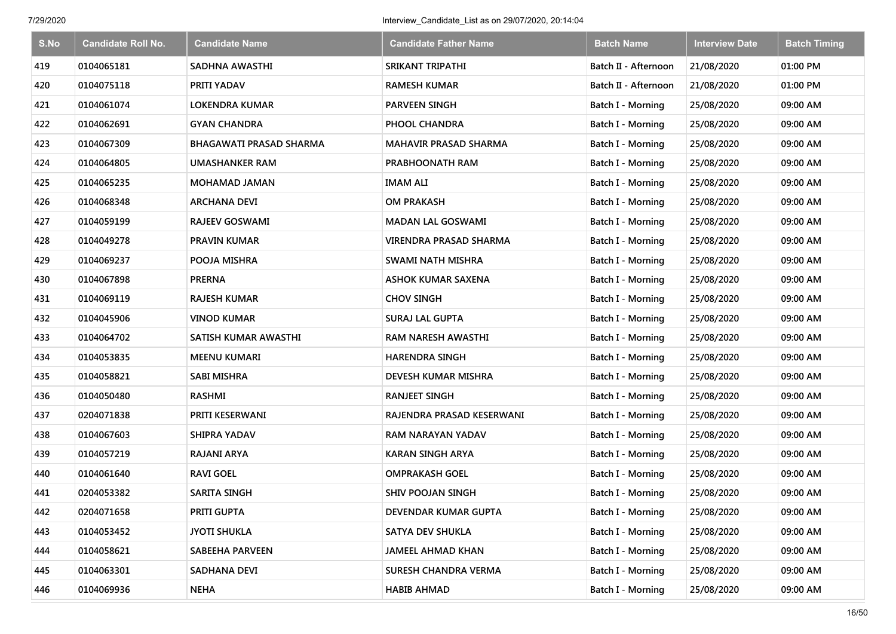| S.No | <b>Candidate Roll No.</b> | <b>Candidate Name</b>          | <b>Candidate Father Name</b> | <b>Batch Name</b>        | <b>Interview Date</b> | <b>Batch Timing</b> |
|------|---------------------------|--------------------------------|------------------------------|--------------------------|-----------------------|---------------------|
| 419  | 0104065181                | SADHNA AWASTHI                 | SRIKANT TRIPATHI             | Batch II - Afternoon     | 21/08/2020            | 01:00 PM            |
| 420  | 0104075118                | PRITI YADAV                    | <b>RAMESH KUMAR</b>          | Batch II - Afternoon     | 21/08/2020            | 01:00 PM            |
| 421  | 0104061074                | <b>LOKENDRA KUMAR</b>          | <b>PARVEEN SINGH</b>         | Batch I - Morning        | 25/08/2020            | 09:00 AM            |
| 422  | 0104062691                | <b>GYAN CHANDRA</b>            | PHOOL CHANDRA                | Batch I - Morning        | 25/08/2020            | 09:00 AM            |
| 423  | 0104067309                | <b>BHAGAWATI PRASAD SHARMA</b> | <b>MAHAVIR PRASAD SHARMA</b> | Batch I - Morning        | 25/08/2020            | 09:00 AM            |
| 424  | 0104064805                | <b>UMASHANKER RAM</b>          | PRABHOONATH RAM              | Batch I - Morning        | 25/08/2020            | 09:00 AM            |
| 425  | 0104065235                | <b>MOHAMAD JAMAN</b>           | IMAM ALI                     | Batch I - Morning        | 25/08/2020            | 09:00 AM            |
| 426  | 0104068348                | <b>ARCHANA DEVI</b>            | <b>OM PRAKASH</b>            | <b>Batch I - Morning</b> | 25/08/2020            | 09:00 AM            |
| 427  | 0104059199                | <b>RAJEEV GOSWAMI</b>          | <b>MADAN LAL GOSWAMI</b>     | Batch I - Morning        | 25/08/2020            | 09:00 AM            |
| 428  | 0104049278                | PRAVIN KUMAR                   | VIRENDRA PRASAD SHARMA       | Batch I - Morning        | 25/08/2020            | 09:00 AM            |
| 429  | 0104069237                | POOJA MISHRA                   | SWAMI NATH MISHRA            | Batch I - Morning        | 25/08/2020            | 09:00 AM            |
| 430  | 0104067898                | <b>PRERNA</b>                  | ASHOK KUMAR SAXENA           | <b>Batch I - Morning</b> | 25/08/2020            | 09:00 AM            |
| 431  | 0104069119                | <b>RAJESH KUMAR</b>            | <b>CHOV SINGH</b>            | <b>Batch I - Morning</b> | 25/08/2020            | 09:00 AM            |
| 432  | 0104045906                | VINOD KUMAR                    | <b>SURAJ LAL GUPTA</b>       | <b>Batch I - Morning</b> | 25/08/2020            | 09:00 AM            |
| 433  | 0104064702                | SATISH KUMAR AWASTHI           | RAM NARESH AWASTHI           | Batch I - Morning        | 25/08/2020            | 09:00 AM            |
| 434  | 0104053835                | <b>MEENU KUMARI</b>            | <b>HARENDRA SINGH</b>        | Batch I - Morning        | 25/08/2020            | 09:00 AM            |
| 435  | 0104058821                | <b>SABI MISHRA</b>             | DEVESH KUMAR MISHRA          | Batch I - Morning        | 25/08/2020            | 09:00 AM            |
| 436  | 0104050480                | <b>RASHMI</b>                  | <b>RANJEET SINGH</b>         | Batch I - Morning        | 25/08/2020            | 09:00 AM            |
| 437  | 0204071838                | PRITI KESERWANI                | RAJENDRA PRASAD KESERWANI    | Batch I - Morning        | 25/08/2020            | 09:00 AM            |
| 438  | 0104067603                | <b>SHIPRA YADAV</b>            | RAM NARAYAN YADAV            | <b>Batch I - Morning</b> | 25/08/2020            | 09:00 AM            |
| 439  | 0104057219                | <b>RAJANI ARYA</b>             | <b>KARAN SINGH ARYA</b>      | Batch I - Morning        | 25/08/2020            | 09:00 AM            |
| 440  | 0104061640                | <b>RAVI GOEL</b>               | <b>OMPRAKASH GOEL</b>        | Batch I - Morning        | 25/08/2020            | 09:00 AM            |
| 441  | 0204053382                | <b>SARITA SINGH</b>            | <b>SHIV POOJAN SINGH</b>     | Batch I - Morning        | 25/08/2020            | 09:00 AM            |
| 442  | 0204071658                | PRITI GUPTA                    | DEVENDAR KUMAR GUPTA         | Batch I - Morning        | 25/08/2020            | 09:00 AM            |
| 443  | 0104053452                | <b>JYOTI SHUKLA</b>            | SATYA DEV SHUKLA             | Batch I - Morning        | 25/08/2020            | 09:00 AM            |
| 444  | 0104058621                | SABEEHA PARVEEN                | <b>JAMEEL AHMAD KHAN</b>     | Batch I - Morning        | 25/08/2020            | 09:00 AM            |
| 445  | 0104063301                | SADHANA DEVI                   | SURESH CHANDRA VERMA         | Batch I - Morning        | 25/08/2020            | 09:00 AM            |
| 446  | 0104069936                | <b>NEHA</b>                    | <b>HABIB AHMAD</b>           | <b>Batch I - Morning</b> | 25/08/2020            | 09:00 AM            |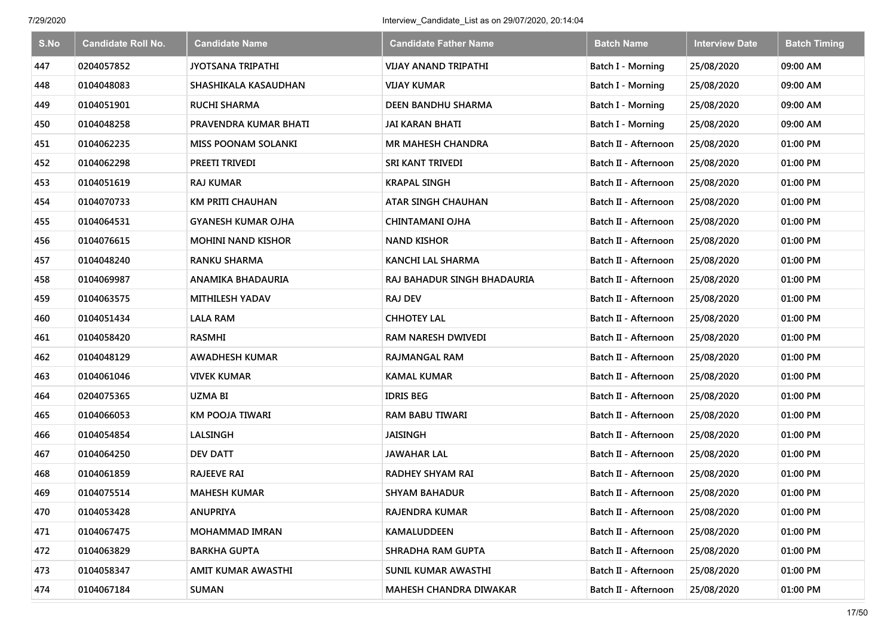| S.No | <b>Candidate Roll No.</b> | <b>Candidate Name</b>      | <b>Candidate Father Name</b> | <b>Batch Name</b>        | <b>Interview Date</b> | <b>Batch Timing</b> |
|------|---------------------------|----------------------------|------------------------------|--------------------------|-----------------------|---------------------|
| 447  | 0204057852                | <b>JYOTSANA TRIPATHI</b>   | <b>VIJAY ANAND TRIPATHI</b>  | <b>Batch I - Morning</b> | 25/08/2020            | 09:00 AM            |
| 448  | 0104048083                | SHASHIKALA KASAUDHAN       | <b>VIJAY KUMAR</b>           | Batch I - Morning        | 25/08/2020            | 09:00 AM            |
| 449  | 0104051901                | <b>RUCHI SHARMA</b>        | <b>DEEN BANDHU SHARMA</b>    | Batch I - Morning        | 25/08/2020            | 09:00 AM            |
| 450  | 0104048258                | PRAVENDRA KUMAR BHATI      | JAI KARAN BHATI              | Batch I - Morning        | 25/08/2020            | 09:00 AM            |
| 451  | 0104062235                | <b>MISS POONAM SOLANKI</b> | <b>MR MAHESH CHANDRA</b>     | Batch II - Afternoon     | 25/08/2020            | 01:00 PM            |
| 452  | 0104062298                | PREETI TRIVEDI             | SRI KANT TRIVEDI             | Batch II - Afternoon     | 25/08/2020            | 01:00 PM            |
| 453  | 0104051619                | <b>RAJ KUMAR</b>           | <b>KRAPAL SINGH</b>          | Batch II - Afternoon     | 25/08/2020            | 01:00 PM            |
| 454  | 0104070733                | <b>KM PRITI CHAUHAN</b>    | ATAR SINGH CHAUHAN           | Batch II - Afternoon     | 25/08/2020            | 01:00 PM            |
| 455  | 0104064531                | <b>GYANESH KUMAR OJHA</b>  | <b>CHINTAMANI OJHA</b>       | Batch II - Afternoon     | 25/08/2020            | 01:00 PM            |
| 456  | 0104076615                | <b>MOHINI NAND KISHOR</b>  | <b>NAND KISHOR</b>           | Batch II - Afternoon     | 25/08/2020            | 01:00 PM            |
| 457  | 0104048240                | <b>RANKU SHARMA</b>        | KANCHI LAL SHARMA            | Batch II - Afternoon     | 25/08/2020            | 01:00 PM            |
| 458  | 0104069987                | ANAMIKA BHADAURIA          | RAJ BAHADUR SINGH BHADAURIA  | Batch II - Afternoon     | 25/08/2020            | 01:00 PM            |
| 459  | 0104063575                | <b>MITHILESH YADAV</b>     | <b>RAJ DEV</b>               | Batch II - Afternoon     | 25/08/2020            | 01:00 PM            |
| 460  | 0104051434                | <b>LALA RAM</b>            | <b>CHHOTEY LAL</b>           | Batch II - Afternoon     | 25/08/2020            | 01:00 PM            |
| 461  | 0104058420                | <b>RASMHI</b>              | RAM NARESH DWIVEDI           | Batch II - Afternoon     | 25/08/2020            | 01:00 PM            |
| 462  | 0104048129                | <b>AWADHESH KUMAR</b>      | <b>RAJMANGAL RAM</b>         | Batch II - Afternoon     | 25/08/2020            | 01:00 PM            |
| 463  | 0104061046                | <b>VIVEK KUMAR</b>         | <b>KAMAL KUMAR</b>           | Batch II - Afternoon     | 25/08/2020            | 01:00 PM            |
| 464  | 0204075365                | <b>UZMA BI</b>             | <b>IDRIS BEG</b>             | Batch II - Afternoon     | 25/08/2020            | 01:00 PM            |
| 465  | 0104066053                | <b>KM POOJA TIWARI</b>     | <b>RAM BABU TIWARI</b>       | Batch II - Afternoon     | 25/08/2020            | 01:00 PM            |
| 466  | 0104054854                | LALSINGH                   | JAISINGH                     | Batch II - Afternoon     | 25/08/2020            | 01:00 PM            |
| 467  | 0104064250                | <b>DEV DATT</b>            | <b>JAWAHAR LAL</b>           | Batch II - Afternoon     | 25/08/2020            | 01:00 PM            |
| 468  | 0104061859                | <b>RAJEEVE RAI</b>         | RADHEY SHYAM RAI             | Batch II - Afternoon     | 25/08/2020            | 01:00 PM            |
| 469  | 0104075514                | <b>MAHESH KUMAR</b>        | <b>SHYAM BAHADUR</b>         | Batch II - Afternoon     | 25/08/2020            | 01:00 PM            |
| 470  | 0104053428                | <b>ANUPRIYA</b>            | RAJENDRA KUMAR               | Batch II - Afternoon     | 25/08/2020            | 01:00 PM            |
| 471  | 0104067475                | <b>MOHAMMAD IMRAN</b>      | <b>KAMALUDDEEN</b>           | Batch II - Afternoon     | 25/08/2020            | 01:00 PM            |
| 472  | 0104063829                | <b>BARKHA GUPTA</b>        | SHRADHA RAM GUPTA            | Batch II - Afternoon     | 25/08/2020            | 01:00 PM            |
| 473  | 0104058347                | AMIT KUMAR AWASTHI         | SUNIL KUMAR AWASTHI          | Batch II - Afternoon     | 25/08/2020            | 01:00 PM            |
| 474  | 0104067184                | <b>SUMAN</b>               | MAHESH CHANDRA DIWAKAR       | Batch II - Afternoon     | 25/08/2020            | 01:00 PM            |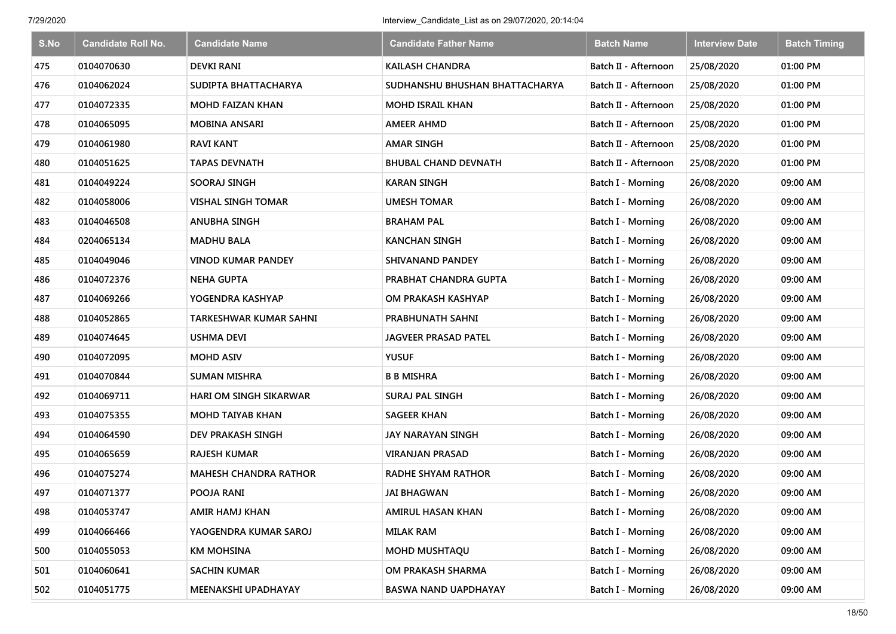| S.No | <b>Candidate Roll No.</b> | <b>Candidate Name</b>         | <b>Candidate Father Name</b>   | <b>Batch Name</b>        | <b>Interview Date</b> | <b>Batch Timing</b> |
|------|---------------------------|-------------------------------|--------------------------------|--------------------------|-----------------------|---------------------|
| 475  | 0104070630                | <b>DEVKI RANI</b>             | <b>KAILASH CHANDRA</b>         | Batch II - Afternoon     | 25/08/2020            | 01:00 PM            |
| 476  | 0104062024                | SUDIPTA BHATTACHARYA          | SUDHANSHU BHUSHAN BHATTACHARYA | Batch II - Afternoon     | 25/08/2020            | 01:00 PM            |
| 477  | 0104072335                | <b>MOHD FAIZAN KHAN</b>       | <b>MOHD ISRAIL KHAN</b>        | Batch II - Afternoon     | 25/08/2020            | 01:00 PM            |
| 478  | 0104065095                | <b>MOBINA ANSARI</b>          | <b>AMEER AHMD</b>              | Batch II - Afternoon     | 25/08/2020            | 01:00 PM            |
| 479  | 0104061980                | <b>RAVI KANT</b>              | <b>AMAR SINGH</b>              | Batch II - Afternoon     | 25/08/2020            | 01:00 PM            |
| 480  | 0104051625                | <b>TAPAS DEVNATH</b>          | <b>BHUBAL CHAND DEVNATH</b>    | Batch II - Afternoon     | 25/08/2020            | 01:00 PM            |
| 481  | 0104049224                | <b>SOORAJ SINGH</b>           | <b>KARAN SINGH</b>             | Batch I - Morning        | 26/08/2020            | 09:00 AM            |
| 482  | 0104058006                | <b>VISHAL SINGH TOMAR</b>     | <b>UMESH TOMAR</b>             | <b>Batch I - Morning</b> | 26/08/2020            | 09:00 AM            |
| 483  | 0104046508                | <b>ANUBHA SINGH</b>           | <b>BRAHAM PAL</b>              | Batch I - Morning        | 26/08/2020            | 09:00 AM            |
| 484  | 0204065134                | MADHU BALA                    | <b>KANCHAN SINGH</b>           | Batch I - Morning        | 26/08/2020            | 09:00 AM            |
| 485  | 0104049046                | <b>VINOD KUMAR PANDEY</b>     | <b>SHIVANAND PANDEY</b>        | <b>Batch I - Morning</b> | 26/08/2020            | 09:00 AM            |
| 486  | 0104072376                | <b>NEHA GUPTA</b>             | PRABHAT CHANDRA GUPTA          | <b>Batch I - Morning</b> | 26/08/2020            | 09:00 AM            |
| 487  | 0104069266                | YOGENDRA KASHYAP              | OM PRAKASH KASHYAP             | Batch I - Morning        | 26/08/2020            | 09:00 AM            |
| 488  | 0104052865                | <b>TARKESHWAR KUMAR SAHNI</b> | PRABHUNATH SAHNI               | Batch I - Morning        | 26/08/2020            | 09:00 AM            |
| 489  | 0104074645                | <b>USHMA DEVI</b>             | <b>JAGVEER PRASAD PATEL</b>    | Batch I - Morning        | 26/08/2020            | 09:00 AM            |
| 490  | 0104072095                | <b>MOHD ASIV</b>              | <b>YUSUF</b>                   | Batch I - Morning        | 26/08/2020            | 09:00 AM            |
| 491  | 0104070844                | <b>SUMAN MISHRA</b>           | <b>B B MISHRA</b>              | Batch I - Morning        | 26/08/2020            | 09:00 AM            |
| 492  | 0104069711                | <b>HARI OM SINGH SIKARWAR</b> | SURAJ PAL SINGH                | Batch I - Morning        | 26/08/2020            | 09:00 AM            |
| 493  | 0104075355                | <b>MOHD TAIYAB KHAN</b>       | <b>SAGEER KHAN</b>             | Batch I - Morning        | 26/08/2020            | 09:00 AM            |
| 494  | 0104064590                | <b>DEV PRAKASH SINGH</b>      | JAY NARAYAN SINGH              | Batch I - Morning        | 26/08/2020            | 09:00 AM            |
| 495  | 0104065659                | <b>RAJESH KUMAR</b>           | VIRANJAN PRASAD                | Batch I - Morning        | 26/08/2020            | 09:00 AM            |
| 496  | 0104075274                | <b>MAHESH CHANDRA RATHOR</b>  | <b>RADHE SHYAM RATHOR</b>      | <b>Batch I - Morning</b> | 26/08/2020            | 09:00 AM            |
| 497  | 0104071377                | POOJA RANI                    | <b>JAI BHAGWAN</b>             | Batch I - Morning        | 26/08/2020            | 09:00 AM            |
| 498  | 0104053747                | AMIR HAMJ KHAN                | AMIRUL HASAN KHAN              | Batch I - Morning        | 26/08/2020            | 09:00 AM            |
| 499  | 0104066466                | YAOGENDRA KUMAR SAROJ         | <b>MILAK RAM</b>               | Batch I - Morning        | 26/08/2020            | 09:00 AM            |
| 500  | 0104055053                | <b>KM MOHSINA</b>             | <b>MOHD MUSHTAQU</b>           | Batch I - Morning        | 26/08/2020            | 09:00 AM            |
| 501  | 0104060641                | <b>SACHIN KUMAR</b>           | OM PRAKASH SHARMA              | Batch I - Morning        | 26/08/2020            | 09:00 AM            |
| 502  | 0104051775                | MEENAKSHI UPADHAYAY           | BASWA NAND UAPDHAYAY           | Batch I - Morning        | 26/08/2020            | 09:00 AM            |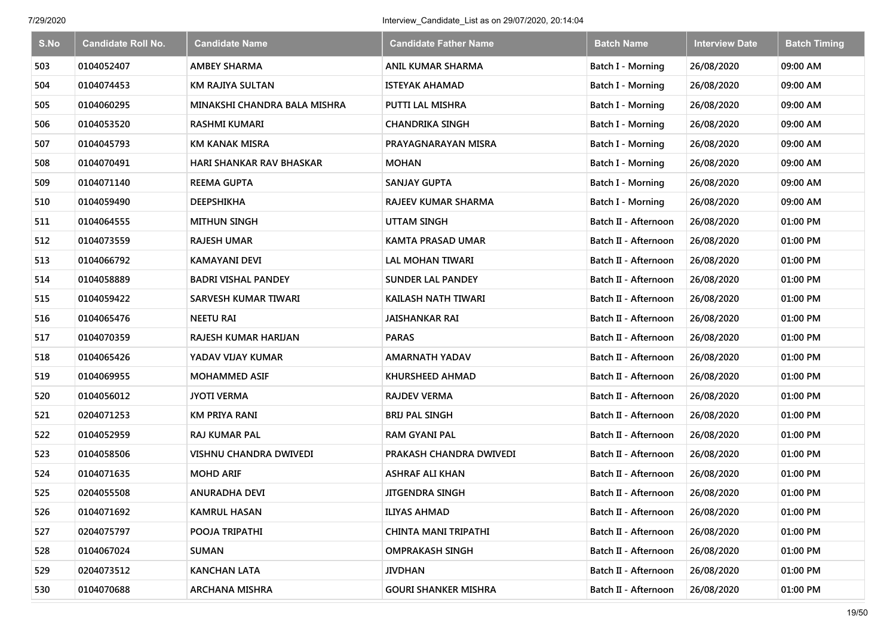| S.No | <b>Candidate Roll No.</b> | <b>Candidate Name</b>           | <b>Candidate Father Name</b> | <b>Batch Name</b>    | <b>Interview Date</b> | <b>Batch Timing</b> |
|------|---------------------------|---------------------------------|------------------------------|----------------------|-----------------------|---------------------|
| 503  | 0104052407                | <b>AMBEY SHARMA</b>             | ANIL KUMAR SHARMA            | Batch I - Morning    | 26/08/2020            | 09:00 AM            |
| 504  | 0104074453                | <b>KM RAJIYA SULTAN</b>         | <b>ISTEYAK AHAMAD</b>        | Batch I - Morning    | 26/08/2020            | 09:00 AM            |
| 505  | 0104060295                | MINAKSHI CHANDRA BALA MISHRA    | PUTTI LAL MISHRA             | Batch I - Morning    | 26/08/2020            | 09:00 AM            |
| 506  | 0104053520                | <b>RASHMI KUMARI</b>            | <b>CHANDRIKA SINGH</b>       | Batch I - Morning    | 26/08/2020            | 09:00 AM            |
| 507  | 0104045793                | <b>KM KANAK MISRA</b>           | PRAYAGNARAYAN MISRA          | Batch I - Morning    | 26/08/2020            | 09:00 AM            |
| 508  | 0104070491                | <b>HARI SHANKAR RAV BHASKAR</b> | <b>MOHAN</b>                 | Batch I - Morning    | 26/08/2020            | 09:00 AM            |
| 509  | 0104071140                | <b>REEMA GUPTA</b>              | <b>SANJAY GUPTA</b>          | Batch I - Morning    | 26/08/2020            | 09:00 AM            |
| 510  | 0104059490                | <b>DEEPSHIKHA</b>               | RAJEEV KUMAR SHARMA          | Batch I - Morning    | 26/08/2020            | 09:00 AM            |
| 511  | 0104064555                | <b>MITHUN SINGH</b>             | <b>UTTAM SINGH</b>           | Batch II - Afternoon | 26/08/2020            | 01:00 PM            |
| 512  | 0104073559                | <b>RAJESH UMAR</b>              | <b>KAMTA PRASAD UMAR</b>     | Batch II - Afternoon | 26/08/2020            | 01:00 PM            |
| 513  | 0104066792                | <b>KAMAYANI DEVI</b>            | LAL MOHAN TIWARI             | Batch II - Afternoon | 26/08/2020            | 01:00 PM            |
| 514  | 0104058889                | <b>BADRI VISHAL PANDEY</b>      | <b>SUNDER LAL PANDEY</b>     | Batch II - Afternoon | 26/08/2020            | 01:00 PM            |
| 515  | 0104059422                | <b>SARVESH KUMAR TIWARI</b>     | KAILASH NATH TIWARI          | Batch II - Afternoon | 26/08/2020            | 01:00 PM            |
| 516  | 0104065476                | <b>NEETU RAI</b>                | <b>JAISHANKAR RAI</b>        | Batch II - Afternoon | 26/08/2020            | 01:00 PM            |
| 517  | 0104070359                | RAJESH KUMAR HARIJAN            | <b>PARAS</b>                 | Batch II - Afternoon | 26/08/2020            | 01:00 PM            |
| 518  | 0104065426                | YADAV VIJAY KUMAR               | <b>AMARNATH YADAV</b>        | Batch II - Afternoon | 26/08/2020            | 01:00 PM            |
| 519  | 0104069955                | <b>MOHAMMED ASIF</b>            | KHURSHEED AHMAD              | Batch II - Afternoon | 26/08/2020            | 01:00 PM            |
| 520  | 0104056012                | <b>JYOTI VERMA</b>              | <b>RAJDEV VERMA</b>          | Batch II - Afternoon | 26/08/2020            | 01:00 PM            |
| 521  | 0204071253                | <b>KM PRIYA RANI</b>            | <b>BRIJ PAL SINGH</b>        | Batch II - Afternoon | 26/08/2020            | 01:00 PM            |
| 522  | 0104052959                | <b>RAJ KUMAR PAL</b>            | <b>RAM GYANI PAL</b>         | Batch II - Afternoon | 26/08/2020            | 01:00 PM            |
| 523  | 0104058506                | VISHNU CHANDRA DWIVEDI          | PRAKASH CHANDRA DWIVEDI      | Batch II - Afternoon | 26/08/2020            | 01:00 PM            |
| 524  | 0104071635                | <b>MOHD ARIF</b>                | <b>ASHRAF ALI KHAN</b>       | Batch II - Afternoon | 26/08/2020            | 01:00 PM            |
| 525  | 0204055508                | ANURADHA DEVI                   | <b>JITGENDRA SINGH</b>       | Batch II - Afternoon | 26/08/2020            | 01:00 PM            |
| 526  | 0104071692                | <b>KAMRUL HASAN</b>             | <b>ILIYAS AHMAD</b>          | Batch II - Afternoon | 26/08/2020            | 01:00 PM            |
| 527  | 0204075797                | POOJA TRIPATHI                  | CHINTA MANI TRIPATHI         | Batch II - Afternoon | 26/08/2020            | 01:00 PM            |
| 528  | 0104067024                | <b>SUMAN</b>                    | <b>OMPRAKASH SINGH</b>       | Batch II - Afternoon | 26/08/2020            | 01:00 PM            |
| 529  | 0204073512                | <b>KANCHAN LATA</b>             | <b>JIVDHAN</b>               | Batch II - Afternoon | 26/08/2020            | 01:00 PM            |
| 530  | 0104070688                | <b>ARCHANA MISHRA</b>           | <b>GOURI SHANKER MISHRA</b>  | Batch II - Afternoon | 26/08/2020            | 01:00 PM            |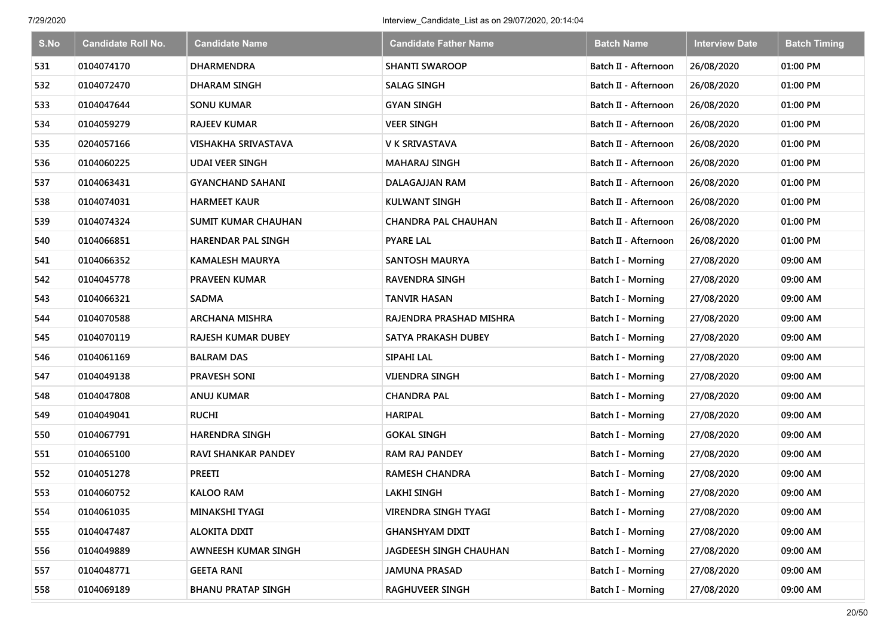| S.No | <b>Candidate Roll No.</b> | <b>Candidate Name</b>      | <b>Candidate Father Name</b> | <b>Batch Name</b>        | <b>Interview Date</b> | <b>Batch Timing</b> |
|------|---------------------------|----------------------------|------------------------------|--------------------------|-----------------------|---------------------|
| 531  | 0104074170                | <b>DHARMENDRA</b>          | <b>SHANTI SWAROOP</b>        | Batch II - Afternoon     | 26/08/2020            | 01:00 PM            |
| 532  | 0104072470                | <b>DHARAM SINGH</b>        | <b>SALAG SINGH</b>           | Batch II - Afternoon     | 26/08/2020            | 01:00 PM            |
| 533  | 0104047644                | <b>SONU KUMAR</b>          | <b>GYAN SINGH</b>            | Batch II - Afternoon     | 26/08/2020            | 01:00 PM            |
| 534  | 0104059279                | <b>RAJEEV KUMAR</b>        | <b>VEER SINGH</b>            | Batch II - Afternoon     | 26/08/2020            | 01:00 PM            |
| 535  | 0204057166                | <b>VISHAKHA SRIVASTAVA</b> | V K SRIVASTAVA               | Batch II - Afternoon     | 26/08/2020            | 01:00 PM            |
| 536  | 0104060225                | <b>UDAI VEER SINGH</b>     | MAHARAJ SINGH                | Batch II - Afternoon     | 26/08/2020            | 01:00 PM            |
| 537  | 0104063431                | <b>GYANCHAND SAHANI</b>    | DALAGAJJAN RAM               | Batch II - Afternoon     | 26/08/2020            | 01:00 PM            |
| 538  | 0104074031                | <b>HARMEET KAUR</b>        | <b>KULWANT SINGH</b>         | Batch II - Afternoon     | 26/08/2020            | 01:00 PM            |
| 539  | 0104074324                | <b>SUMIT KUMAR CHAUHAN</b> | <b>CHANDRA PAL CHAUHAN</b>   | Batch II - Afternoon     | 26/08/2020            | 01:00 PM            |
| 540  | 0104066851                | <b>HARENDAR PAL SINGH</b>  | <b>PYARE LAL</b>             | Batch II - Afternoon     | 26/08/2020            | 01:00 PM            |
| 541  | 0104066352                | <b>KAMALESH MAURYA</b>     | <b>SANTOSH MAURYA</b>        | <b>Batch I - Morning</b> | 27/08/2020            | 09:00 AM            |
| 542  | 0104045778                | <b>PRAVEEN KUMAR</b>       | <b>RAVENDRA SINGH</b>        | Batch I - Morning        | 27/08/2020            | 09:00 AM            |
| 543  | 0104066321                | <b>SADMA</b>               | <b>TANVIR HASAN</b>          | Batch I - Morning        | 27/08/2020            | 09:00 AM            |
| 544  | 0104070588                | <b>ARCHANA MISHRA</b>      | RAJENDRA PRASHAD MISHRA      | <b>Batch I - Morning</b> | 27/08/2020            | 09:00 AM            |
| 545  | 0104070119                | <b>RAJESH KUMAR DUBEY</b>  | SATYA PRAKASH DUBEY          | <b>Batch I - Morning</b> | 27/08/2020            | 09:00 AM            |
| 546  | 0104061169                | <b>BALRAM DAS</b>          | SIPAHI LAL                   | <b>Batch I - Morning</b> | 27/08/2020            | 09:00 AM            |
| 547  | 0104049138                | <b>PRAVESH SONI</b>        | <b>VIJENDRA SINGH</b>        | <b>Batch I - Morning</b> | 27/08/2020            | 09:00 AM            |
| 548  | 0104047808                | ANUJ KUMAR                 | <b>CHANDRA PAL</b>           | Batch I - Morning        | 27/08/2020            | 09:00 AM            |
| 549  | 0104049041                | <b>RUCHI</b>               | <b>HARIPAL</b>               | Batch I - Morning        | 27/08/2020            | 09:00 AM            |
| 550  | 0104067791                | <b>HARENDRA SINGH</b>      | <b>GOKAL SINGH</b>           | Batch I - Morning        | 27/08/2020            | 09:00 AM            |
| 551  | 0104065100                | <b>RAVI SHANKAR PANDEY</b> | <b>RAM RAJ PANDEY</b>        | Batch I - Morning        | 27/08/2020            | 09:00 AM            |
| 552  | 0104051278                | <b>PREETI</b>              | <b>RAMESH CHANDRA</b>        | Batch I - Morning        | 27/08/2020            | 09:00 AM            |
| 553  | 0104060752                | <b>KALOO RAM</b>           | <b>LAKHI SINGH</b>           | Batch I - Morning        | 27/08/2020            | 09:00 AM            |
| 554  | 0104061035                | MINAKSHI TYAGI             | <b>VIRENDRA SINGH TYAGI</b>  | Batch I - Morning        | 27/08/2020            | 09:00 AM            |
| 555  | 0104047487                | <b>ALOKITA DIXIT</b>       | <b>GHANSHYAM DIXIT</b>       | Batch I - Morning        | 27/08/2020            | 09:00 AM            |
| 556  | 0104049889                | AWNEESH KUMAR SINGH        | JAGDEESH SINGH CHAUHAN       | Batch I - Morning        | 27/08/2020            | 09:00 AM            |
| 557  | 0104048771                | <b>GEETA RANI</b>          | <b>JAMUNA PRASAD</b>         | Batch I - Morning        | 27/08/2020            | 09:00 AM            |
| 558  | 0104069189                | <b>BHANU PRATAP SINGH</b>  | <b>RAGHUVEER SINGH</b>       | Batch I - Morning        | 27/08/2020            | 09:00 AM            |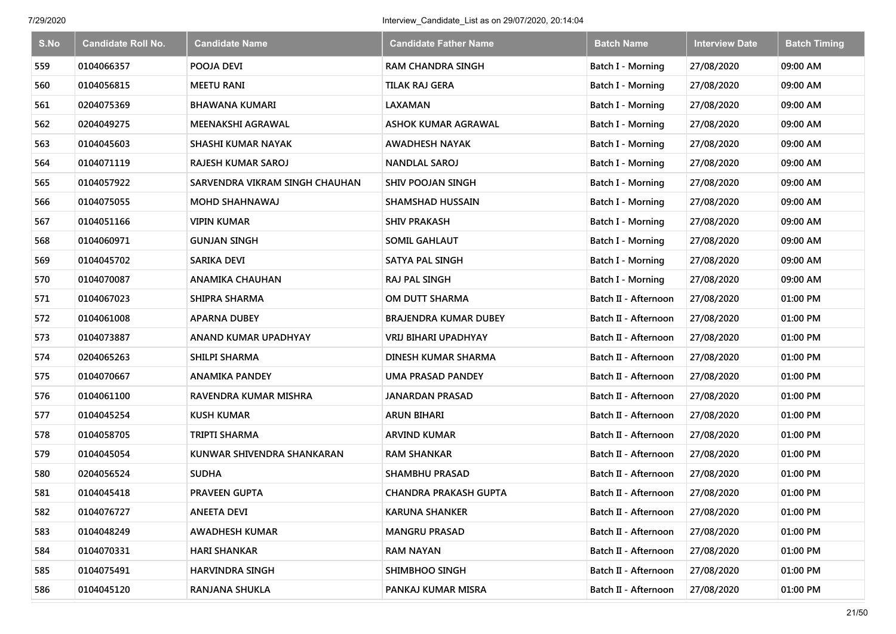| S.No | <b>Candidate Roll No.</b> | <b>Candidate Name</b>          | <b>Candidate Father Name</b> | <b>Batch Name</b>        | <b>Interview Date</b> | <b>Batch Timing</b> |
|------|---------------------------|--------------------------------|------------------------------|--------------------------|-----------------------|---------------------|
| 559  | 0104066357                | POOJA DEVI                     | <b>RAM CHANDRA SINGH</b>     | Batch I - Morning        | 27/08/2020            | 09:00 AM            |
| 560  | 0104056815                | <b>MEETU RANI</b>              | TILAK RAJ GERA               | Batch I - Morning        | 27/08/2020            | 09:00 AM            |
| 561  | 0204075369                | BHAWANA KUMARI                 | LAXAMAN                      | Batch I - Morning        | 27/08/2020            | 09:00 AM            |
| 562  | 0204049275                | <b>MEENAKSHI AGRAWAL</b>       | ASHOK KUMAR AGRAWAL          | Batch I - Morning        | 27/08/2020            | 09:00 AM            |
| 563  | 0104045603                | SHASHI KUMAR NAYAK             | <b>AWADHESH NAYAK</b>        | <b>Batch I - Morning</b> | 27/08/2020            | 09:00 AM            |
| 564  | 0104071119                | RAJESH KUMAR SAROJ             | <b>NANDLAL SAROJ</b>         | Batch I - Morning        | 27/08/2020            | 09:00 AM            |
| 565  | 0104057922                | SARVENDRA VIKRAM SINGH CHAUHAN | <b>SHIV POOJAN SINGH</b>     | Batch I - Morning        | 27/08/2020            | 09:00 AM            |
| 566  | 0104075055                | <b>MOHD SHAHNAWAJ</b>          | <b>SHAMSHAD HUSSAIN</b>      | Batch I - Morning        | 27/08/2020            | 09:00 AM            |
| 567  | 0104051166                | <b>VIPIN KUMAR</b>             | <b>SHIV PRAKASH</b>          | Batch I - Morning        | 27/08/2020            | 09:00 AM            |
| 568  | 0104060971                | <b>GUNJAN SINGH</b>            | <b>SOMIL GAHLAUT</b>         | Batch I - Morning        | 27/08/2020            | 09:00 AM            |
| 569  | 0104045702                | <b>SARIKA DEVI</b>             | <b>SATYA PAL SINGH</b>       | Batch I - Morning        | 27/08/2020            | 09:00 AM            |
| 570  | 0104070087                | <b>ANAMIKA CHAUHAN</b>         | <b>RAJ PAL SINGH</b>         | Batch I - Morning        | 27/08/2020            | 09:00 AM            |
| 571  | 0104067023                | <b>SHIPRA SHARMA</b>           | <b>OM DUTT SHARMA</b>        | Batch II - Afternoon     | 27/08/2020            | 01:00 PM            |
| 572  | 0104061008                | APARNA DUBEY                   | <b>BRAJENDRA KUMAR DUBEY</b> | Batch II - Afternoon     | 27/08/2020            | 01:00 PM            |
| 573  | 0104073887                | <b>ANAND KUMAR UPADHYAY</b>    | <b>VRIJ BIHARI UPADHYAY</b>  | Batch II - Afternoon     | 27/08/2020            | 01:00 PM            |
| 574  | 0204065263                | SHILPI SHARMA                  | DINESH KUMAR SHARMA          | Batch II - Afternoon     | 27/08/2020            | 01:00 PM            |
| 575  | 0104070667                | <b>ANAMIKA PANDEY</b>          | UMA PRASAD PANDEY            | Batch II - Afternoon     | 27/08/2020            | 01:00 PM            |
| 576  | 0104061100                | RAVENDRA KUMAR MISHRA          | <b>JANARDAN PRASAD</b>       | Batch II - Afternoon     | 27/08/2020            | 01:00 PM            |
| 577  | 0104045254                | <b>KUSH KUMAR</b>              | <b>ARUN BIHARI</b>           | Batch II - Afternoon     | 27/08/2020            | 01:00 PM            |
| 578  | 0104058705                | TRIPTI SHARMA                  | <b>ARVIND KUMAR</b>          | Batch II - Afternoon     | 27/08/2020            | 01:00 PM            |
| 579  | 0104045054                | KUNWAR SHIVENDRA SHANKARAN     | <b>RAM SHANKAR</b>           | Batch II - Afternoon     | 27/08/2020            | 01:00 PM            |
| 580  | 0204056524                | <b>SUDHA</b>                   | <b>SHAMBHU PRASAD</b>        | Batch II - Afternoon     | 27/08/2020            | 01:00 PM            |
| 581  | 0104045418                | PRAVEEN GUPTA                  | <b>CHANDRA PRAKASH GUPTA</b> | Batch II - Afternoon     | 27/08/2020            | 01:00 PM            |
| 582  | 0104076727                | <b>ANEETA DEVI</b>             | <b>KARUNA SHANKER</b>        | Batch II - Afternoon     | 27/08/2020            | 01:00 PM            |
| 583  | 0104048249                | <b>AWADHESH KUMAR</b>          | <b>MANGRU PRASAD</b>         | Batch II - Afternoon     | 27/08/2020            | 01:00 PM            |
| 584  | 0104070331                | <b>HARI SHANKAR</b>            | <b>RAM NAYAN</b>             | Batch II - Afternoon     | 27/08/2020            | 01:00 PM            |
| 585  | 0104075491                | <b>HARVINDRA SINGH</b>         | SHIMBHOO SINGH               | Batch II - Afternoon     | 27/08/2020            | 01:00 PM            |
| 586  | 0104045120                | RANJANA SHUKLA                 | PANKAJ KUMAR MISRA           | Batch II - Afternoon     | 27/08/2020            | 01:00 PM            |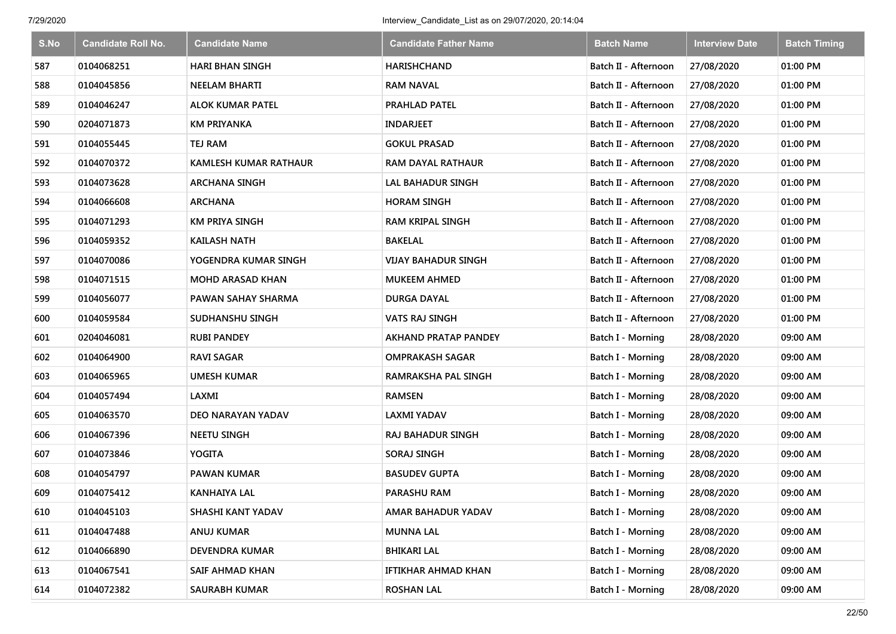| S.No | <b>Candidate Roll No.</b> | <b>Candidate Name</b>        | <b>Candidate Father Name</b> | <b>Batch Name</b>        | <b>Interview Date</b> | <b>Batch Timing</b> |
|------|---------------------------|------------------------------|------------------------------|--------------------------|-----------------------|---------------------|
| 587  | 0104068251                | <b>HARI BHAN SINGH</b>       | <b>HARISHCHAND</b>           | Batch II - Afternoon     | 27/08/2020            | 01:00 PM            |
| 588  | 0104045856                | <b>NEELAM BHARTI</b>         | <b>RAM NAVAL</b>             | Batch II - Afternoon     | 27/08/2020            | 01:00 PM            |
| 589  | 0104046247                | <b>ALOK KUMAR PATEL</b>      | PRAHLAD PATEL                | Batch II - Afternoon     | 27/08/2020            | 01:00 PM            |
| 590  | 0204071873                | <b>KM PRIYANKA</b>           | <b>INDARJEET</b>             | Batch II - Afternoon     | 27/08/2020            | 01:00 PM            |
| 591  | 0104055445                | TEJ RAM                      | <b>GOKUL PRASAD</b>          | Batch II - Afternoon     | 27/08/2020            | 01:00 PM            |
| 592  | 0104070372                | <b>KAMLESH KUMAR RATHAUR</b> | RAM DAYAL RATHAUR            | Batch II - Afternoon     | 27/08/2020            | 01:00 PM            |
| 593  | 0104073628                | <b>ARCHANA SINGH</b>         | LAL BAHADUR SINGH            | Batch II - Afternoon     | 27/08/2020            | 01:00 PM            |
| 594  | 0104066608                | <b>ARCHANA</b>               | <b>HORAM SINGH</b>           | Batch II - Afternoon     | 27/08/2020            | 01:00 PM            |
| 595  | 0104071293                | <b>KM PRIYA SINGH</b>        | <b>RAM KRIPAL SINGH</b>      | Batch II - Afternoon     | 27/08/2020            | 01:00 PM            |
| 596  | 0104059352                | <b>KAILASH NATH</b>          | <b>BAKELAL</b>               | Batch II - Afternoon     | 27/08/2020            | 01:00 PM            |
| 597  | 0104070086                | YOGENDRA KUMAR SINGH         | <b>VIJAY BAHADUR SINGH</b>   | Batch II - Afternoon     | 27/08/2020            | 01:00 PM            |
| 598  | 0104071515                | <b>MOHD ARASAD KHAN</b>      | <b>MUKEEM AHMED</b>          | Batch II - Afternoon     | 27/08/2020            | 01:00 PM            |
| 599  | 0104056077                | PAWAN SAHAY SHARMA           | <b>DURGA DAYAL</b>           | Batch II - Afternoon     | 27/08/2020            | 01:00 PM            |
| 600  | 0104059584                | SUDHANSHU SINGH              | VATS RAJ SINGH               | Batch II - Afternoon     | 27/08/2020            | 01:00 PM            |
| 601  | 0204046081                | <b>RUBI PANDEY</b>           | <b>AKHAND PRATAP PANDEY</b>  | Batch I - Morning        | 28/08/2020            | 09:00 AM            |
| 602  | 0104064900                | RAVI SAGAR                   | <b>OMPRAKASH SAGAR</b>       | <b>Batch I - Morning</b> | 28/08/2020            | 09:00 AM            |
| 603  | 0104065965                | <b>UMESH KUMAR</b>           | RAMRAKSHA PAL SINGH          | Batch I - Morning        | 28/08/2020            | 09:00 AM            |
| 604  | 0104057494                | LAXMI                        | <b>RAMSEN</b>                | Batch I - Morning        | 28/08/2020            | 09:00 AM            |
| 605  | 0104063570                | DEO NARAYAN YADAV            | LAXMI YADAV                  | <b>Batch I - Morning</b> | 28/08/2020            | 09:00 AM            |
| 606  | 0104067396                | <b>NEETU SINGH</b>           | RAJ BAHADUR SINGH            | Batch I - Morning        | 28/08/2020            | 09:00 AM            |
| 607  | 0104073846                | YOGITA                       | <b>SORAJ SINGH</b>           | Batch I - Morning        | 28/08/2020            | 09:00 AM            |
| 608  | 0104054797                | PAWAN KUMAR                  | <b>BASUDEV GUPTA</b>         | Batch I - Morning        | 28/08/2020            | 09:00 AM            |
| 609  | 0104075412                | <b>KANHAIYA LAL</b>          | PARASHU RAM                  | Batch I - Morning        | 28/08/2020            | 09:00 AM            |
| 610  | 0104045103                | SHASHI KANT YADAV            | AMAR BAHADUR YADAV           | <b>Batch I - Morning</b> | 28/08/2020            | 09:00 AM            |
| 611  | 0104047488                | ANUJ KUMAR                   | <b>MUNNA LAL</b>             | Batch I - Morning        | 28/08/2020            | 09:00 AM            |
| 612  | 0104066890                | DEVENDRA KUMAR               | <b>BHIKARI LAL</b>           | Batch I - Morning        | 28/08/2020            | 09:00 AM            |
| 613  | 0104067541                | SAIF AHMAD KHAN              | IFTIKHAR AHMAD KHAN          | Batch I - Morning        | 28/08/2020            | 09:00 AM            |
| 614  | 0104072382                | <b>SAURABH KUMAR</b>         | <b>ROSHAN LAL</b>            | Batch I - Morning        | 28/08/2020            | 09:00 AM            |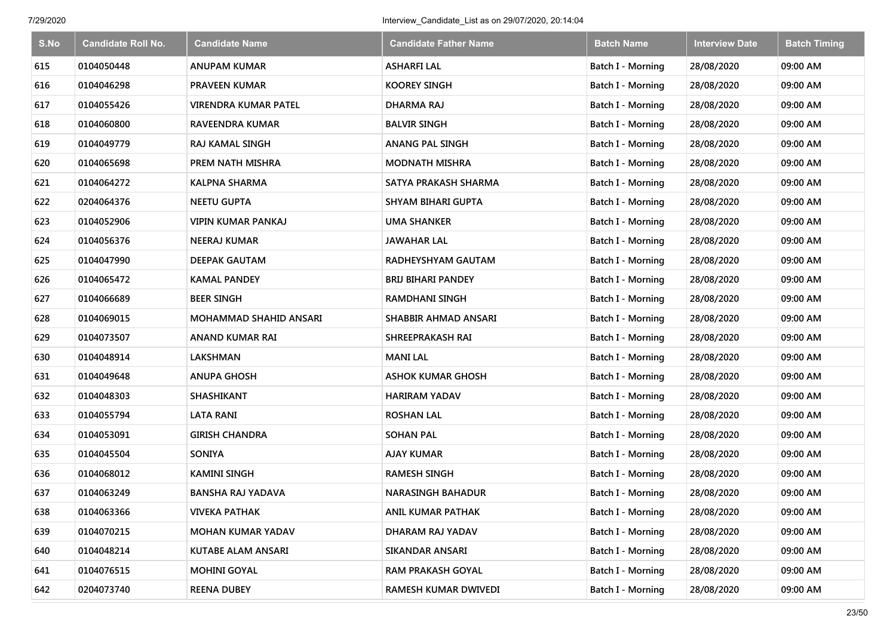| S.No | <b>Candidate Roll No.</b> | <b>Candidate Name</b>       | <b>Candidate Father Name</b> | <b>Batch Name</b>        | <b>Interview Date</b> | <b>Batch Timing</b> |
|------|---------------------------|-----------------------------|------------------------------|--------------------------|-----------------------|---------------------|
| 615  | 0104050448                | <b>ANUPAM KUMAR</b>         | <b>ASHARFI LAL</b>           | Batch I - Morning        | 28/08/2020            | 09:00 AM            |
| 616  | 0104046298                | <b>PRAVEEN KUMAR</b>        | <b>KOOREY SINGH</b>          | Batch I - Morning        | 28/08/2020            | 09:00 AM            |
| 617  | 0104055426                | <b>VIRENDRA KUMAR PATEL</b> | DHARMA RAJ                   | Batch I - Morning        | 28/08/2020            | 09:00 AM            |
| 618  | 0104060800                | RAVEENDRA KUMAR             | <b>BALVIR SINGH</b>          | Batch I - Morning        | 28/08/2020            | 09:00 AM            |
| 619  | 0104049779                | <b>RAJ KAMAL SINGH</b>      | <b>ANANG PAL SINGH</b>       | <b>Batch I - Morning</b> | 28/08/2020            | 09:00 AM            |
| 620  | 0104065698                | PREM NATH MISHRA            | <b>MODNATH MISHRA</b>        | Batch I - Morning        | 28/08/2020            | 09:00 AM            |
| 621  | 0104064272                | <b>KALPNA SHARMA</b>        | SATYA PRAKASH SHARMA         | Batch I - Morning        | 28/08/2020            | 09:00 AM            |
| 622  | 0204064376                | <b>NEETU GUPTA</b>          | SHYAM BIHARI GUPTA           | Batch I - Morning        | 28/08/2020            | 09:00 AM            |
| 623  | 0104052906                | <b>VIPIN KUMAR PANKAJ</b>   | <b>UMA SHANKER</b>           | Batch I - Morning        | 28/08/2020            | 09:00 AM            |
| 624  | 0104056376                | <b>NEERAJ KUMAR</b>         | <b>JAWAHAR LAL</b>           | Batch I - Morning        | 28/08/2020            | 09:00 AM            |
| 625  | 0104047990                | <b>DEEPAK GAUTAM</b>        | RADHEYSHYAM GAUTAM           | <b>Batch I - Morning</b> | 28/08/2020            | 09:00 AM            |
| 626  | 0104065472                | <b>KAMAL PANDEY</b>         | <b>BRIJ BIHARI PANDEY</b>    | <b>Batch I - Morning</b> | 28/08/2020            | 09:00 AM            |
| 627  | 0104066689                | <b>BEER SINGH</b>           | <b>RAMDHANI SINGH</b>        | Batch I - Morning        | 28/08/2020            | 09:00 AM            |
| 628  | 0104069015                | MOHAMMAD SHAHID ANSARI      | SHABBIR AHMAD ANSARI         | <b>Batch I - Morning</b> | 28/08/2020            | 09:00 AM            |
| 629  | 0104073507                | ANAND KUMAR RAI             | SHREEPRAKASH RAI             | <b>Batch I - Morning</b> | 28/08/2020            | 09:00 AM            |
| 630  | 0104048914                | LAKSHMAN                    | <b>MANI LAL</b>              | <b>Batch I - Morning</b> | 28/08/2020            | 09:00 AM            |
| 631  | 0104049648                | <b>ANUPA GHOSH</b>          | <b>ASHOK KUMAR GHOSH</b>     | <b>Batch I - Morning</b> | 28/08/2020            | 09:00 AM            |
| 632  | 0104048303                | SHASHIKANT                  | <b>HARIRAM YADAV</b>         | Batch I - Morning        | 28/08/2020            | 09:00 AM            |
| 633  | 0104055794                | <b>LATA RANI</b>            | <b>ROSHAN LAL</b>            | Batch I - Morning        | 28/08/2020            | 09:00 AM            |
| 634  | 0104053091                | <b>GIRISH CHANDRA</b>       | <b>SOHAN PAL</b>             | Batch I - Morning        | 28/08/2020            | 09:00 AM            |
| 635  | 0104045504                | <b>SONIYA</b>               | <b>AJAY KUMAR</b>            | Batch I - Morning        | 28/08/2020            | 09:00 AM            |
| 636  | 0104068012                | <b>KAMINI SINGH</b>         | <b>RAMESH SINGH</b>          | Batch I - Morning        | 28/08/2020            | 09:00 AM            |
| 637  | 0104063249                | <b>BANSHA RAJ YADAVA</b>    | <b>NARASINGH BAHADUR</b>     | Batch I - Morning        | 28/08/2020            | 09:00 AM            |
| 638  | 0104063366                | <b>VIVEKA PATHAK</b>        | ANIL KUMAR PATHAK            | Batch I - Morning        | 28/08/2020            | 09:00 AM            |
| 639  | 0104070215                | <b>MOHAN KUMAR YADAV</b>    | DHARAM RAJ YADAV             | Batch I - Morning        | 28/08/2020            | 09:00 AM            |
| 640  | 0104048214                | KUTABE ALAM ANSARI          | <b>SIKANDAR ANSARI</b>       | Batch I - Morning        | 28/08/2020            | 09:00 AM            |
| 641  | 0104076515                | <b>MOHINI GOYAL</b>         | <b>RAM PRAKASH GOYAL</b>     | Batch I - Morning        | 28/08/2020            | 09:00 AM            |
| 642  | 0204073740                | <b>REENA DUBEY</b>          | RAMESH KUMAR DWIVEDI         | <b>Batch I - Morning</b> | 28/08/2020            | 09:00 AM            |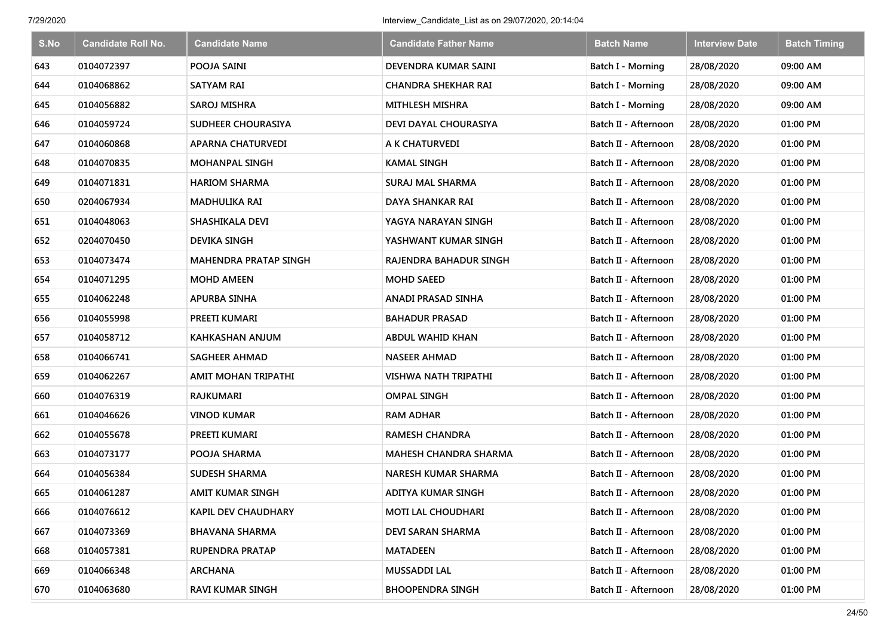| S.No | <b>Candidate Roll No.</b> | <b>Candidate Name</b>        | <b>Candidate Father Name</b> | <b>Batch Name</b>    | <b>Interview Date</b> | <b>Batch Timing</b> |
|------|---------------------------|------------------------------|------------------------------|----------------------|-----------------------|---------------------|
| 643  | 0104072397                | POOJA SAINI                  | DEVENDRA KUMAR SAINI         | Batch I - Morning    | 28/08/2020            | 09:00 AM            |
| 644  | 0104068862                | <b>SATYAM RAI</b>            | <b>CHANDRA SHEKHAR RAI</b>   | Batch I - Morning    | 28/08/2020            | 09:00 AM            |
| 645  | 0104056882                | <b>SAROJ MISHRA</b>          | <b>MITHLESH MISHRA</b>       | Batch I - Morning    | 28/08/2020            | 09:00 AM            |
| 646  | 0104059724                | SUDHEER CHOURASIYA           | DEVI DAYAL CHOURASIYA        | Batch II - Afternoon | 28/08/2020            | 01:00 PM            |
| 647  | 0104060868                | <b>APARNA CHATURVEDI</b>     | A K CHATURVEDI               | Batch II - Afternoon | 28/08/2020            | 01:00 PM            |
| 648  | 0104070835                | <b>MOHANPAL SINGH</b>        | <b>KAMAL SINGH</b>           | Batch II - Afternoon | 28/08/2020            | 01:00 PM            |
| 649  | 0104071831                | <b>HARIOM SHARMA</b>         | <b>SURAJ MAL SHARMA</b>      | Batch II - Afternoon | 28/08/2020            | 01:00 PM            |
| 650  | 0204067934                | <b>MADHULIKA RAI</b>         | DAYA SHANKAR RAI             | Batch II - Afternoon | 28/08/2020            | 01:00 PM            |
| 651  | 0104048063                | SHASHIKALA DEVI              | YAGYA NARAYAN SINGH          | Batch II - Afternoon | 28/08/2020            | 01:00 PM            |
| 652  | 0204070450                | <b>DEVIKA SINGH</b>          | YASHWANT KUMAR SINGH         | Batch II - Afternoon | 28/08/2020            | 01:00 PM            |
| 653  | 0104073474                | <b>MAHENDRA PRATAP SINGH</b> | RAJENDRA BAHADUR SINGH       | Batch II - Afternoon | 28/08/2020            | 01:00 PM            |
| 654  | 0104071295                | <b>MOHD AMEEN</b>            | <b>MOHD SAEED</b>            | Batch II - Afternoon | 28/08/2020            | 01:00 PM            |
| 655  | 0104062248                | <b>APURBA SINHA</b>          | ANADI PRASAD SINHA           | Batch II - Afternoon | 28/08/2020            | 01:00 PM            |
| 656  | 0104055998                | PREETI KUMARI                | <b>BAHADUR PRASAD</b>        | Batch II - Afternoon | 28/08/2020            | 01:00 PM            |
| 657  | 0104058712                | KAHKASHAN ANJUM              | <b>ABDUL WAHID KHAN</b>      | Batch II - Afternoon | 28/08/2020            | 01:00 PM            |
| 658  | 0104066741                | SAGHEER AHMAD                | <b>NASEER AHMAD</b>          | Batch II - Afternoon | 28/08/2020            | 01:00 PM            |
| 659  | 0104062267                | AMIT MOHAN TRIPATHI          | <b>VISHWA NATH TRIPATHI</b>  | Batch II - Afternoon | 28/08/2020            | 01:00 PM            |
| 660  | 0104076319                | RAJKUMARI                    | <b>OMPAL SINGH</b>           | Batch II - Afternoon | 28/08/2020            | 01:00 PM            |
| 661  | 0104046626                | <b>VINOD KUMAR</b>           | <b>RAM ADHAR</b>             | Batch II - Afternoon | 28/08/2020            | 01:00 PM            |
| 662  | 0104055678                | PREETI KUMARI                | <b>RAMESH CHANDRA</b>        | Batch II - Afternoon | 28/08/2020            | 01:00 PM            |
| 663  | 0104073177                | POOJA SHARMA                 | <b>MAHESH CHANDRA SHARMA</b> | Batch II - Afternoon | 28/08/2020            | 01:00 PM            |
| 664  | 0104056384                | <b>SUDESH SHARMA</b>         | <b>NARESH KUMAR SHARMA</b>   | Batch II - Afternoon | 28/08/2020            | 01:00 PM            |
| 665  | 0104061287                | <b>AMIT KUMAR SINGH</b>      | ADITYA KUMAR SINGH           | Batch II - Afternoon | 28/08/2020            | 01:00 PM            |
| 666  | 0104076612                | <b>KAPIL DEV CHAUDHARY</b>   | <b>MOTI LAL CHOUDHARI</b>    | Batch II - Afternoon | 28/08/2020            | 01:00 PM            |
| 667  | 0104073369                | <b>BHAVANA SHARMA</b>        | DEVI SARAN SHARMA            | Batch II - Afternoon | 28/08/2020            | 01:00 PM            |
| 668  | 0104057381                | <b>RUPENDRA PRATAP</b>       | <b>MATADEEN</b>              | Batch II - Afternoon | 28/08/2020            | 01:00 PM            |
| 669  | 0104066348                | <b>ARCHANA</b>               | MUSSADDI LAL                 | Batch II - Afternoon | 28/08/2020            | 01:00 PM            |
| 670  | 0104063680                | <b>RAVI KUMAR SINGH</b>      | <b>BHOOPENDRA SINGH</b>      | Batch II - Afternoon | 28/08/2020            | 01:00 PM            |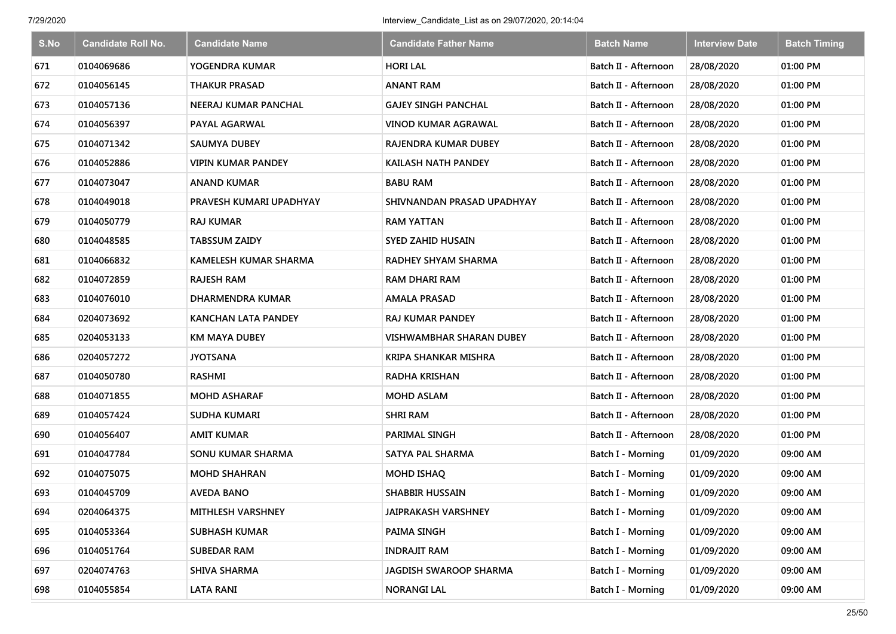| S.No | <b>Candidate Roll No.</b> | <b>Candidate Name</b>        | <b>Candidate Father Name</b>    | <b>Batch Name</b>    | <b>Interview Date</b> | <b>Batch Timing</b> |
|------|---------------------------|------------------------------|---------------------------------|----------------------|-----------------------|---------------------|
| 671  | 0104069686                | YOGENDRA KUMAR               | <b>HORI LAL</b>                 | Batch II - Afternoon | 28/08/2020            | 01:00 PM            |
| 672  | 0104056145                | <b>THAKUR PRASAD</b>         | <b>ANANT RAM</b>                | Batch II - Afternoon | 28/08/2020            | 01:00 PM            |
| 673  | 0104057136                | NEERAJ KUMAR PANCHAL         | <b>GAJEY SINGH PANCHAL</b>      | Batch II - Afternoon | 28/08/2020            | 01:00 PM            |
| 674  | 0104056397                | PAYAL AGARWAL                | <b>VINOD KUMAR AGRAWAL</b>      | Batch II - Afternoon | 28/08/2020            | 01:00 PM            |
| 675  | 0104071342                | <b>SAUMYA DUBEY</b>          | <b>RAJENDRA KUMAR DUBEY</b>     | Batch II - Afternoon | 28/08/2020            | 01:00 PM            |
| 676  | 0104052886                | <b>VIPIN KUMAR PANDEY</b>    | <b>KAILASH NATH PANDEY</b>      | Batch II - Afternoon | 28/08/2020            | 01:00 PM            |
| 677  | 0104073047                | <b>ANAND KUMAR</b>           | <b>BABU RAM</b>                 | Batch II - Afternoon | 28/08/2020            | 01:00 PM            |
| 678  | 0104049018                | PRAVESH KUMARI UPADHYAY      | SHIVNANDAN PRASAD UPADHYAY      | Batch II - Afternoon | 28/08/2020            | 01:00 PM            |
| 679  | 0104050779                | <b>RAJ KUMAR</b>             | <b>RAM YATTAN</b>               | Batch II - Afternoon | 28/08/2020            | 01:00 PM            |
| 680  | 0104048585                | <b>TABSSUM ZAIDY</b>         | <b>SYED ZAHID HUSAIN</b>        | Batch II - Afternoon | 28/08/2020            | 01:00 PM            |
| 681  | 0104066832                | <b>KAMELESH KUMAR SHARMA</b> | <b>RADHEY SHYAM SHARMA</b>      | Batch II - Afternoon | 28/08/2020            | 01:00 PM            |
| 682  | 0104072859                | RAJESH RAM                   | RAM DHARI RAM                   | Batch II - Afternoon | 28/08/2020            | 01:00 PM            |
| 683  | 0104076010                | <b>DHARMENDRA KUMAR</b>      | <b>AMALA PRASAD</b>             | Batch II - Afternoon | 28/08/2020            | 01:00 PM            |
| 684  | 0204073692                | KANCHAN LATA PANDEY          | <b>RAJ KUMAR PANDEY</b>         | Batch II - Afternoon | 28/08/2020            | 01:00 PM            |
| 685  | 0204053133                | <b>KM MAYA DUBEY</b>         | <b>VISHWAMBHAR SHARAN DUBEY</b> | Batch II - Afternoon | 28/08/2020            | 01:00 PM            |
| 686  | 0204057272                | <b>JYOTSANA</b>              | <b>KRIPA SHANKAR MISHRA</b>     | Batch II - Afternoon | 28/08/2020            | 01:00 PM            |
| 687  | 0104050780                | <b>RASHMI</b>                | <b>RADHA KRISHAN</b>            | Batch II - Afternoon | 28/08/2020            | 01:00 PM            |
| 688  | 0104071855                | <b>MOHD ASHARAF</b>          | <b>MOHD ASLAM</b>               | Batch II - Afternoon | 28/08/2020            | 01:00 PM            |
| 689  | 0104057424                | <b>SUDHA KUMARI</b>          | <b>SHRI RAM</b>                 | Batch II - Afternoon | 28/08/2020            | 01:00 PM            |
| 690  | 0104056407                | <b>AMIT KUMAR</b>            | <b>PARIMAL SINGH</b>            | Batch II - Afternoon | 28/08/2020            | 01:00 PM            |
| 691  | 0104047784                | SONU KUMAR SHARMA            | <b>SATYA PAL SHARMA</b>         | Batch I - Morning    | 01/09/2020            | 09:00 AM            |
| 692  | 0104075075                | <b>MOHD SHAHRAN</b>          | MOHD ISHAQ                      | Batch I - Morning    | 01/09/2020            | 09:00 AM            |
| 693  | 0104045709                | <b>AVEDA BANO</b>            | <b>SHABBIR HUSSAIN</b>          | Batch I - Morning    | 01/09/2020            | 09:00 AM            |
| 694  | 0204064375                | <b>MITHLESH VARSHNEY</b>     | JAIPRAKASH VARSHNEY             | Batch I - Morning    | 01/09/2020            | 09:00 AM            |
| 695  | 0104053364                | <b>SUBHASH KUMAR</b>         | PAIMA SINGH                     | Batch I - Morning    | 01/09/2020            | 09:00 AM            |
| 696  | 0104051764                | <b>SUBEDAR RAM</b>           | <b>INDRAJIT RAM</b>             | Batch I - Morning    | 01/09/2020            | 09:00 AM            |
| 697  | 0204074763                | <b>SHIVA SHARMA</b>          | JAGDISH SWAROOP SHARMA          | Batch I - Morning    | 01/09/2020            | 09:00 AM            |
| 698  | 0104055854                | <b>LATA RANI</b>             | <b>NORANGI LAL</b>              | Batch I - Morning    | 01/09/2020            | 09:00 AM            |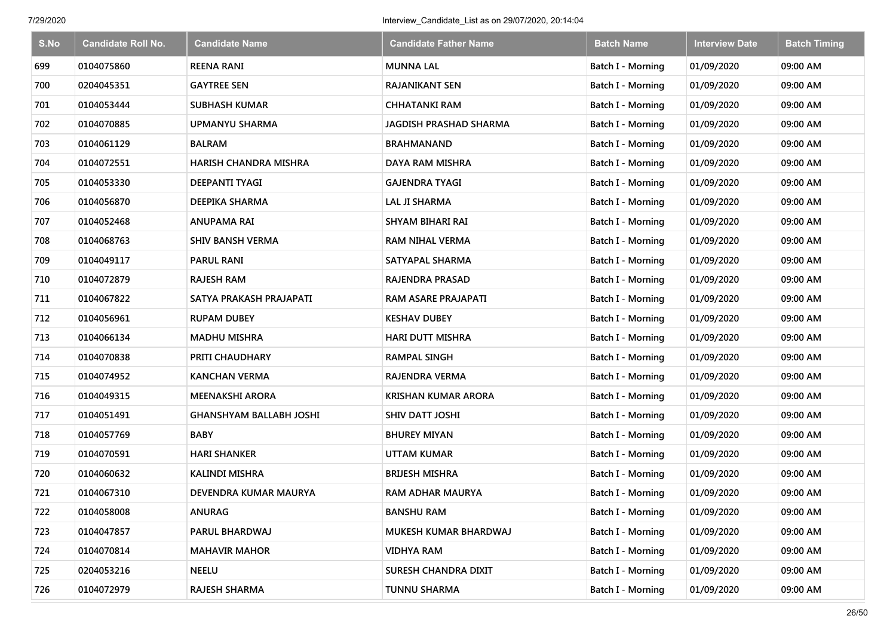| S.No | <b>Candidate Roll No.</b> | <b>Candidate Name</b>          | <b>Candidate Father Name</b>  | <b>Batch Name</b>        | <b>Interview Date</b> | <b>Batch Timing</b> |
|------|---------------------------|--------------------------------|-------------------------------|--------------------------|-----------------------|---------------------|
| 699  | 0104075860                | <b>REENA RANI</b>              | <b>MUNNA LAL</b>              | Batch I - Morning        | 01/09/2020            | 09:00 AM            |
| 700  | 0204045351                | <b>GAYTREE SEN</b>             | <b>RAJANIKANT SEN</b>         | Batch I - Morning        | 01/09/2020            | 09:00 AM            |
| 701  | 0104053444                | <b>SUBHASH KUMAR</b>           | <b>CHHATANKI RAM</b>          | Batch I - Morning        | 01/09/2020            | 09:00 AM            |
| 702  | 0104070885                | UPMANYU SHARMA                 | <b>JAGDISH PRASHAD SHARMA</b> | Batch I - Morning        | 01/09/2020            | 09:00 AM            |
| 703  | 0104061129                | <b>BALRAM</b>                  | <b>BRAHMANAND</b>             | <b>Batch I - Morning</b> | 01/09/2020            | 09:00 AM            |
| 704  | 0104072551                | <b>HARISH CHANDRA MISHRA</b>   | DAYA RAM MISHRA               | Batch I - Morning        | 01/09/2020            | 09:00 AM            |
| 705  | 0104053330                | <b>DEEPANTI TYAGI</b>          | <b>GAJENDRA TYAGI</b>         | Batch I - Morning        | 01/09/2020            | 09:00 AM            |
| 706  | 0104056870                | DEEPIKA SHARMA                 | <b>LAL JI SHARMA</b>          | Batch I - Morning        | 01/09/2020            | 09:00 AM            |
| 707  | 0104052468                | <b>ANUPAMA RAI</b>             | SHYAM BIHARI RAI              | Batch I - Morning        | 01/09/2020            | 09:00 AM            |
| 708  | 0104068763                | <b>SHIV BANSH VERMA</b>        | <b>RAM NIHAL VERMA</b>        | Batch I - Morning        | 01/09/2020            | 09:00 AM            |
| 709  | 0104049117                | <b>PARUL RANI</b>              | SATYAPAL SHARMA               | Batch I - Morning        | 01/09/2020            | 09:00 AM            |
| 710  | 0104072879                | <b>RAJESH RAM</b>              | RAJENDRA PRASAD               | Batch I - Morning        | 01/09/2020            | 09:00 AM            |
| 711  | 0104067822                | SATYA PRAKASH PRAJAPATI        | RAM ASARE PRAJAPATI           | Batch I - Morning        | 01/09/2020            | 09:00 AM            |
| 712  | 0104056961                | <b>RUPAM DUBEY</b>             | <b>KESHAV DUBEY</b>           | <b>Batch I - Morning</b> | 01/09/2020            | 09:00 AM            |
| 713  | 0104066134                | <b>MADHU MISHRA</b>            | <b>HARI DUTT MISHRA</b>       | <b>Batch I - Morning</b> | 01/09/2020            | 09:00 AM            |
| 714  | 0104070838                | PRITI CHAUDHARY                | <b>RAMPAL SINGH</b>           | <b>Batch I - Morning</b> | 01/09/2020            | 09:00 AM            |
| 715  | 0104074952                | <b>KANCHAN VERMA</b>           | RAJENDRA VERMA                | <b>Batch I - Morning</b> | 01/09/2020            | 09:00 AM            |
| 716  | 0104049315                | <b>MEENAKSHI ARORA</b>         | <b>KRISHAN KUMAR ARORA</b>    | Batch I - Morning        | 01/09/2020            | 09:00 AM            |
| 717  | 0104051491                | <b>GHANSHYAM BALLABH JOSHI</b> | SHIV DATT JOSHI               | Batch I - Morning        | 01/09/2020            | 09:00 AM            |
| 718  | 0104057769                | <b>BABY</b>                    | <b>BHUREY MIYAN</b>           | Batch I - Morning        | 01/09/2020            | 09:00 AM            |
| 719  | 0104070591                | <b>HARI SHANKER</b>            | <b>UTTAM KUMAR</b>            | Batch I - Morning        | 01/09/2020            | 09:00 AM            |
| 720  | 0104060632                | <b>KALINDI MISHRA</b>          | <b>BRIJESH MISHRA</b>         | Batch I - Morning        | 01/09/2020            | 09:00 AM            |
| 721  | 0104067310                | DEVENDRA KUMAR MAURYA          | <b>RAM ADHAR MAURYA</b>       | Batch I - Morning        | 01/09/2020            | 09:00 AM            |
| 722  | 0104058008                | <b>ANURAG</b>                  | <b>BANSHU RAM</b>             | Batch I - Morning        | 01/09/2020            | 09:00 AM            |
| 723  | 0104047857                | PARUL BHARDWAJ                 | MUKESH KUMAR BHARDWAJ         | Batch I - Morning        | 01/09/2020            | 09:00 AM            |
| 724  | 0104070814                | <b>MAHAVIR MAHOR</b>           | <b>VIDHYA RAM</b>             | Batch I - Morning        | 01/09/2020            | 09:00 AM            |
| 725  | 0204053216                | <b>NEELU</b>                   | SURESH CHANDRA DIXIT          | Batch I - Morning        | 01/09/2020            | 09:00 AM            |
| 726  | 0104072979                | RAJESH SHARMA                  | <b>TUNNU SHARMA</b>           | Batch I - Morning        | 01/09/2020            | 09:00 AM            |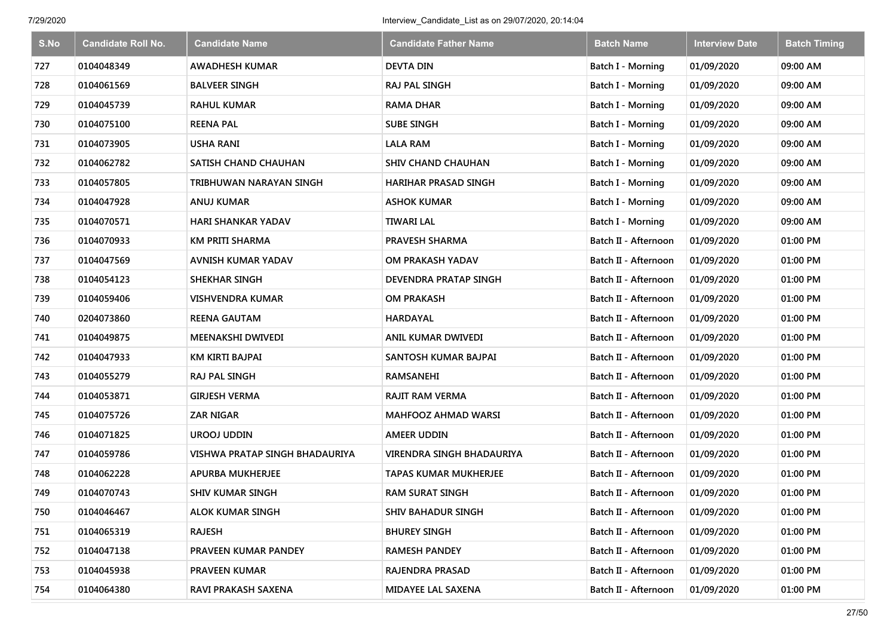| S.No | <b>Candidate Roll No.</b> | <b>Candidate Name</b>          | <b>Candidate Father Name</b> | <b>Batch Name</b>    | <b>Interview Date</b> | <b>Batch Timing</b> |
|------|---------------------------|--------------------------------|------------------------------|----------------------|-----------------------|---------------------|
| 727  | 0104048349                | <b>AWADHESH KUMAR</b>          | <b>DEVTA DIN</b>             | Batch I - Morning    | 01/09/2020            | 09:00 AM            |
| 728  | 0104061569                | <b>BALVEER SINGH</b>           | <b>RAJ PAL SINGH</b>         | Batch I - Morning    | 01/09/2020            | 09:00 AM            |
| 729  | 0104045739                | <b>RAHUL KUMAR</b>             | <b>RAMA DHAR</b>             | Batch I - Morning    | 01/09/2020            | 09:00 AM            |
| 730  | 0104075100                | <b>REENA PAL</b>               | <b>SUBE SINGH</b>            | Batch I - Morning    | 01/09/2020            | 09:00 AM            |
| 731  | 0104073905                | <b>USHA RANI</b>               | <b>LALA RAM</b>              | Batch I - Morning    | 01/09/2020            | 09:00 AM            |
| 732  | 0104062782                | SATISH CHAND CHAUHAN           | <b>SHIV CHAND CHAUHAN</b>    | Batch I - Morning    | 01/09/2020            | 09:00 AM            |
| 733  | 0104057805                | TRIBHUWAN NARAYAN SINGH        | <b>HARIHAR PRASAD SINGH</b>  | Batch I - Morning    | 01/09/2020            | 09:00 AM            |
| 734  | 0104047928                | ANUJ KUMAR                     | <b>ASHOK KUMAR</b>           | Batch I - Morning    | 01/09/2020            | 09:00 AM            |
| 735  | 0104070571                | <b>HARI SHANKAR YADAV</b>      | <b>TIWARI LAL</b>            | Batch I - Morning    | 01/09/2020            | 09:00 AM            |
| 736  | 0104070933                | <b>KM PRITI SHARMA</b>         | <b>PRAVESH SHARMA</b>        | Batch II - Afternoon | 01/09/2020            | 01:00 PM            |
| 737  | 0104047569                | AVNISH KUMAR YADAV             | OM PRAKASH YADAV             | Batch II - Afternoon | 01/09/2020            | 01:00 PM            |
| 738  | 0104054123                | <b>SHEKHAR SINGH</b>           | <b>DEVENDRA PRATAP SINGH</b> | Batch II - Afternoon | 01/09/2020            | 01:00 PM            |
| 739  | 0104059406                | <b>VISHVENDRA KUMAR</b>        | <b>OM PRAKASH</b>            | Batch II - Afternoon | 01/09/2020            | 01:00 PM            |
| 740  | 0204073860                | <b>REENA GAUTAM</b>            | <b>HARDAYAL</b>              | Batch II - Afternoon | 01/09/2020            | 01:00 PM            |
| 741  | 0104049875                | <b>MEENAKSHI DWIVEDI</b>       | ANIL KUMAR DWIVEDI           | Batch II - Afternoon | 01/09/2020            | 01:00 PM            |
| 742  | 0104047933                | KM KIRTI BAJPAI                | SANTOSH KUMAR BAJPAI         | Batch II - Afternoon | 01/09/2020            | 01:00 PM            |
| 743  | 0104055279                | <b>RAJ PAL SINGH</b>           | RAMSANEHI                    | Batch II - Afternoon | 01/09/2020            | 01:00 PM            |
| 744  | 0104053871                | <b>GIRJESH VERMA</b>           | <b>RAJIT RAM VERMA</b>       | Batch II - Afternoon | 01/09/2020            | 01:00 PM            |
| 745  | 0104075726                | <b>ZAR NIGAR</b>               | <b>MAHFOOZ AHMAD WARSI</b>   | Batch II - Afternoon | 01/09/2020            | 01:00 PM            |
| 746  | 0104071825                | <b>UROOJ UDDIN</b>             | <b>AMEER UDDIN</b>           | Batch II - Afternoon | 01/09/2020            | 01:00 PM            |
| 747  | 0104059786                | VISHWA PRATAP SINGH BHADAURIYA | VIRENDRA SINGH BHADAURIYA    | Batch II - Afternoon | 01/09/2020            | 01:00 PM            |
| 748  | 0104062228                | <b>APURBA MUKHERJEE</b>        | <b>TAPAS KUMAR MUKHERJEE</b> | Batch II - Afternoon | 01/09/2020            | 01:00 PM            |
| 749  | 0104070743                | <b>SHIV KUMAR SINGH</b>        | <b>RAM SURAT SINGH</b>       | Batch II - Afternoon | 01/09/2020            | 01:00 PM            |
| 750  | 0104046467                | <b>ALOK KUMAR SINGH</b>        | <b>SHIV BAHADUR SINGH</b>    | Batch II - Afternoon | 01/09/2020            | 01:00 PM            |
| 751  | 0104065319                | <b>RAJESH</b>                  | <b>BHUREY SINGH</b>          | Batch II - Afternoon | 01/09/2020            | 01:00 PM            |
| 752  | 0104047138                | PRAVEEN KUMAR PANDEY           | RAMESH PANDEY                | Batch II - Afternoon | 01/09/2020            | 01:00 PM            |
| 753  | 0104045938                | <b>PRAVEEN KUMAR</b>           | RAJENDRA PRASAD              | Batch II - Afternoon | 01/09/2020            | 01:00 PM            |
| 754  | 0104064380                | RAVI PRAKASH SAXENA            | <b>MIDAYEE LAL SAXENA</b>    | Batch II - Afternoon | 01/09/2020            | 01:00 PM            |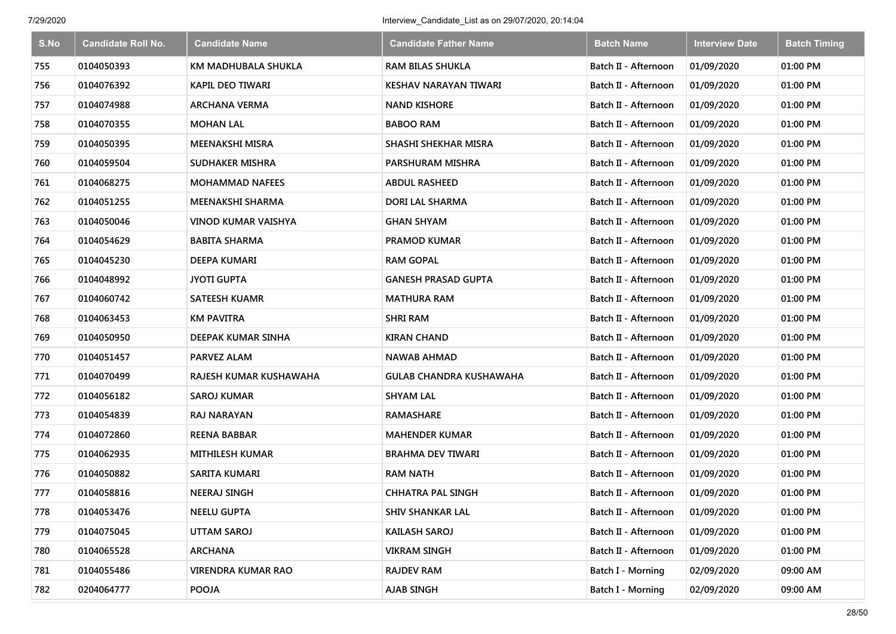| S.No | <b>Candidate Roll No.</b> | <b>Candidate Name</b>      | <b>Candidate Father Name</b> | <b>Batch Name</b>    | <b>Interview Date</b> | <b>Batch Timing</b> |
|------|---------------------------|----------------------------|------------------------------|----------------------|-----------------------|---------------------|
| 755  | 0104050393                | KM MADHUBALA SHUKLA        | <b>RAM BILAS SHUKLA</b>      | Batch II - Afternoon | 01/09/2020            | 01:00 PM            |
| 756  | 0104076392                | <b>KAPIL DEO TIWARI</b>    | KESHAV NARAYAN TIWARI        | Batch II - Afternoon | 01/09/2020            | 01:00 PM            |
| 757  | 0104074988                | <b>ARCHANA VERMA</b>       | <b>NAND KISHORE</b>          | Batch II - Afternoon | 01/09/2020            | 01:00 PM            |
| 758  | 0104070355                | <b>MOHAN LAL</b>           | <b>BABOO RAM</b>             | Batch II - Afternoon | 01/09/2020            | 01:00 PM            |
| 759  | 0104050395                | <b>MEENAKSHI MISRA</b>     | SHASHI SHEKHAR MISRA         | Batch II - Afternoon | 01/09/2020            | 01:00 PM            |
| 760  | 0104059504                | <b>SUDHAKER MISHRA</b>     | PARSHURAM MISHRA             | Batch II - Afternoon | 01/09/2020            | 01:00 PM            |
| 761  | 0104068275                | <b>MOHAMMAD NAFEES</b>     | <b>ABDUL RASHEED</b>         | Batch II - Afternoon | 01/09/2020            | 01:00 PM            |
| 762  | 0104051255                | <b>MEENAKSHI SHARMA</b>    | DORI LAL SHARMA              | Batch II - Afternoon | 01/09/2020            | 01:00 PM            |
| 763  | 0104050046                | <b>VINOD KUMAR VAISHYA</b> | <b>GHAN SHYAM</b>            | Batch II - Afternoon | 01/09/2020            | 01:00 PM            |
| 764  | 0104054629                | <b>BABITA SHARMA</b>       | <b>PRAMOD KUMAR</b>          | Batch II - Afternoon | 01/09/2020            | 01:00 PM            |
| 765  | 0104045230                | DEEPA KUMARI               | <b>RAM GOPAL</b>             | Batch II - Afternoon | 01/09/2020            | 01:00 PM            |
| 766  | 0104048992                | <b>JYOTI GUPTA</b>         | <b>GANESH PRASAD GUPTA</b>   | Batch II - Afternoon | 01/09/2020            | 01:00 PM            |
| 767  | 0104060742                | <b>SATEESH KUAMR</b>       | <b>MATHURA RAM</b>           | Batch II - Afternoon | 01/09/2020            | 01:00 PM            |
| 768  | 0104063453                | <b>KM PAVITRA</b>          | <b>SHRI RAM</b>              | Batch II - Afternoon | 01/09/2020            | 01:00 PM            |
| 769  | 0104050950                | DEEPAK KUMAR SINHA         | <b>KIRAN CHAND</b>           | Batch II - Afternoon | 01/09/2020            | 01:00 PM            |
| 770  | 0104051457                | <b>PARVEZ ALAM</b>         | <b>NAWAB AHMAD</b>           | Batch II - Afternoon | 01/09/2020            | 01:00 PM            |
| 771  | 0104070499                | RAJESH KUMAR KUSHAWAHA     | GULAB CHANDRA KUSHAWAHA      | Batch II - Afternoon | 01/09/2020            | 01:00 PM            |
| 772  | 0104056182                | <b>SAROJ KUMAR</b>         | <b>SHYAM LAL</b>             | Batch II - Afternoon | 01/09/2020            | 01:00 PM            |
| 773  | 0104054839                | <b>RAJ NARAYAN</b>         | <b>RAMASHARE</b>             | Batch II - Afternoon | 01/09/2020            | 01:00 PM            |
| 774  | 0104072860                | <b>REENA BABBAR</b>        | <b>MAHENDER KUMAR</b>        | Batch II - Afternoon | 01/09/2020            | 01:00 PM            |
| 775  | 0104062935                | <b>MITHILESH KUMAR</b>     | <b>BRAHMA DEV TIWARI</b>     | Batch II - Afternoon | 01/09/2020            | 01:00 PM            |
| 776  | 0104050882                | <b>SARITA KUMARI</b>       | <b>RAM NATH</b>              | Batch II - Afternoon | 01/09/2020            | 01:00 PM            |
| 777  | 0104058816                | <b>NEERAJ SINGH</b>        | <b>CHHATRA PAL SINGH</b>     | Batch II - Afternoon | 01/09/2020            | 01:00 PM            |
| 778  | 0104053476                | <b>NEELU GUPTA</b>         | <b>SHIV SHANKAR LAL</b>      | Batch II - Afternoon | 01/09/2020            | 01:00 PM            |
| 779  | 0104075045                | <b>UTTAM SAROJ</b>         | <b>KAILASH SAROJ</b>         | Batch II - Afternoon | 01/09/2020            | 01:00 PM            |
| 780  | 0104065528                | <b>ARCHANA</b>             | <b>VIKRAM SINGH</b>          | Batch II - Afternoon | 01/09/2020            | 01:00 PM            |
| 781  | 0104055486                | <b>VIRENDRA KUMAR RAO</b>  | <b>RAJDEV RAM</b>            | Batch I - Morning    | 02/09/2020            | 09:00 AM            |
| 782  | 0204064777                | <b>POOJA</b>               | AJAB SINGH                   | Batch I - Morning    | 02/09/2020            | 09:00 AM            |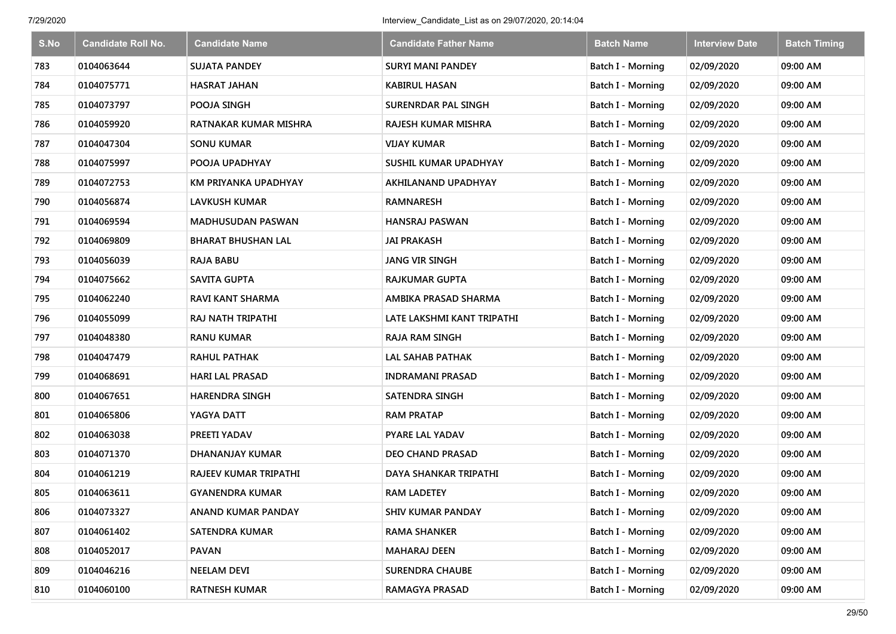| S.No | <b>Candidate Roll No.</b> | <b>Candidate Name</b>     | <b>Candidate Father Name</b> | <b>Batch Name</b>        | <b>Interview Date</b> | <b>Batch Timing</b> |
|------|---------------------------|---------------------------|------------------------------|--------------------------|-----------------------|---------------------|
| 783  | 0104063644                | <b>SUJATA PANDEY</b>      | <b>SURYI MANI PANDEY</b>     | <b>Batch I - Morning</b> | 02/09/2020            | 09:00 AM            |
| 784  | 0104075771                | <b>HASRAT JAHAN</b>       | KABIRUL HASAN                | <b>Batch I - Morning</b> | 02/09/2020            | 09:00 AM            |
| 785  | 0104073797                | POOJA SINGH               | SURENRDAR PAL SINGH          | Batch I - Morning        | 02/09/2020            | 09:00 AM            |
| 786  | 0104059920                | RATNAKAR KUMAR MISHRA     | RAJESH KUMAR MISHRA          | Batch I - Morning        | 02/09/2020            | 09:00 AM            |
| 787  | 0104047304                | <b>SONU KUMAR</b>         | <b>VIJAY KUMAR</b>           | Batch I - Morning        | 02/09/2020            | 09:00 AM            |
| 788  | 0104075997                | POOJA UPADHYAY            | SUSHIL KUMAR UPADHYAY        | Batch I - Morning        | 02/09/2020            | 09:00 AM            |
| 789  | 0104072753                | KM PRIYANKA UPADHYAY      | AKHILANAND UPADHYAY          | Batch I - Morning        | 02/09/2020            | 09:00 AM            |
| 790  | 0104056874                | <b>LAVKUSH KUMAR</b>      | RAMNARESH                    | <b>Batch I - Morning</b> | 02/09/2020            | 09:00 AM            |
| 791  | 0104069594                | <b>MADHUSUDAN PASWAN</b>  | <b>HANSRAJ PASWAN</b>        | Batch I - Morning        | 02/09/2020            | 09:00 AM            |
| 792  | 0104069809                | <b>BHARAT BHUSHAN LAL</b> | <b>JAI PRAKASH</b>           | Batch I - Morning        | 02/09/2020            | 09:00 AM            |
| 793  | 0104056039                | <b>RAJA BABU</b>          | <b>JANG VIR SINGH</b>        | Batch I - Morning        | 02/09/2020            | 09:00 AM            |
| 794  | 0104075662                | <b>SAVITA GUPTA</b>       | RAJKUMAR GUPTA               | <b>Batch I - Morning</b> | 02/09/2020            | 09:00 AM            |
| 795  | 0104062240                | <b>RAVI KANT SHARMA</b>   | AMBIKA PRASAD SHARMA         | Batch I - Morning        | 02/09/2020            | 09:00 AM            |
| 796  | 0104055099                | RAJ NATH TRIPATHI         | LATE LAKSHMI KANT TRIPATHI   | <b>Batch I - Morning</b> | 02/09/2020            | 09:00 AM            |
| 797  | 0104048380                | <b>RANU KUMAR</b>         | <b>RAJA RAM SINGH</b>        | Batch I - Morning        | 02/09/2020            | 09:00 AM            |
| 798  | 0104047479                | <b>RAHUL PATHAK</b>       | <b>LAL SAHAB PATHAK</b>      | Batch I - Morning        | 02/09/2020            | 09:00 AM            |
| 799  | 0104068691                | <b>HARI LAL PRASAD</b>    | <b>INDRAMANI PRASAD</b>      | Batch I - Morning        | 02/09/2020            | 09:00 AM            |
| 800  | 0104067651                | <b>HARENDRA SINGH</b>     | <b>SATENDRA SINGH</b>        | Batch I - Morning        | 02/09/2020            | 09:00 AM            |
| 801  | 0104065806                | YAGYA DATT                | <b>RAM PRATAP</b>            | Batch I - Morning        | 02/09/2020            | 09:00 AM            |
| 802  | 0104063038                | PREETI YADAV              | PYARE LAL YADAV              | Batch I - Morning        | 02/09/2020            | 09:00 AM            |
| 803  | 0104071370                | <b>DHANANJAY KUMAR</b>    | DEO CHAND PRASAD             | Batch I - Morning        | 02/09/2020            | 09:00 AM            |
| 804  | 0104061219                | RAJEEV KUMAR TRIPATHI     | DAYA SHANKAR TRIPATHI        | Batch I - Morning        | 02/09/2020            | 09:00 AM            |
| 805  | 0104063611                | <b>GYANENDRA KUMAR</b>    | <b>RAM LADETEY</b>           | Batch I - Morning        | 02/09/2020            | 09:00 AM            |
| 806  | 0104073327                | <b>ANAND KUMAR PANDAY</b> | <b>SHIV KUMAR PANDAY</b>     | Batch I - Morning        | 02/09/2020            | 09:00 AM            |
| 807  | 0104061402                | <b>SATENDRA KUMAR</b>     | <b>RAMA SHANKER</b>          | Batch I - Morning        | 02/09/2020            | 09:00 AM            |
| 808  | 0104052017                | <b>PAVAN</b>              | <b>MAHARAJ DEEN</b>          | Batch I - Morning        | 02/09/2020            | 09:00 AM            |
| 809  | 0104046216                | <b>NEELAM DEVI</b>        | <b>SURENDRA CHAUBE</b>       | Batch I - Morning        | 02/09/2020            | 09:00 AM            |
| 810  | 0104060100                | <b>RATNESH KUMAR</b>      | <b>RAMAGYA PRASAD</b>        | <b>Batch I - Morning</b> | 02/09/2020            | 09:00 AM            |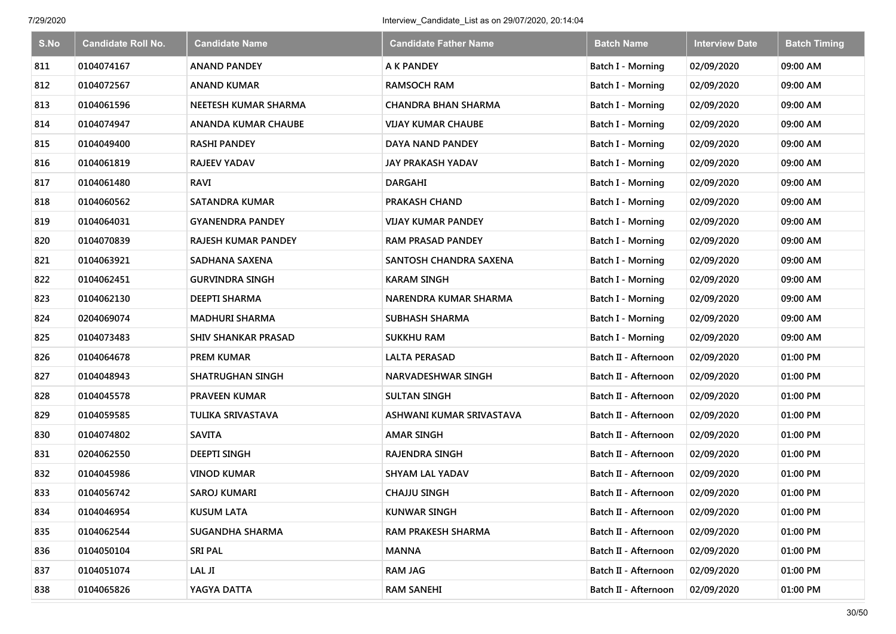| S.No | <b>Candidate Roll No.</b> | <b>Candidate Name</b>      | <b>Candidate Father Name</b> | <b>Batch Name</b>        | <b>Interview Date</b> | <b>Batch Timing</b> |
|------|---------------------------|----------------------------|------------------------------|--------------------------|-----------------------|---------------------|
| 811  | 0104074167                | <b>ANAND PANDEY</b>        | A K PANDEY                   | Batch I - Morning        | 02/09/2020            | 09:00 AM            |
| 812  | 0104072567                | <b>ANAND KUMAR</b>         | <b>RAMSOCH RAM</b>           | Batch I - Morning        | 02/09/2020            | 09:00 AM            |
| 813  | 0104061596                | NEETESH KUMAR SHARMA       | CHANDRA BHAN SHARMA          | Batch I - Morning        | 02/09/2020            | 09:00 AM            |
| 814  | 0104074947                | ANANDA KUMAR CHAUBE        | <b>VIJAY KUMAR CHAUBE</b>    | Batch I - Morning        | 02/09/2020            | 09:00 AM            |
| 815  | 0104049400                | <b>RASHI PANDEY</b>        | DAYA NAND PANDEY             | <b>Batch I - Morning</b> | 02/09/2020            | 09:00 AM            |
| 816  | 0104061819                | <b>RAJEEV YADAV</b>        | JAY PRAKASH YADAV            | Batch I - Morning        | 02/09/2020            | 09:00 AM            |
| 817  | 0104061480                | RAVI                       | <b>DARGAHI</b>               | Batch I - Morning        | 02/09/2020            | 09:00 AM            |
| 818  | 0104060562                | <b>SATANDRA KUMAR</b>      | PRAKASH CHAND                | Batch I - Morning        | 02/09/2020            | 09:00 AM            |
| 819  | 0104064031                | <b>GYANENDRA PANDEY</b>    | <b>VIJAY KUMAR PANDEY</b>    | Batch I - Morning        | 02/09/2020            | 09:00 AM            |
| 820  | 0104070839                | <b>RAJESH KUMAR PANDEY</b> | <b>RAM PRASAD PANDEY</b>     | Batch I - Morning        | 02/09/2020            | 09:00 AM            |
| 821  | 0104063921                | SADHANA SAXENA             | SANTOSH CHANDRA SAXENA       | Batch I - Morning        | 02/09/2020            | 09:00 AM            |
| 822  | 0104062451                | <b>GURVINDRA SINGH</b>     | <b>KARAM SINGH</b>           | Batch I - Morning        | 02/09/2020            | 09:00 AM            |
| 823  | 0104062130                | <b>DEEPTI SHARMA</b>       | <b>NARENDRA KUMAR SHARMA</b> | Batch I - Morning        | 02/09/2020            | 09:00 AM            |
| 824  | 0204069074                | <b>MADHURI SHARMA</b>      | SUBHASH SHARMA               | <b>Batch I - Morning</b> | 02/09/2020            | 09:00 AM            |
| 825  | 0104073483                | <b>SHIV SHANKAR PRASAD</b> | <b>SUKKHU RAM</b>            | Batch I - Morning        | 02/09/2020            | 09:00 AM            |
| 826  | 0104064678                | PREM KUMAR                 | LALTA PERASAD                | Batch II - Afternoon     | 02/09/2020            | 01:00 PM            |
| 827  | 0104048943                | <b>SHATRUGHAN SINGH</b>    | NARVADESHWAR SINGH           | Batch II - Afternoon     | 02/09/2020            | 01:00 PM            |
| 828  | 0104045578                | PRAVEEN KUMAR              | <b>SULTAN SINGH</b>          | Batch II - Afternoon     | 02/09/2020            | 01:00 PM            |
| 829  | 0104059585                | TULIKA SRIVASTAVA          | ASHWANI KUMAR SRIVASTAVA     | Batch II - Afternoon     | 02/09/2020            | 01:00 PM            |
| 830  | 0104074802                | <b>SAVITA</b>              | <b>AMAR SINGH</b>            | Batch II - Afternoon     | 02/09/2020            | 01:00 PM            |
| 831  | 0204062550                | <b>DEEPTI SINGH</b>        | <b>RAJENDRA SINGH</b>        | Batch II - Afternoon     | 02/09/2020            | 01:00 PM            |
| 832  | 0104045986                | <b>VINOD KUMAR</b>         | <b>SHYAM LAL YADAV</b>       | Batch II - Afternoon     | 02/09/2020            | 01:00 PM            |
| 833  | 0104056742                | SAROJ KUMARI               | <b>CHAJJU SINGH</b>          | Batch II - Afternoon     | 02/09/2020            | 01:00 PM            |
| 834  | 0104046954                | <b>KUSUM LATA</b>          | <b>KUNWAR SINGH</b>          | Batch II - Afternoon     | 02/09/2020            | 01:00 PM            |
| 835  | 0104062544                | SUGANDHA SHARMA            | RAM PRAKESH SHARMA           | Batch II - Afternoon     | 02/09/2020            | 01:00 PM            |
| 836  | 0104050104                | <b>SRI PAL</b>             | <b>MANNA</b>                 | Batch II - Afternoon     | 02/09/2020            | 01:00 PM            |
| 837  | 0104051074                | LAL JI                     | <b>RAM JAG</b>               | Batch II - Afternoon     | 02/09/2020            | 01:00 PM            |
| 838  | 0104065826                | YAGYA DATTA                | <b>RAM SANEHI</b>            | Batch II - Afternoon     | 02/09/2020            | 01:00 PM            |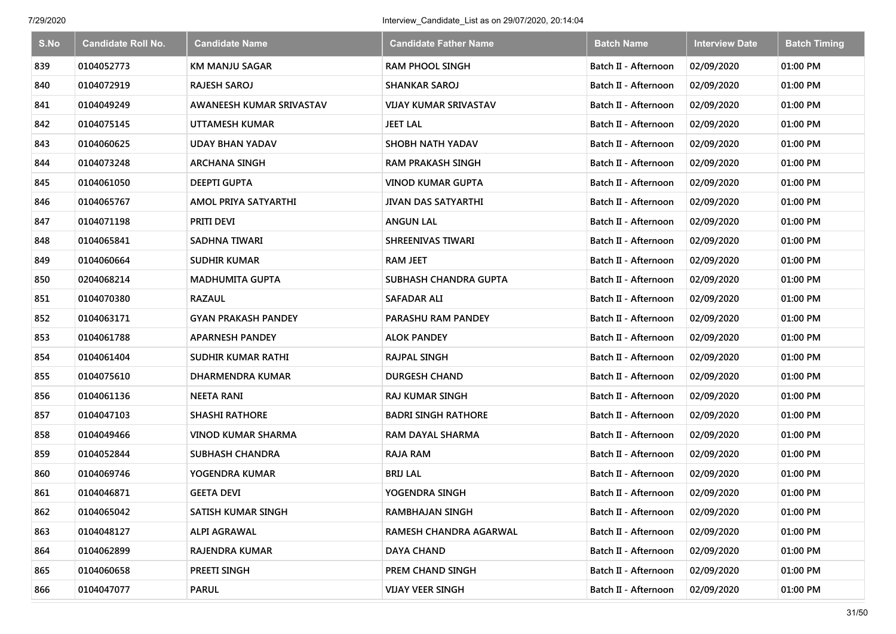| S.No | <b>Candidate Roll No.</b> | <b>Candidate Name</b>      | <b>Candidate Father Name</b> | <b>Batch Name</b>    | <b>Interview Date</b> | <b>Batch Timing</b> |
|------|---------------------------|----------------------------|------------------------------|----------------------|-----------------------|---------------------|
| 839  | 0104052773                | <b>KM MANJU SAGAR</b>      | <b>RAM PHOOL SINGH</b>       | Batch II - Afternoon | 02/09/2020            | 01:00 PM            |
| 840  | 0104072919                | <b>RAJESH SAROJ</b>        | <b>SHANKAR SAROJ</b>         | Batch II - Afternoon | 02/09/2020            | 01:00 PM            |
| 841  | 0104049249                | AWANEESH KUMAR SRIVASTAV   | <b>VIJAY KUMAR SRIVASTAV</b> | Batch II - Afternoon | 02/09/2020            | 01:00 PM            |
| 842  | 0104075145                | UTTAMESH KUMAR             | <b>JEET LAL</b>              | Batch II - Afternoon | 02/09/2020            | 01:00 PM            |
| 843  | 0104060625                | <b>UDAY BHAN YADAV</b>     | SHOBH NATH YADAV             | Batch II - Afternoon | 02/09/2020            | 01:00 PM            |
| 844  | 0104073248                | <b>ARCHANA SINGH</b>       | <b>RAM PRAKASH SINGH</b>     | Batch II - Afternoon | 02/09/2020            | 01:00 PM            |
| 845  | 0104061050                | <b>DEEPTI GUPTA</b>        | <b>VINOD KUMAR GUPTA</b>     | Batch II - Afternoon | 02/09/2020            | 01:00 PM            |
| 846  | 0104065767                | AMOL PRIYA SATYARTHI       | <b>JIVAN DAS SATYARTHI</b>   | Batch II - Afternoon | 02/09/2020            | 01:00 PM            |
| 847  | 0104071198                | PRITI DEVI                 | <b>ANGUN LAL</b>             | Batch II - Afternoon | 02/09/2020            | 01:00 PM            |
| 848  | 0104065841                | <b>SADHNA TIWARI</b>       | <b>SHREENIVAS TIWARI</b>     | Batch II - Afternoon | 02/09/2020            | 01:00 PM            |
| 849  | 0104060664                | <b>SUDHIR KUMAR</b>        | <b>RAM JEET</b>              | Batch II - Afternoon | 02/09/2020            | 01:00 PM            |
| 850  | 0204068214                | <b>MADHUMITA GUPTA</b>     | SUBHASH CHANDRA GUPTA        | Batch II - Afternoon | 02/09/2020            | 01:00 PM            |
| 851  | 0104070380                | <b>RAZAUL</b>              | <b>SAFADAR ALI</b>           | Batch II - Afternoon | 02/09/2020            | 01:00 PM            |
| 852  | 0104063171                | <b>GYAN PRAKASH PANDEY</b> | PARASHU RAM PANDEY           | Batch II - Afternoon | 02/09/2020            | 01:00 PM            |
| 853  | 0104061788                | <b>APARNESH PANDEY</b>     | <b>ALOK PANDEY</b>           | Batch II - Afternoon | 02/09/2020            | 01:00 PM            |
| 854  | 0104061404                | SUDHIR KUMAR RATHI         | RAJPAL SINGH                 | Batch II - Afternoon | 02/09/2020            | 01:00 PM            |
| 855  | 0104075610                | <b>DHARMENDRA KUMAR</b>    | <b>DURGESH CHAND</b>         | Batch II - Afternoon | 02/09/2020            | 01:00 PM            |
| 856  | 0104061136                | <b>NEETA RANI</b>          | <b>RAJ KUMAR SINGH</b>       | Batch II - Afternoon | 02/09/2020            | 01:00 PM            |
| 857  | 0104047103                | <b>SHASHI RATHORE</b>      | <b>BADRI SINGH RATHORE</b>   | Batch II - Afternoon | 02/09/2020            | 01:00 PM            |
| 858  | 0104049466                | <b>VINOD KUMAR SHARMA</b>  | RAM DAYAL SHARMA             | Batch II - Afternoon | 02/09/2020            | 01:00 PM            |
| 859  | 0104052844                | <b>SUBHASH CHANDRA</b>     | <b>RAJA RAM</b>              | Batch II - Afternoon | 02/09/2020            | 01:00 PM            |
| 860  | 0104069746                | YOGENDRA KUMAR             | <b>BRIJ LAL</b>              | Batch II - Afternoon | 02/09/2020            | 01:00 PM            |
| 861  | 0104046871                | <b>GEETA DEVI</b>          | YOGENDRA SINGH               | Batch II - Afternoon | 02/09/2020            | 01:00 PM            |
| 862  | 0104065042                | SATISH KUMAR SINGH         | RAMBHAJAN SINGH              | Batch II - Afternoon | 02/09/2020            | 01:00 PM            |
| 863  | 0104048127                | <b>ALPI AGRAWAL</b>        | RAMESH CHANDRA AGARWAL       | Batch II - Afternoon | 02/09/2020            | 01:00 PM            |
| 864  | 0104062899                | RAJENDRA KUMAR             | DAYA CHAND                   | Batch II - Afternoon | 02/09/2020            | 01:00 PM            |
| 865  | 0104060658                | PREETI SINGH               | PREM CHAND SINGH             | Batch II - Afternoon | 02/09/2020            | 01:00 PM            |
| 866  | 0104047077                | <b>PARUL</b>               | <b>VIJAY VEER SINGH</b>      | Batch II - Afternoon | 02/09/2020            | 01:00 PM            |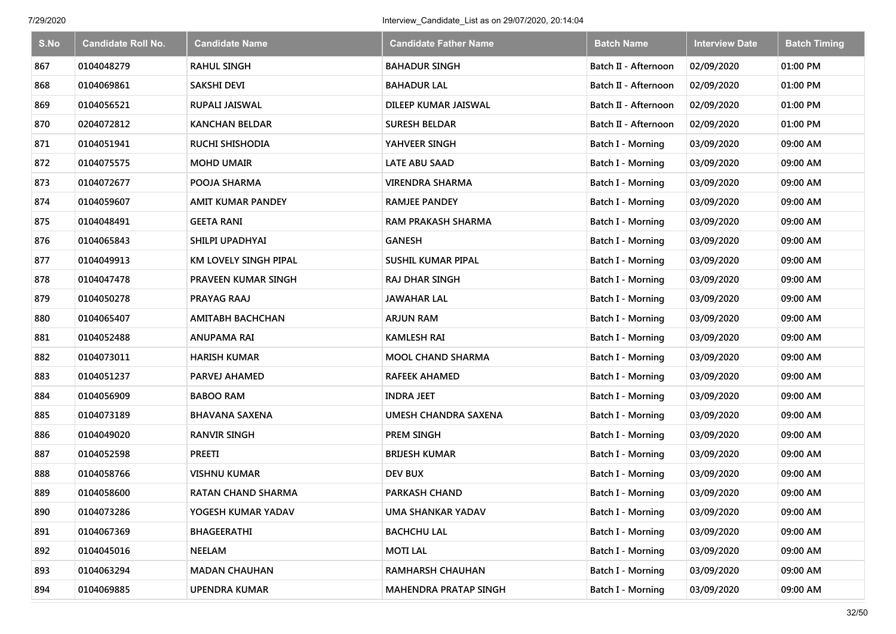| S.No | <b>Candidate Roll No.</b> | <b>Candidate Name</b>     | <b>Candidate Father Name</b> | <b>Batch Name</b>        | <b>Interview Date</b> | <b>Batch Timing</b> |
|------|---------------------------|---------------------------|------------------------------|--------------------------|-----------------------|---------------------|
| 867  | 0104048279                | <b>RAHUL SINGH</b>        | <b>BAHADUR SINGH</b>         | Batch II - Afternoon     | 02/09/2020            | 01:00 PM            |
| 868  | 0104069861                | <b>SAKSHI DEVI</b>        | <b>BAHADUR LAL</b>           | Batch II - Afternoon     | 02/09/2020            | 01:00 PM            |
| 869  | 0104056521                | RUPALI JAISWAL            | DILEEP KUMAR JAISWAL         | Batch II - Afternoon     | 02/09/2020            | 01:00 PM            |
| 870  | 0204072812                | <b>KANCHAN BELDAR</b>     | <b>SURESH BELDAR</b>         | Batch II - Afternoon     | 02/09/2020            | 01:00 PM            |
| 871  | 0104051941                | <b>RUCHI SHISHODIA</b>    | YAHVEER SINGH                | Batch I - Morning        | 03/09/2020            | 09:00 AM            |
| 872  | 0104075575                | <b>MOHD UMAIR</b>         | LATE ABU SAAD                | Batch I - Morning        | 03/09/2020            | 09:00 AM            |
| 873  | 0104072677                | POOJA SHARMA              | <b>VIRENDRA SHARMA</b>       | Batch I - Morning        | 03/09/2020            | 09:00 AM            |
| 874  | 0104059607                | <b>AMIT KUMAR PANDEY</b>  | <b>RAMJEE PANDEY</b>         | Batch I - Morning        | 03/09/2020            | 09:00 AM            |
| 875  | 0104048491                | <b>GEETA RANI</b>         | <b>RAM PRAKASH SHARMA</b>    | Batch I - Morning        | 03/09/2020            | 09:00 AM            |
| 876  | 0104065843                | SHILPI UPADHYAI           | <b>GANESH</b>                | <b>Batch I - Morning</b> | 03/09/2020            | 09:00 AM            |
| 877  | 0104049913                | KM LOVELY SINGH PIPAL     | <b>SUSHIL KUMAR PIPAL</b>    | <b>Batch I - Morning</b> | 03/09/2020            | 09:00 AM            |
| 878  | 0104047478                | PRAVEEN KUMAR SINGH       | RAJ DHAR SINGH               | <b>Batch I - Morning</b> | 03/09/2020            | 09:00 AM            |
| 879  | 0104050278                | PRAYAG RAAJ               | <b>JAWAHAR LAL</b>           | Batch I - Morning        | 03/09/2020            | 09:00 AM            |
| 880  | 0104065407                | <b>AMITABH BACHCHAN</b>   | <b>ARJUN RAM</b>             | Batch I - Morning        | 03/09/2020            | 09:00 AM            |
| 881  | 0104052488                | ANUPAMA RAI               | <b>KAMLESH RAI</b>           | Batch I - Morning        | 03/09/2020            | 09:00 AM            |
| 882  | 0104073011                | <b>HARISH KUMAR</b>       | <b>MOOL CHAND SHARMA</b>     | Batch I - Morning        | 03/09/2020            | 09:00 AM            |
| 883  | 0104051237                | <b>PARVEJ AHAMED</b>      | RAFEEK AHAMED                | <b>Batch I - Morning</b> | 03/09/2020            | 09:00 AM            |
| 884  | 0104056909                | <b>BABOO RAM</b>          | <b>INDRA JEET</b>            | Batch I - Morning        | 03/09/2020            | 09:00 AM            |
| 885  | 0104073189                | <b>BHAVANA SAXENA</b>     | <b>UMESH CHANDRA SAXENA</b>  | Batch I - Morning        | 03/09/2020            | 09:00 AM            |
| 886  | 0104049020                | <b>RANVIR SINGH</b>       | PREM SINGH                   | Batch I - Morning        | 03/09/2020            | 09:00 AM            |
| 887  | 0104052598                | <b>PREETI</b>             | <b>BRIJESH KUMAR</b>         | Batch I - Morning        | 03/09/2020            | 09:00 AM            |
| 888  | 0104058766                | <b>VISHNU KUMAR</b>       | <b>DEV BUX</b>               | Batch I - Morning        | 03/09/2020            | 09:00 AM            |
| 889  | 0104058600                | <b>RATAN CHAND SHARMA</b> | <b>PARKASH CHAND</b>         | Batch I - Morning        | 03/09/2020            | 09:00 AM            |
| 890  | 0104073286                | YOGESH KUMAR YADAV        | <b>UMA SHANKAR YADAV</b>     | Batch I - Morning        | 03/09/2020            | 09:00 AM            |
| 891  | 0104067369                | BHAGEERATHI               | <b>BACHCHU LAL</b>           | Batch I - Morning        | 03/09/2020            | 09:00 AM            |
| 892  | 0104045016                | <b>NEELAM</b>             | <b>MOTILAL</b>               | Batch I - Morning        | 03/09/2020            | 09:00 AM            |
| 893  | 0104063294                | <b>MADAN CHAUHAN</b>      | <b>RAMHARSH CHAUHAN</b>      | Batch I - Morning        | 03/09/2020            | 09:00 AM            |
| 894  | 0104069885                | <b>UPENDRA KUMAR</b>      | <b>MAHENDRA PRATAP SINGH</b> | <b>Batch I - Morning</b> | 03/09/2020            | 09:00 AM            |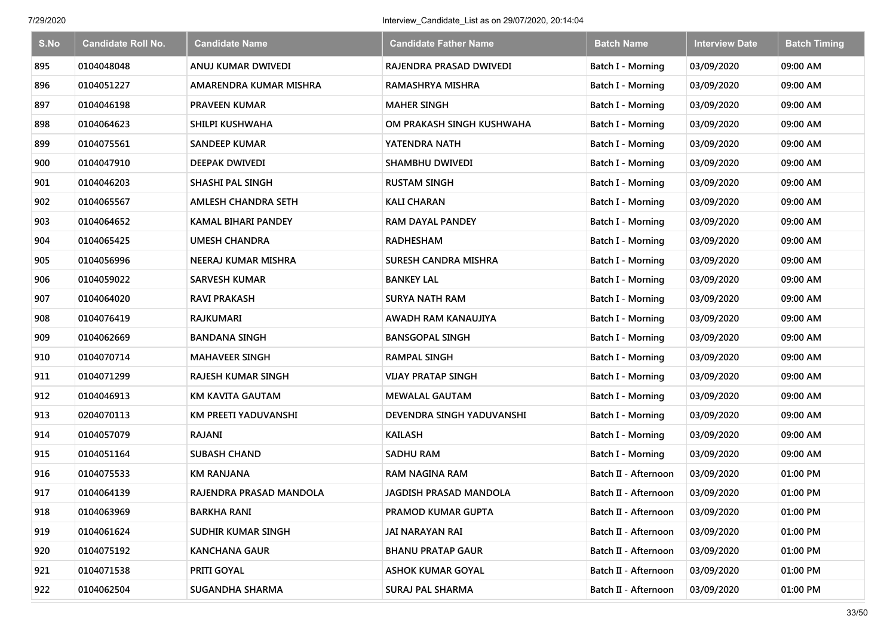| S.No | <b>Candidate Roll No.</b> | <b>Candidate Name</b>      | <b>Candidate Father Name</b> | <b>Batch Name</b>        | <b>Interview Date</b> | <b>Batch Timing</b> |
|------|---------------------------|----------------------------|------------------------------|--------------------------|-----------------------|---------------------|
| 895  | 0104048048                | ANUJ KUMAR DWIVEDI         | RAJENDRA PRASAD DWIVEDI      | <b>Batch I - Morning</b> | 03/09/2020            | 09:00 AM            |
| 896  | 0104051227                | AMARENDRA KUMAR MISHRA     | RAMASHRYA MISHRA             | Batch I - Morning        | 03/09/2020            | 09:00 AM            |
| 897  | 0104046198                | PRAVEEN KUMAR              | <b>MAHER SINGH</b>           | Batch I - Morning        | 03/09/2020            | 09:00 AM            |
| 898  | 0104064623                | SHILPI KUSHWAHA            | OM PRAKASH SINGH KUSHWAHA    | Batch I - Morning        | 03/09/2020            | 09:00 AM            |
| 899  | 0104075561                | <b>SANDEEP KUMAR</b>       | YATENDRA NATH                | Batch I - Morning        | 03/09/2020            | 09:00 AM            |
| 900  | 0104047910                | DEEPAK DWIVEDI             | <b>SHAMBHU DWIVEDI</b>       | Batch I - Morning        | 03/09/2020            | 09:00 AM            |
| 901  | 0104046203                | SHASHI PAL SINGH           | <b>RUSTAM SINGH</b>          | Batch I - Morning        | 03/09/2020            | 09:00 AM            |
| 902  | 0104065567                | <b>AMLESH CHANDRA SETH</b> | <b>KALI CHARAN</b>           | Batch I - Morning        | 03/09/2020            | 09:00 AM            |
| 903  | 0104064652                | <b>KAMAL BIHARI PANDEY</b> | <b>RAM DAYAL PANDEY</b>      | Batch I - Morning        | 03/09/2020            | 09:00 AM            |
| 904  | 0104065425                | <b>UMESH CHANDRA</b>       | <b>RADHESHAM</b>             | Batch I - Morning        | 03/09/2020            | 09:00 AM            |
| 905  | 0104056996                | NEERAJ KUMAR MISHRA        | <b>SURESH CANDRA MISHRA</b>  | Batch I - Morning        | 03/09/2020            | 09:00 AM            |
| 906  | 0104059022                | <b>SARVESH KUMAR</b>       | <b>BANKEY LAL</b>            | <b>Batch I - Morning</b> | 03/09/2020            | 09:00 AM            |
| 907  | 0104064020                | RAVI PRAKASH               | <b>SURYA NATH RAM</b>        | Batch I - Morning        | 03/09/2020            | 09:00 AM            |
| 908  | 0104076419                | RAJKUMARI                  | AWADH RAM KANAUJIYA          | <b>Batch I - Morning</b> | 03/09/2020            | 09:00 AM            |
| 909  | 0104062669                | <b>BANDANA SINGH</b>       | <b>BANSGOPAL SINGH</b>       | Batch I - Morning        | 03/09/2020            | 09:00 AM            |
| 910  | 0104070714                | <b>MAHAVEER SINGH</b>      | RAMPAL SINGH                 | Batch I - Morning        | 03/09/2020            | 09:00 AM            |
| 911  | 0104071299                | RAJESH KUMAR SINGH         | <b>VIJAY PRATAP SINGH</b>    | Batch I - Morning        | 03/09/2020            | 09:00 AM            |
| 912  | 0104046913                | <b>KM KAVITA GAUTAM</b>    | <b>MEWALAL GAUTAM</b>        | Batch I - Morning        | 03/09/2020            | 09:00 AM            |
| 913  | 0204070113                | KM PREETI YADUVANSHI       | DEVENDRA SINGH YADUVANSHI    | Batch I - Morning        | 03/09/2020            | 09:00 AM            |
| 914  | 0104057079                | RAJANI                     | <b>KAILASH</b>               | Batch I - Morning        | 03/09/2020            | 09:00 AM            |
| 915  | 0104051164                | <b>SUBASH CHAND</b>        | <b>SADHU RAM</b>             | Batch I - Morning        | 03/09/2020            | 09:00 AM            |
| 916  | 0104075533                | <b>KM RANJANA</b>          | RAM NAGINA RAM               | Batch II - Afternoon     | 03/09/2020            | 01:00 PM            |
| 917  | 0104064139                | RAJENDRA PRASAD MANDOLA    | JAGDISH PRASAD MANDOLA       | Batch II - Afternoon     | 03/09/2020            | 01:00 PM            |
| 918  | 0104063969                | <b>BARKHA RANI</b>         | PRAMOD KUMAR GUPTA           | Batch II - Afternoon     | 03/09/2020            | 01:00 PM            |
| 919  | 0104061624                | SUDHIR KUMAR SINGH         | JAI NARAYAN RAI              | Batch II - Afternoon     | 03/09/2020            | 01:00 PM            |
| 920  | 0104075192                | <b>KANCHANA GAUR</b>       | <b>BHANU PRATAP GAUR</b>     | Batch II - Afternoon     | 03/09/2020            | 01:00 PM            |
| 921  | 0104071538                | PRITI GOYAL                | <b>ASHOK KUMAR GOYAL</b>     | Batch II - Afternoon     | 03/09/2020            | 01:00 PM            |
| 922  | 0104062504                | <b>SUGANDHA SHARMA</b>     | <b>SURAJ PAL SHARMA</b>      | Batch II - Afternoon     | 03/09/2020            | 01:00 PM            |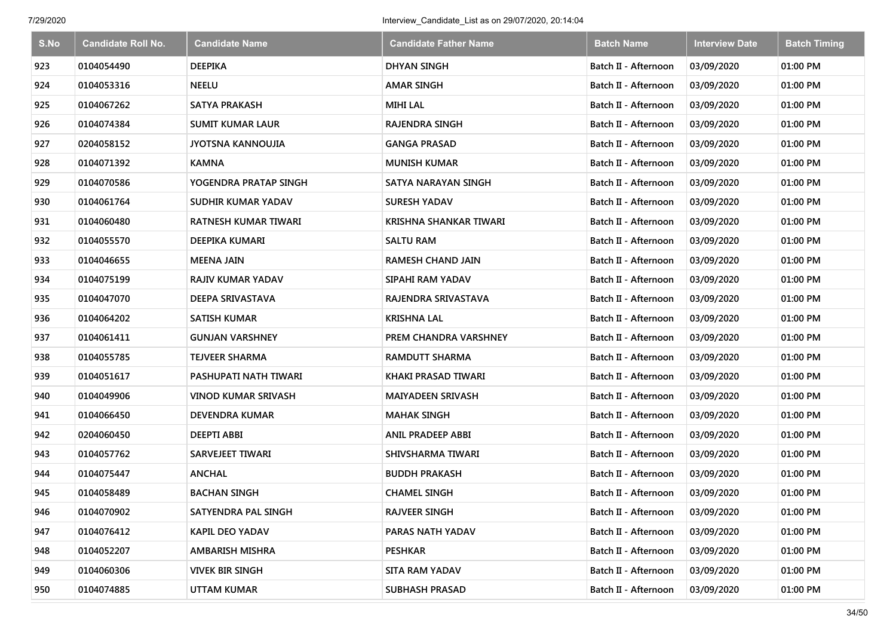| S.No | <b>Candidate Roll No.</b> | <b>Candidate Name</b>      | <b>Candidate Father Name</b>  | <b>Batch Name</b>    | <b>Interview Date</b> | <b>Batch Timing</b> |
|------|---------------------------|----------------------------|-------------------------------|----------------------|-----------------------|---------------------|
| 923  | 0104054490                | <b>DEEPIKA</b>             | <b>DHYAN SINGH</b>            | Batch II - Afternoon | 03/09/2020            | 01:00 PM            |
| 924  | 0104053316                | <b>NEELU</b>               | <b>AMAR SINGH</b>             | Batch II - Afternoon | 03/09/2020            | 01:00 PM            |
| 925  | 0104067262                | <b>SATYA PRAKASH</b>       | <b>MIHI LAL</b>               | Batch II - Afternoon | 03/09/2020            | 01:00 PM            |
| 926  | 0104074384                | <b>SUMIT KUMAR LAUR</b>    | <b>RAJENDRA SINGH</b>         | Batch II - Afternoon | 03/09/2020            | 01:00 PM            |
| 927  | 0204058152                | <b>JYOTSNA KANNOUJIA</b>   | <b>GANGA PRASAD</b>           | Batch II - Afternoon | 03/09/2020            | 01:00 PM            |
| 928  | 0104071392                | <b>KAMNA</b>               | <b>MUNISH KUMAR</b>           | Batch II - Afternoon | 03/09/2020            | 01:00 PM            |
| 929  | 0104070586                | YOGENDRA PRATAP SINGH      | SATYA NARAYAN SINGH           | Batch II - Afternoon | 03/09/2020            | 01:00 PM            |
| 930  | 0104061764                | SUDHIR KUMAR YADAV         | SURESH YADAV                  | Batch II - Afternoon | 03/09/2020            | 01:00 PM            |
| 931  | 0104060480                | RATNESH KUMAR TIWARI       | <b>KRISHNA SHANKAR TIWARI</b> | Batch II - Afternoon | 03/09/2020            | 01:00 PM            |
| 932  | 0104055570                | DEEPIKA KUMARI             | <b>SALTU RAM</b>              | Batch II - Afternoon | 03/09/2020            | 01:00 PM            |
| 933  | 0104046655                | <b>MEENA JAIN</b>          | <b>RAMESH CHAND JAIN</b>      | Batch II - Afternoon | 03/09/2020            | 01:00 PM            |
| 934  | 0104075199                | <b>RAJIV KUMAR YADAV</b>   | SIPAHI RAM YADAV              | Batch II - Afternoon | 03/09/2020            | 01:00 PM            |
| 935  | 0104047070                | <b>DEEPA SRIVASTAVA</b>    | RAJENDRA SRIVASTAVA           | Batch II - Afternoon | 03/09/2020            | 01:00 PM            |
| 936  | 0104064202                | <b>SATISH KUMAR</b>        | KRISHNA LAL                   | Batch II - Afternoon | 03/09/2020            | 01:00 PM            |
| 937  | 0104061411                | <b>GUNJAN VARSHNEY</b>     | PREM CHANDRA VARSHNEY         | Batch II - Afternoon | 03/09/2020            | 01:00 PM            |
| 938  | 0104055785                | <b>TEJVEER SHARMA</b>      | <b>RAMDUTT SHARMA</b>         | Batch II - Afternoon | 03/09/2020            | 01:00 PM            |
| 939  | 0104051617                | PASHUPATI NATH TIWARI      | KHAKI PRASAD TIWARI           | Batch II - Afternoon | 03/09/2020            | 01:00 PM            |
| 940  | 0104049906                | <b>VINOD KUMAR SRIVASH</b> | <b>MAIYADEEN SRIVASH</b>      | Batch II - Afternoon | 03/09/2020            | 01:00 PM            |
| 941  | 0104066450                | <b>DEVENDRA KUMAR</b>      | <b>MAHAK SINGH</b>            | Batch II - Afternoon | 03/09/2020            | 01:00 PM            |
| 942  | 0204060450                | <b>DEEPTI ABBI</b>         | <b>ANIL PRADEEP ABBI</b>      | Batch II - Afternoon | 03/09/2020            | 01:00 PM            |
| 943  | 0104057762                | SARVEJEET TIWARI           | SHIVSHARMA TIWARI             | Batch II - Afternoon | 03/09/2020            | 01:00 PM            |
| 944  | 0104075447                | <b>ANCHAL</b>              | <b>BUDDH PRAKASH</b>          | Batch II - Afternoon | 03/09/2020            | 01:00 PM            |
| 945  | 0104058489                | <b>BACHAN SINGH</b>        | <b>CHAMEL SINGH</b>           | Batch II - Afternoon | 03/09/2020            | 01:00 PM            |
| 946  | 0104070902                | SATYENDRA PAL SINGH        | <b>RAJVEER SINGH</b>          | Batch II - Afternoon | 03/09/2020            | 01:00 PM            |
| 947  | 0104076412                | <b>KAPIL DEO YADAV</b>     | PARAS NATH YADAV              | Batch II - Afternoon | 03/09/2020            | 01:00 PM            |
| 948  | 0104052207                | AMBARISH MISHRA            | <b>PESHKAR</b>                | Batch II - Afternoon | 03/09/2020            | 01:00 PM            |
| 949  | 0104060306                | <b>VIVEK BIR SINGH</b>     | <b>SITA RAM YADAV</b>         | Batch II - Afternoon | 03/09/2020            | 01:00 PM            |
| 950  | 0104074885                | <b>UTTAM KUMAR</b>         | <b>SUBHASH PRASAD</b>         | Batch II - Afternoon | 03/09/2020            | 01:00 PM            |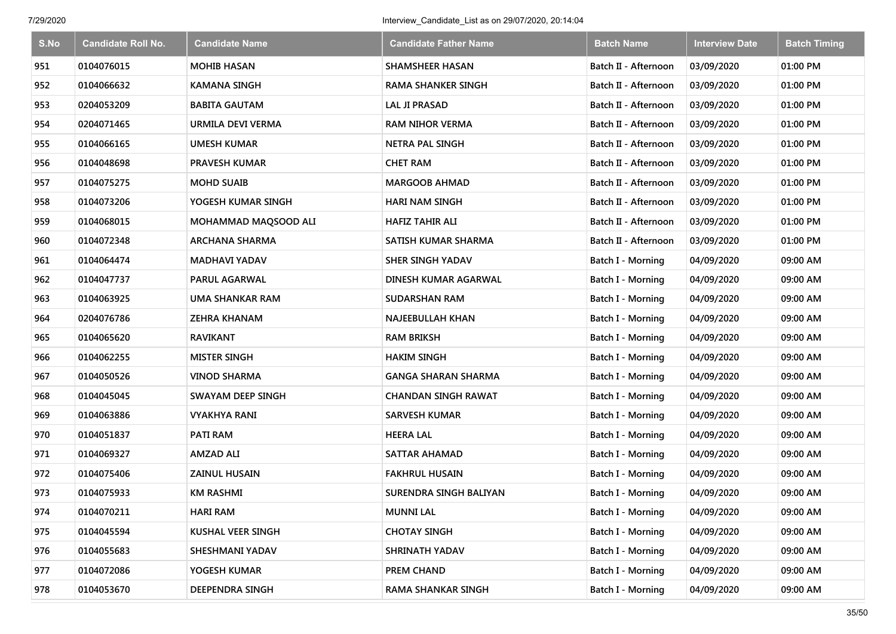| S.No | <b>Candidate Roll No.</b> | <b>Candidate Name</b> | <b>Candidate Father Name</b> | <b>Batch Name</b>        | <b>Interview Date</b> | <b>Batch Timing</b> |
|------|---------------------------|-----------------------|------------------------------|--------------------------|-----------------------|---------------------|
| 951  | 0104076015                | <b>MOHIB HASAN</b>    | <b>SHAMSHEER HASAN</b>       | Batch II - Afternoon     | 03/09/2020            | 01:00 PM            |
| 952  | 0104066632                | <b>KAMANA SINGH</b>   | <b>RAMA SHANKER SINGH</b>    | Batch II - Afternoon     | 03/09/2020            | 01:00 PM            |
| 953  | 0204053209                | <b>BABITA GAUTAM</b>  | <b>LAL JI PRASAD</b>         | Batch II - Afternoon     | 03/09/2020            | 01:00 PM            |
| 954  | 0204071465                | URMILA DEVI VERMA     | <b>RAM NIHOR VERMA</b>       | Batch II - Afternoon     | 03/09/2020            | 01:00 PM            |
| 955  | 0104066165                | <b>UMESH KUMAR</b>    | <b>NETRA PAL SINGH</b>       | Batch II - Afternoon     | 03/09/2020            | 01:00 PM            |
| 956  | 0104048698                | PRAVESH KUMAR         | <b>CHET RAM</b>              | Batch II - Afternoon     | 03/09/2020            | 01:00 PM            |
| 957  | 0104075275                | <b>MOHD SUAIB</b>     | <b>MARGOOB AHMAD</b>         | Batch II - Afternoon     | 03/09/2020            | 01:00 PM            |
| 958  | 0104073206                | YOGESH KUMAR SINGH    | <b>HARI NAM SINGH</b>        | Batch II - Afternoon     | 03/09/2020            | 01:00 PM            |
| 959  | 0104068015                | MOHAMMAD MAQSOOD ALI  | <b>HAFIZ TAHIR ALI</b>       | Batch II - Afternoon     | 03/09/2020            | 01:00 PM            |
| 960  | 0104072348                | <b>ARCHANA SHARMA</b> | SATISH KUMAR SHARMA          | Batch II - Afternoon     | 03/09/2020            | 01:00 PM            |
| 961  | 0104064474                | <b>MADHAVI YADAV</b>  | <b>SHER SINGH YADAV</b>      | <b>Batch I - Morning</b> | 04/09/2020            | 09:00 AM            |
| 962  | 0104047737                | PARUL AGARWAL         | DINESH KUMAR AGARWAL         | <b>Batch I - Morning</b> | 04/09/2020            | 09:00 AM            |
| 963  | 0104063925                | UMA SHANKAR RAM       | <b>SUDARSHAN RAM</b>         | Batch I - Morning        | 04/09/2020            | 09:00 AM            |
| 964  | 0204076786                | <b>ZEHRA KHANAM</b>   | NAJEEBULLAH KHAN             | <b>Batch I - Morning</b> | 04/09/2020            | 09:00 AM            |
| 965  | 0104065620                | <b>RAVIKANT</b>       | <b>RAM BRIKSH</b>            | <b>Batch I - Morning</b> | 04/09/2020            | 09:00 AM            |
| 966  | 0104062255                | <b>MISTER SINGH</b>   | <b>HAKIM SINGH</b>           | <b>Batch I - Morning</b> | 04/09/2020            | 09:00 AM            |
| 967  | 0104050526                | <b>VINOD SHARMA</b>   | <b>GANGA SHARAN SHARMA</b>   | <b>Batch I - Morning</b> | 04/09/2020            | 09:00 AM            |
| 968  | 0104045045                | SWAYAM DEEP SINGH     | <b>CHANDAN SINGH RAWAT</b>   | Batch I - Morning        | 04/09/2020            | 09:00 AM            |
| 969  | 0104063886                | <b>VYAKHYA RANI</b>   | <b>SARVESH KUMAR</b>         | Batch I - Morning        | 04/09/2020            | 09:00 AM            |
| 970  | 0104051837                | <b>PATI RAM</b>       | <b>HEERA LAL</b>             | Batch I - Morning        | 04/09/2020            | 09:00 AM            |
| 971  | 0104069327                | <b>AMZAD ALI</b>      | <b>SATTAR AHAMAD</b>         | Batch I - Morning        | 04/09/2020            | 09:00 AM            |
| 972  | 0104075406                | <b>ZAINUL HUSAIN</b>  | <b>FAKHRUL HUSAIN</b>        | <b>Batch I - Morning</b> | 04/09/2020            | 09:00 AM            |
| 973  | 0104075933                | <b>KM RASHMI</b>      | SURENDRA SINGH BALIYAN       | Batch I - Morning        | 04/09/2020            | 09:00 AM            |
| 974  | 0104070211                | <b>HARI RAM</b>       | <b>MUNNI LAL</b>             | Batch I - Morning        | 04/09/2020            | 09:00 AM            |
| 975  | 0104045594                | KUSHAL VEER SINGH     | <b>CHOTAY SINGH</b>          | Batch I - Morning        | 04/09/2020            | 09:00 AM            |
| 976  | 0104055683                | SHESHMANI YADAV       | SHRINATH YADAV               | Batch I - Morning        | 04/09/2020            | 09:00 AM            |
| 977  | 0104072086                | YOGESH KUMAR          | <b>PREM CHAND</b>            | Batch I - Morning        | 04/09/2020            | 09:00 AM            |
| 978  | 0104053670                | DEEPENDRA SINGH       | <b>RAMA SHANKAR SINGH</b>    | <b>Batch I - Morning</b> | 04/09/2020            | 09:00 AM            |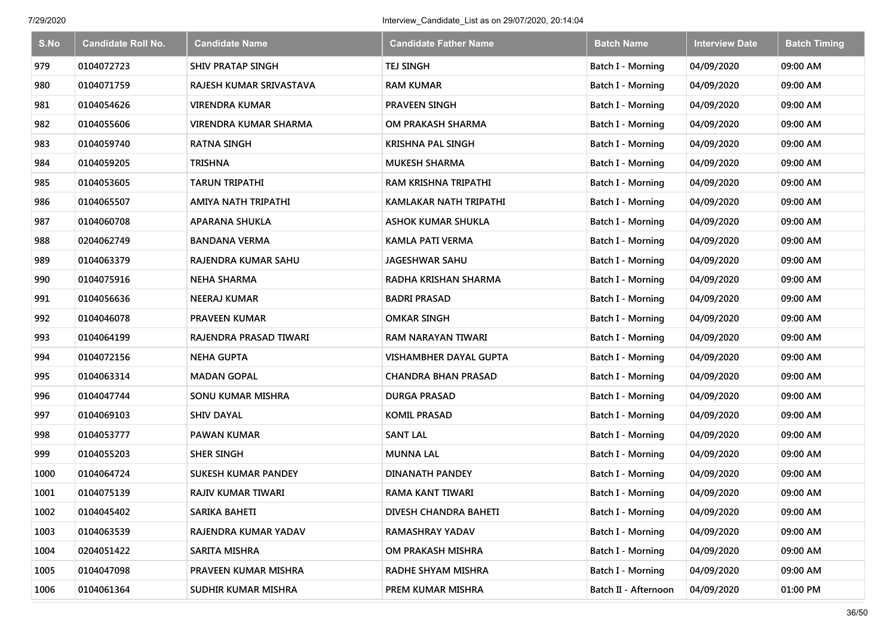| S.No | <b>Candidate Roll No.</b> | <b>Candidate Name</b>      | <b>Candidate Father Name</b> | <b>Batch Name</b>        | <b>Interview Date</b> | <b>Batch Timing</b> |
|------|---------------------------|----------------------------|------------------------------|--------------------------|-----------------------|---------------------|
| 979  | 0104072723                | <b>SHIV PRATAP SINGH</b>   | <b>TEJ SINGH</b>             | Batch I - Morning        | 04/09/2020            | 09:00 AM            |
| 980  | 0104071759                | RAJESH KUMAR SRIVASTAVA    | <b>RAM KUMAR</b>             | Batch I - Morning        | 04/09/2020            | 09:00 AM            |
| 981  | 0104054626                | <b>VIRENDRA KUMAR</b>      | <b>PRAVEEN SINGH</b>         | Batch I - Morning        | 04/09/2020            | 09:00 AM            |
| 982  | 0104055606                | VIRENDRA KUMAR SHARMA      | OM PRAKASH SHARMA            | Batch I - Morning        | 04/09/2020            | 09:00 AM            |
| 983  | 0104059740                | <b>RATNA SINGH</b>         | <b>KRISHNA PAL SINGH</b>     | Batch I - Morning        | 04/09/2020            | 09:00 AM            |
| 984  | 0104059205                | <b>TRISHNA</b>             | <b>MUKESH SHARMA</b>         | Batch I - Morning        | 04/09/2020            | 09:00 AM            |
| 985  | 0104053605                | <b>TARUN TRIPATHI</b>      | <b>RAM KRISHNA TRIPATHI</b>  | Batch I - Morning        | 04/09/2020            | 09:00 AM            |
| 986  | 0104065507                | AMIYA NATH TRIPATHI        | KAMLAKAR NATH TRIPATHI       | Batch I - Morning        | 04/09/2020            | 09:00 AM            |
| 987  | 0104060708                | <b>APARANA SHUKLA</b>      | <b>ASHOK KUMAR SHUKLA</b>    | Batch I - Morning        | 04/09/2020            | 09:00 AM            |
| 988  | 0204062749                | <b>BANDANA VERMA</b>       | <b>KAMLA PATI VERMA</b>      | Batch I - Morning        | 04/09/2020            | 09:00 AM            |
| 989  | 0104063379                | RAJENDRA KUMAR SAHU        | JAGESHWAR SAHU               | Batch I - Morning        | 04/09/2020            | 09:00 AM            |
| 990  | 0104075916                | <b>NEHA SHARMA</b>         | RADHA KRISHAN SHARMA         | <b>Batch I - Morning</b> | 04/09/2020            | 09:00 AM            |
| 991  | 0104056636                | <b>NEERAJ KUMAR</b>        | <b>BADRI PRASAD</b>          | Batch I - Morning        | 04/09/2020            | 09:00 AM            |
| 992  | 0104046078                | <b>PRAVEEN KUMAR</b>       | <b>OMKAR SINGH</b>           | <b>Batch I - Morning</b> | 04/09/2020            | 09:00 AM            |
| 993  | 0104064199                | RAJENDRA PRASAD TIWARI     | RAM NARAYAN TIWARI           | Batch I - Morning        | 04/09/2020            | 09:00 AM            |
| 994  | 0104072156                | <b>NEHA GUPTA</b>          | VISHAMBHER DAYAL GUPTA       | <b>Batch I - Morning</b> | 04/09/2020            | 09:00 AM            |
| 995  | 0104063314                | <b>MADAN GOPAL</b>         | <b>CHANDRA BHAN PRASAD</b>   | <b>Batch I - Morning</b> | 04/09/2020            | 09:00 AM            |
| 996  | 0104047744                | SONU KUMAR MISHRA          | <b>DURGA PRASAD</b>          | Batch I - Morning        | 04/09/2020            | 09:00 AM            |
| 997  | 0104069103                | <b>SHIV DAYAL</b>          | <b>KOMIL PRASAD</b>          | Batch I - Morning        | 04/09/2020            | 09:00 AM            |
| 998  | 0104053777                | <b>PAWAN KUMAR</b>         | <b>SANT LAL</b>              | Batch I - Morning        | 04/09/2020            | 09:00 AM            |
| 999  | 0104055203                | <b>SHER SINGH</b>          | <b>MUNNA LAL</b>             | Batch I - Morning        | 04/09/2020            | 09:00 AM            |
| 1000 | 0104064724                | <b>SUKESH KUMAR PANDEY</b> | <b>DINANATH PANDEY</b>       | Batch I - Morning        | 04/09/2020            | 09:00 AM            |
| 1001 | 0104075139                | RAJIV KUMAR TIWARI         | RAMA KANT TIWARI             | Batch I - Morning        | 04/09/2020            | 09:00 AM            |
| 1002 | 0104045402                | SARIKA BAHETI              | DIVESH CHANDRA BAHETI        | Batch I - Morning        | 04/09/2020            | 09:00 AM            |
| 1003 | 0104063539                | RAJENDRA KUMAR YADAV       | RAMASHRAY YADAV              | Batch I - Morning        | 04/09/2020            | 09:00 AM            |
| 1004 | 0204051422                | SARITA MISHRA              | OM PRAKASH MISHRA            | Batch I - Morning        | 04/09/2020            | 09:00 AM            |
| 1005 | 0104047098                | PRAVEEN KUMAR MISHRA       | RADHE SHYAM MISHRA           | Batch I - Morning        | 04/09/2020            | 09:00 AM            |
| 1006 | 0104061364                | SUDHIR KUMAR MISHRA        | PREM KUMAR MISHRA            | Batch II - Afternoon     | 04/09/2020            | 01:00 PM            |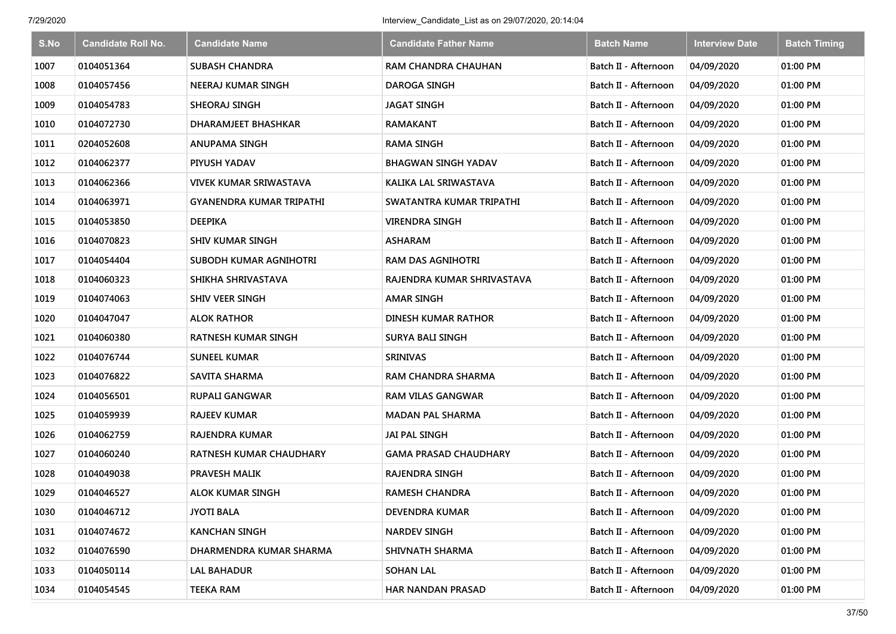| S.No | <b>Candidate Roll No.</b> | <b>Candidate Name</b>           | <b>Candidate Father Name</b> | <b>Batch Name</b>    | <b>Interview Date</b> | <b>Batch Timing</b> |
|------|---------------------------|---------------------------------|------------------------------|----------------------|-----------------------|---------------------|
| 1007 | 0104051364                | <b>SUBASH CHANDRA</b>           | <b>RAM CHANDRA CHAUHAN</b>   | Batch II - Afternoon | 04/09/2020            | 01:00 PM            |
| 1008 | 0104057456                | NEERAJ KUMAR SINGH              | <b>DAROGA SINGH</b>          | Batch II - Afternoon | 04/09/2020            | 01:00 PM            |
| 1009 | 0104054783                | SHEORAJ SINGH                   | <b>JAGAT SINGH</b>           | Batch II - Afternoon | 04/09/2020            | 01:00 PM            |
| 1010 | 0104072730                | DHARAMJEET BHASHKAR             | <b>RAMAKANT</b>              | Batch II - Afternoon | 04/09/2020            | 01:00 PM            |
| 1011 | 0204052608                | <b>ANUPAMA SINGH</b>            | <b>RAMA SINGH</b>            | Batch II - Afternoon | 04/09/2020            | 01:00 PM            |
| 1012 | 0104062377                | PIYUSH YADAV                    | <b>BHAGWAN SINGH YADAV</b>   | Batch II - Afternoon | 04/09/2020            | 01:00 PM            |
| 1013 | 0104062366                | <b>VIVEK KUMAR SRIWASTAVA</b>   | KALIKA LAL SRIWASTAVA        | Batch II - Afternoon | 04/09/2020            | 01:00 PM            |
| 1014 | 0104063971                | <b>GYANENDRA KUMAR TRIPATHI</b> | SWATANTRA KUMAR TRIPATHI     | Batch II - Afternoon | 04/09/2020            | 01:00 PM            |
| 1015 | 0104053850                | <b>DEEPIKA</b>                  | <b>VIRENDRA SINGH</b>        | Batch II - Afternoon | 04/09/2020            | 01:00 PM            |
| 1016 | 0104070823                | <b>SHIV KUMAR SINGH</b>         | <b>ASHARAM</b>               | Batch II - Afternoon | 04/09/2020            | 01:00 PM            |
| 1017 | 0104054404                | SUBODH KUMAR AGNIHOTRI          | <b>RAM DAS AGNIHOTRI</b>     | Batch II - Afternoon | 04/09/2020            | 01:00 PM            |
| 1018 | 0104060323                | SHIKHA SHRIVASTAVA              | RAJENDRA KUMAR SHRIVASTAVA   | Batch II - Afternoon | 04/09/2020            | 01:00 PM            |
| 1019 | 0104074063                | <b>SHIV VEER SINGH</b>          | <b>AMAR SINGH</b>            | Batch II - Afternoon | 04/09/2020            | 01:00 PM            |
| 1020 | 0104047047                | <b>ALOK RATHOR</b>              | DINESH KUMAR RATHOR          | Batch II - Afternoon | 04/09/2020            | 01:00 PM            |
| 1021 | 0104060380                | <b>RATNESH KUMAR SINGH</b>      | <b>SURYA BALI SINGH</b>      | Batch II - Afternoon | 04/09/2020            | 01:00 PM            |
| 1022 | 0104076744                | <b>SUNEEL KUMAR</b>             | <b>SRINIVAS</b>              | Batch II - Afternoon | 04/09/2020            | 01:00 PM            |
| 1023 | 0104076822                | <b>SAVITA SHARMA</b>            | RAM CHANDRA SHARMA           | Batch II - Afternoon | 04/09/2020            | 01:00 PM            |
| 1024 | 0104056501                | RUPALI GANGWAR                  | <b>RAM VILAS GANGWAR</b>     | Batch II - Afternoon | 04/09/2020            | 01:00 PM            |
| 1025 | 0104059939                | <b>RAJEEV KUMAR</b>             | <b>MADAN PAL SHARMA</b>      | Batch II - Afternoon | 04/09/2020            | 01:00 PM            |
| 1026 | 0104062759                | RAJENDRA KUMAR                  | <b>JAI PAL SINGH</b>         | Batch II - Afternoon | 04/09/2020            | 01:00 PM            |
| 1027 | 0104060240                | RATNESH KUMAR CHAUDHARY         | <b>GAMA PRASAD CHAUDHARY</b> | Batch II - Afternoon | 04/09/2020            | 01:00 PM            |
| 1028 | 0104049038                | PRAVESH MALIK                   | <b>RAJENDRA SINGH</b>        | Batch II - Afternoon | 04/09/2020            | 01:00 PM            |
| 1029 | 0104046527                | <b>ALOK KUMAR SINGH</b>         | <b>RAMESH CHANDRA</b>        | Batch II - Afternoon | 04/09/2020            | 01:00 PM            |
| 1030 | 0104046712                | <b>JYOTI BALA</b>               | DEVENDRA KUMAR               | Batch II - Afternoon | 04/09/2020            | 01:00 PM            |
| 1031 | 0104074672                | <b>KANCHAN SINGH</b>            | <b>NARDEV SINGH</b>          | Batch II - Afternoon | 04/09/2020            | 01:00 PM            |
| 1032 | 0104076590                | DHARMENDRA KUMAR SHARMA         | SHIVNATH SHARMA              | Batch II - Afternoon | 04/09/2020            | 01:00 PM            |
| 1033 | 0104050114                | LAL BAHADUR                     | <b>SOHAN LAL</b>             | Batch II - Afternoon | 04/09/2020            | 01:00 PM            |
| 1034 | 0104054545                | <b>TEEKA RAM</b>                | <b>HAR NANDAN PRASAD</b>     | Batch II - Afternoon | 04/09/2020            | 01:00 PM            |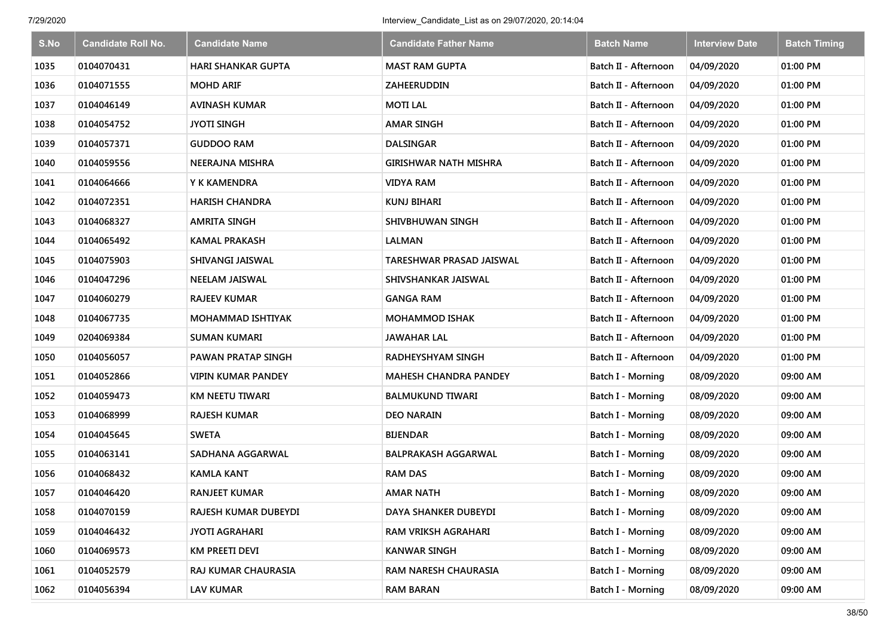| S.No | <b>Candidate Roll No.</b> | <b>Candidate Name</b>     | <b>Candidate Father Name</b> | <b>Batch Name</b>    | <b>Interview Date</b> | <b>Batch Timing</b> |
|------|---------------------------|---------------------------|------------------------------|----------------------|-----------------------|---------------------|
| 1035 | 0104070431                | <b>HARI SHANKAR GUPTA</b> | <b>MAST RAM GUPTA</b>        | Batch II - Afternoon | 04/09/2020            | 01:00 PM            |
| 1036 | 0104071555                | <b>MOHD ARIF</b>          | <b>ZAHEERUDDIN</b>           | Batch II - Afternoon | 04/09/2020            | 01:00 PM            |
| 1037 | 0104046149                | <b>AVINASH KUMAR</b>      | <b>MOTI LAL</b>              | Batch II - Afternoon | 04/09/2020            | 01:00 PM            |
| 1038 | 0104054752                | <b>JYOTI SINGH</b>        | AMAR SINGH                   | Batch II - Afternoon | 04/09/2020            | 01:00 PM            |
| 1039 | 0104057371                | <b>GUDDOO RAM</b>         | <b>DALSINGAR</b>             | Batch II - Afternoon | 04/09/2020            | 01:00 PM            |
| 1040 | 0104059556                | NEERAJNA MISHRA           | <b>GIRISHWAR NATH MISHRA</b> | Batch II - Afternoon | 04/09/2020            | 01:00 PM            |
| 1041 | 0104064666                | Y K KAMENDRA              | <b>VIDYA RAM</b>             | Batch II - Afternoon | 04/09/2020            | 01:00 PM            |
| 1042 | 0104072351                | HARISH CHANDRA            | <b>KUNJ BIHARI</b>           | Batch II - Afternoon | 04/09/2020            | 01:00 PM            |
| 1043 | 0104068327                | <b>AMRITA SINGH</b>       | SHIVBHUWAN SINGH             | Batch II - Afternoon | 04/09/2020            | 01:00 PM            |
| 1044 | 0104065492                | KAMAL PRAKASH             | LALMAN                       | Batch II - Afternoon | 04/09/2020            | 01:00 PM            |
| 1045 | 0104075903                | <b>SHIVANGI JAISWAL</b>   | TARESHWAR PRASAD JAISWAL     | Batch II - Afternoon | 04/09/2020            | 01:00 PM            |
| 1046 | 0104047296                | <b>NEELAM JAISWAL</b>     | SHIVSHANKAR JAISWAL          | Batch II - Afternoon | 04/09/2020            | 01:00 PM            |
| 1047 | 0104060279                | <b>RAJEEV KUMAR</b>       | <b>GANGA RAM</b>             | Batch II - Afternoon | 04/09/2020            | 01:00 PM            |
| 1048 | 0104067735                | <b>MOHAMMAD ISHTIYAK</b>  | <b>MOHAMMOD ISHAK</b>        | Batch II - Afternoon | 04/09/2020            | 01:00 PM            |
| 1049 | 0204069384                | <b>SUMAN KUMARI</b>       | <b>JAWAHAR LAL</b>           | Batch II - Afternoon | 04/09/2020            | 01:00 PM            |
| 1050 | 0104056057                | PAWAN PRATAP SINGH        | RADHEYSHYAM SINGH            | Batch II - Afternoon | 04/09/2020            | 01:00 PM            |
| 1051 | 0104052866                | <b>VIPIN KUMAR PANDEY</b> | <b>MAHESH CHANDRA PANDEY</b> | Batch I - Morning    | 08/09/2020            | 09:00 AM            |
| 1052 | 0104059473                | KM NEETU TIWARI           | <b>BALMUKUND TIWARI</b>      | Batch I - Morning    | 08/09/2020            | 09:00 AM            |
| 1053 | 0104068999                | <b>RAJESH KUMAR</b>       | <b>DEO NARAIN</b>            | Batch I - Morning    | 08/09/2020            | 09:00 AM            |
| 1054 | 0104045645                | <b>SWETA</b>              | <b>BIJENDAR</b>              | Batch I - Morning    | 08/09/2020            | 09:00 AM            |
| 1055 | 0104063141                | SADHANA AGGARWAL          | <b>BALPRAKASH AGGARWAL</b>   | Batch I - Morning    | 08/09/2020            | 09:00 AM            |
| 1056 | 0104068432                | KAMLA KANT                | <b>RAM DAS</b>               | Batch I - Morning    | 08/09/2020            | 09:00 AM            |
| 1057 | 0104046420                | <b>RANJEET KUMAR</b>      | <b>AMAR NATH</b>             | Batch I - Morning    | 08/09/2020            | 09:00 AM            |
| 1058 | 0104070159                | RAJESH KUMAR DUBEYDI      | DAYA SHANKER DUBEYDI         | Batch I - Morning    | 08/09/2020            | 09:00 AM            |
| 1059 | 0104046432                | <b>JYOTI AGRAHARI</b>     | RAM VRIKSH AGRAHARI          | Batch I - Morning    | 08/09/2020            | 09:00 AM            |
| 1060 | 0104069573                | KM PREETI DEVI            | <b>KANWAR SINGH</b>          | Batch I - Morning    | 08/09/2020            | 09:00 AM            |
| 1061 | 0104052579                | RAJ KUMAR CHAURASIA       | RAM NARESH CHAURASIA         | Batch I - Morning    | 08/09/2020            | 09:00 AM            |
| 1062 | 0104056394                | <b>LAV KUMAR</b>          | <b>RAM BARAN</b>             | Batch I - Morning    | 08/09/2020            | 09:00 AM            |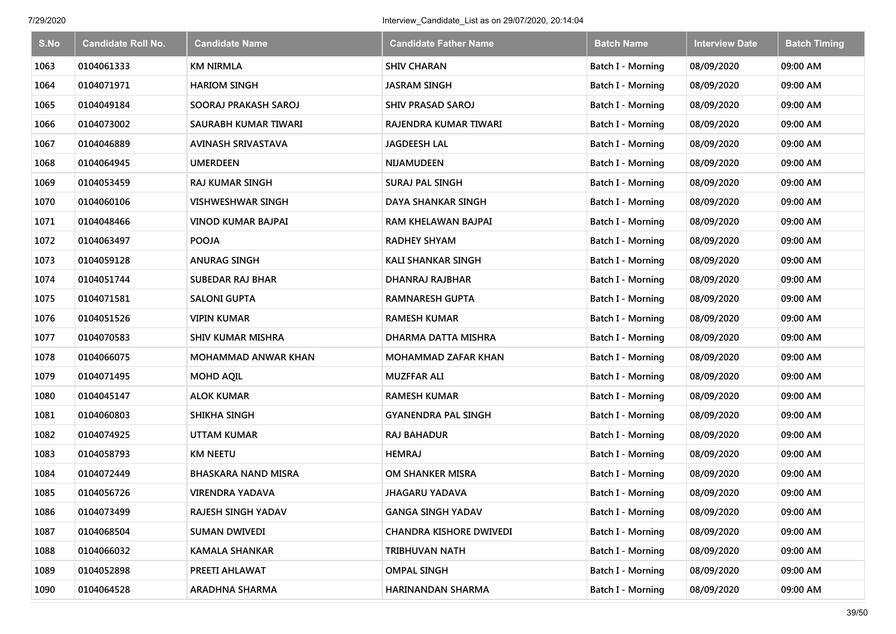| S.No | <b>Candidate Roll No.</b> | <b>Candidate Name</b>      | <b>Candidate Father Name</b>   | <b>Batch Name</b>        | <b>Interview Date</b> | <b>Batch Timing</b> |
|------|---------------------------|----------------------------|--------------------------------|--------------------------|-----------------------|---------------------|
| 1063 | 0104061333                | <b>KM NIRMLA</b>           | <b>SHIV CHARAN</b>             | Batch I - Morning        | 08/09/2020            | 09:00 AM            |
| 1064 | 0104071971                | <b>HARIOM SINGH</b>        | <b>JASRAM SINGH</b>            | Batch I - Morning        | 08/09/2020            | 09:00 AM            |
| 1065 | 0104049184                | SOORAJ PRAKASH SAROJ       | SHIV PRASAD SAROJ              | Batch I - Morning        | 08/09/2020            | 09:00 AM            |
| 1066 | 0104073002                | SAURABH KUMAR TIWARI       | RAJENDRA KUMAR TIWARI          | Batch I - Morning        | 08/09/2020            | 09:00 AM            |
| 1067 | 0104046889                | AVINASH SRIVASTAVA         | <b>JAGDEESH LAL</b>            | Batch I - Morning        | 08/09/2020            | 09:00 AM            |
| 1068 | 0104064945                | <b>UMERDEEN</b>            | <b>NIJAMUDEEN</b>              | Batch I - Morning        | 08/09/2020            | 09:00 AM            |
| 1069 | 0104053459                | <b>RAJ KUMAR SINGH</b>     | <b>SURAJ PAL SINGH</b>         | Batch I - Morning        | 08/09/2020            | 09:00 AM            |
| 1070 | 0104060106                | <b>VISHWESHWAR SINGH</b>   | DAYA SHANKAR SINGH             | Batch I - Morning        | 08/09/2020            | 09:00 AM            |
| 1071 | 0104048466                | <b>VINOD KUMAR BAJPAI</b>  | RAM KHELAWAN BAJPAI            | Batch I - Morning        | 08/09/2020            | 09:00 AM            |
| 1072 | 0104063497                | <b>POOJA</b>               | <b>RADHEY SHYAM</b>            | Batch I - Morning        | 08/09/2020            | 09:00 AM            |
| 1073 | 0104059128                | <b>ANURAG SINGH</b>        | <b>KALI SHANKAR SINGH</b>      | Batch I - Morning        | 08/09/2020            | 09:00 AM            |
| 1074 | 0104051744                | <b>SUBEDAR RAJ BHAR</b>    | DHANRAJ RAJBHAR                | <b>Batch I - Morning</b> | 08/09/2020            | 09:00 AM            |
| 1075 | 0104071581                | <b>SALONI GUPTA</b>        | <b>RAMNARESH GUPTA</b>         | Batch I - Morning        | 08/09/2020            | 09:00 AM            |
| 1076 | 0104051526                | VIPIN KUMAR                | <b>RAMESH KUMAR</b>            | <b>Batch I - Morning</b> | 08/09/2020            | 09:00 AM            |
| 1077 | 0104070583                | <b>SHIV KUMAR MISHRA</b>   | DHARMA DATTA MISHRA            | <b>Batch I - Morning</b> | 08/09/2020            | 09:00 AM            |
| 1078 | 0104066075                | <b>MOHAMMAD ANWAR KHAN</b> | <b>MOHAMMAD ZAFAR KHAN</b>     | Batch I - Morning        | 08/09/2020            | 09:00 AM            |
| 1079 | 0104071495                | <b>MOHD AQIL</b>           | <b>MUZFFAR ALI</b>             | Batch I - Morning        | 08/09/2020            | 09:00 AM            |
| 1080 | 0104045147                | <b>ALOK KUMAR</b>          | <b>RAMESH KUMAR</b>            | Batch I - Morning        | 08/09/2020            | 09:00 AM            |
| 1081 | 0104060803                | SHIKHA SINGH               | <b>GYANENDRA PAL SINGH</b>     | Batch I - Morning        | 08/09/2020            | 09:00 AM            |
| 1082 | 0104074925                | <b>UTTAM KUMAR</b>         | <b>RAJ BAHADUR</b>             | Batch I - Morning        | 08/09/2020            | 09:00 AM            |
| 1083 | 0104058793                | <b>KM NEETU</b>            | <b>HEMRAJ</b>                  | Batch I - Morning        | 08/09/2020            | 09:00 AM            |
| 1084 | 0104072449                | BHASKARA NAND MISRA        | OM SHANKER MISRA               | Batch I - Morning        | 08/09/2020            | 09:00 AM            |
| 1085 | 0104056726                | <b>VIRENDRA YADAVA</b>     | <b>JHAGARU YADAVA</b>          | Batch I - Morning        | 08/09/2020            | 09:00 AM            |
| 1086 | 0104073499                | RAJESH SINGH YADAV         | <b>GANGA SINGH YADAV</b>       | Batch I - Morning        | 08/09/2020            | 09:00 AM            |
| 1087 | 0104068504                | SUMAN DWIVEDI              | <b>CHANDRA KISHORE DWIVEDI</b> | Batch I - Morning        | 08/09/2020            | 09:00 AM            |
| 1088 | 0104066032                | <b>KAMALA SHANKAR</b>      | TRIBHUVAN NATH                 | Batch I - Morning        | 08/09/2020            | 09:00 AM            |
| 1089 | 0104052898                | PREETI AHLAWAT             | <b>OMPAL SINGH</b>             | <b>Batch I - Morning</b> | 08/09/2020            | 09:00 AM            |
| 1090 | 0104064528                | ARADHNA SHARMA             | HARINANDAN SHARMA              | Batch I - Morning        | 08/09/2020            | 09:00 AM            |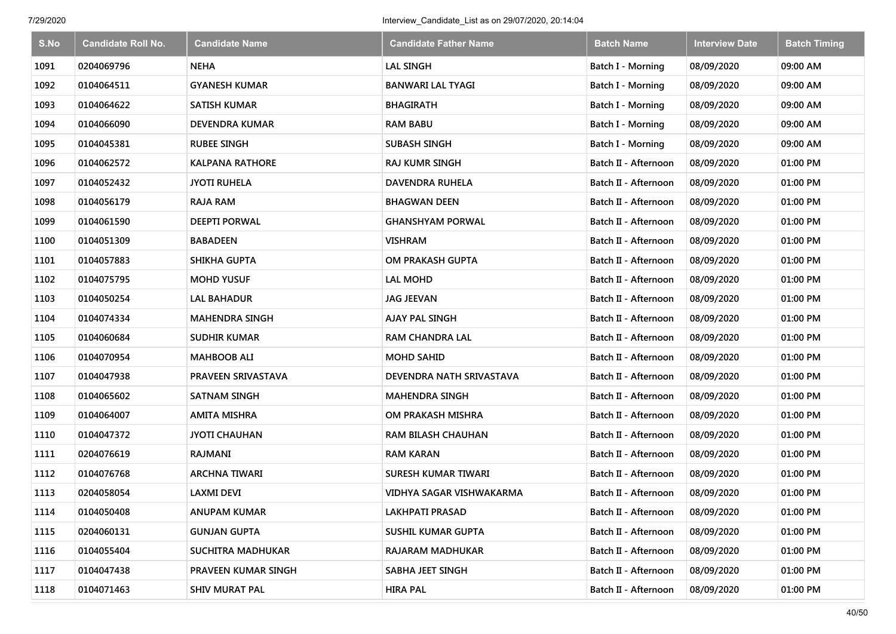| S.No | <b>Candidate Roll No.</b> | <b>Candidate Name</b>  | <b>Candidate Father Name</b> | <b>Batch Name</b>        | <b>Interview Date</b> | <b>Batch Timing</b> |
|------|---------------------------|------------------------|------------------------------|--------------------------|-----------------------|---------------------|
| 1091 | 0204069796                | <b>NEHA</b>            | <b>LAL SINGH</b>             | <b>Batch I - Morning</b> | 08/09/2020            | 09:00 AM            |
| 1092 | 0104064511                | <b>GYANESH KUMAR</b>   | <b>BANWARI LAL TYAGI</b>     | Batch I - Morning        | 08/09/2020            | 09:00 AM            |
| 1093 | 0104064622                | <b>SATISH KUMAR</b>    | <b>BHAGIRATH</b>             | Batch I - Morning        | 08/09/2020            | 09:00 AM            |
| 1094 | 0104066090                | <b>DEVENDRA KUMAR</b>  | <b>RAM BABU</b>              | Batch I - Morning        | 08/09/2020            | 09:00 AM            |
| 1095 | 0104045381                | <b>RUBEE SINGH</b>     | <b>SUBASH SINGH</b>          | Batch I - Morning        | 08/09/2020            | 09:00 AM            |
| 1096 | 0104062572                | <b>KALPANA RATHORE</b> | <b>RAJ KUMR SINGH</b>        | Batch II - Afternoon     | 08/09/2020            | 01:00 PM            |
| 1097 | 0104052432                | <b>JYOTI RUHELA</b>    | <b>DAVENDRA RUHELA</b>       | Batch II - Afternoon     | 08/09/2020            | 01:00 PM            |
| 1098 | 0104056179                | <b>RAJA RAM</b>        | <b>BHAGWAN DEEN</b>          | Batch II - Afternoon     | 08/09/2020            | 01:00 PM            |
| 1099 | 0104061590                | <b>DEEPTI PORWAL</b>   | <b>GHANSHYAM PORWAL</b>      | Batch II - Afternoon     | 08/09/2020            | 01:00 PM            |
| 1100 | 0104051309                | <b>BABADEEN</b>        | <b>VISHRAM</b>               | Batch II - Afternoon     | 08/09/2020            | 01:00 PM            |
| 1101 | 0104057883                | <b>SHIKHA GUPTA</b>    | OM PRAKASH GUPTA             | Batch II - Afternoon     | 08/09/2020            | 01:00 PM            |
| 1102 | 0104075795                | <b>MOHD YUSUF</b>      | <b>LAL MOHD</b>              | Batch II - Afternoon     | 08/09/2020            | 01:00 PM            |
| 1103 | 0104050254                | <b>LAL BAHADUR</b>     | <b>JAG JEEVAN</b>            | Batch II - Afternoon     | 08/09/2020            | 01:00 PM            |
| 1104 | 0104074334                | <b>MAHENDRA SINGH</b>  | AJAY PAL SINGH               | Batch II - Afternoon     | 08/09/2020            | 01:00 PM            |
| 1105 | 0104060684                | <b>SUDHIR KUMAR</b>    | <b>RAM CHANDRA LAL</b>       | Batch II - Afternoon     | 08/09/2020            | 01:00 PM            |
| 1106 | 0104070954                | <b>MAHBOOB ALI</b>     | <b>MOHD SAHID</b>            | Batch II - Afternoon     | 08/09/2020            | 01:00 PM            |
| 1107 | 0104047938                | PRAVEEN SRIVASTAVA     | DEVENDRA NATH SRIVASTAVA     | Batch II - Afternoon     | 08/09/2020            | 01:00 PM            |
| 1108 | 0104065602                | <b>SATNAM SINGH</b>    | <b>MAHENDRA SINGH</b>        | Batch II - Afternoon     | 08/09/2020            | 01:00 PM            |
| 1109 | 0104064007                | <b>AMITA MISHRA</b>    | OM PRAKASH MISHRA            | Batch II - Afternoon     | 08/09/2020            | 01:00 PM            |
| 1110 | 0104047372                | <b>JYOTI CHAUHAN</b>   | <b>RAM BILASH CHAUHAN</b>    | Batch II - Afternoon     | 08/09/2020            | 01:00 PM            |
| 1111 | 0204076619                | RAJMANI                | <b>RAM KARAN</b>             | Batch II - Afternoon     | 08/09/2020            | 01:00 PM            |
| 1112 | 0104076768                | <b>ARCHNA TIWARI</b>   | SURESH KUMAR TIWARI          | Batch II - Afternoon     | 08/09/2020            | 01:00 PM            |
| 1113 | 0204058054                | <b>LAXMI DEVI</b>      | VIDHYA SAGAR VISHWAKARMA     | Batch II - Afternoon     | 08/09/2020            | 01:00 PM            |
| 1114 | 0104050408                | <b>ANUPAM KUMAR</b>    | <b>LAKHPATI PRASAD</b>       | Batch II - Afternoon     | 08/09/2020            | 01:00 PM            |
| 1115 | 0204060131                | <b>GUNJAN GUPTA</b>    | <b>SUSHIL KUMAR GUPTA</b>    | Batch II - Afternoon     | 08/09/2020            | 01:00 PM            |
| 1116 | 0104055404                | SUCHITRA MADHUKAR      | RAJARAM MADHUKAR             | Batch II - Afternoon     | 08/09/2020            | 01:00 PM            |
| 1117 | 0104047438                | PRAVEEN KUMAR SINGH    | SABHA JEET SINGH             | Batch II - Afternoon     | 08/09/2020            | 01:00 PM            |
| 1118 | 0104071463                | <b>SHIV MURAT PAL</b>  | <b>HIRA PAL</b>              | Batch II - Afternoon     | 08/09/2020            | 01:00 PM            |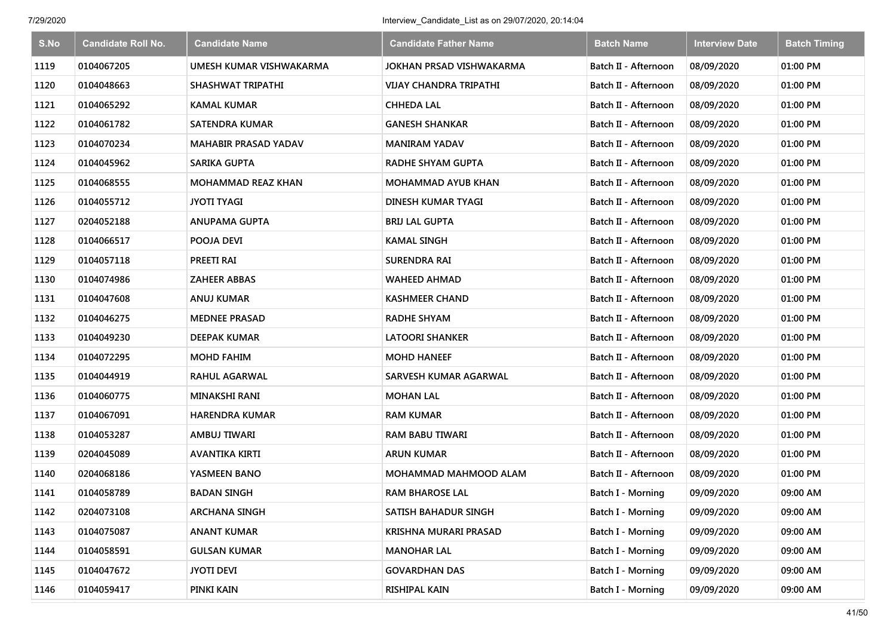| S.No | <b>Candidate Roll No.</b> | <b>Candidate Name</b>       | <b>Candidate Father Name</b>    | <b>Batch Name</b>        | <b>Interview Date</b> | <b>Batch Timing</b> |
|------|---------------------------|-----------------------------|---------------------------------|--------------------------|-----------------------|---------------------|
| 1119 | 0104067205                | UMESH KUMAR VISHWAKARMA     | <b>JOKHAN PRSAD VISHWAKARMA</b> | Batch II - Afternoon     | 08/09/2020            | 01:00 PM            |
| 1120 | 0104048663                | SHASHWAT TRIPATHI           | <b>VIJAY CHANDRA TRIPATHI</b>   | Batch II - Afternoon     | 08/09/2020            | 01:00 PM            |
| 1121 | 0104065292                | <b>KAMAL KUMAR</b>          | <b>CHHEDA LAL</b>               | Batch II - Afternoon     | 08/09/2020            | 01:00 PM            |
| 1122 | 0104061782                | <b>SATENDRA KUMAR</b>       | <b>GANESH SHANKAR</b>           | Batch II - Afternoon     | 08/09/2020            | 01:00 PM            |
| 1123 | 0104070234                | <b>MAHABIR PRASAD YADAV</b> | <b>MANIRAM YADAV</b>            | Batch II - Afternoon     | 08/09/2020            | 01:00 PM            |
| 1124 | 0104045962                | SARIKA GUPTA                | <b>RADHE SHYAM GUPTA</b>        | Batch II - Afternoon     | 08/09/2020            | 01:00 PM            |
| 1125 | 0104068555                | <b>MOHAMMAD REAZ KHAN</b>   | <b>MOHAMMAD AYUB KHAN</b>       | Batch II - Afternoon     | 08/09/2020            | 01:00 PM            |
| 1126 | 0104055712                | <b>JYOTI TYAGI</b>          | DINESH KUMAR TYAGI              | Batch II - Afternoon     | 08/09/2020            | 01:00 PM            |
| 1127 | 0204052188                | <b>ANUPAMA GUPTA</b>        | <b>BRIJ LAL GUPTA</b>           | Batch II - Afternoon     | 08/09/2020            | 01:00 PM            |
| 1128 | 0104066517                | POOJA DEVI                  | <b>KAMAL SINGH</b>              | Batch II - Afternoon     | 08/09/2020            | 01:00 PM            |
| 1129 | 0104057118                | PREETI RAI                  | <b>SURENDRA RAI</b>             | Batch II - Afternoon     | 08/09/2020            | 01:00 PM            |
| 1130 | 0104074986                | ZAHEER ABBAS                | <b>WAHEED AHMAD</b>             | Batch II - Afternoon     | 08/09/2020            | 01:00 PM            |
| 1131 | 0104047608                | ANUJ KUMAR                  | <b>KASHMEER CHAND</b>           | Batch II - Afternoon     | 08/09/2020            | 01:00 PM            |
| 1132 | 0104046275                | <b>MEDNEE PRASAD</b>        | <b>RADHE SHYAM</b>              | Batch II - Afternoon     | 08/09/2020            | 01:00 PM            |
| 1133 | 0104049230                | <b>DEEPAK KUMAR</b>         | <b>LATOORI SHANKER</b>          | Batch II - Afternoon     | 08/09/2020            | 01:00 PM            |
| 1134 | 0104072295                | <b>MOHD FAHIM</b>           | <b>MOHD HANEEF</b>              | Batch II - Afternoon     | 08/09/2020            | 01:00 PM            |
| 1135 | 0104044919                | <b>RAHUL AGARWAL</b>        | SARVESH KUMAR AGARWAL           | Batch II - Afternoon     | 08/09/2020            | 01:00 PM            |
| 1136 | 0104060775                | <b>MINAKSHI RANI</b>        | <b>MOHAN LAL</b>                | Batch II - Afternoon     | 08/09/2020            | 01:00 PM            |
| 1137 | 0104067091                | <b>HARENDRA KUMAR</b>       | <b>RAM KUMAR</b>                | Batch II - Afternoon     | 08/09/2020            | 01:00 PM            |
| 1138 | 0104053287                | AMBUJ TIWARI                | <b>RAM BABU TIWARI</b>          | Batch II - Afternoon     | 08/09/2020            | 01:00 PM            |
| 1139 | 0204045089                | AVANTIKA KIRTI              | <b>ARUN KUMAR</b>               | Batch II - Afternoon     | 08/09/2020            | 01:00 PM            |
| 1140 | 0204068186                | YASMEEN BANO                | MOHAMMAD MAHMOOD ALAM           | Batch II - Afternoon     | 08/09/2020            | 01:00 PM            |
| 1141 | 0104058789                | <b>BADAN SINGH</b>          | <b>RAM BHAROSE LAL</b>          | Batch I - Morning        | 09/09/2020            | 09:00 AM            |
| 1142 | 0204073108                | <b>ARCHANA SINGH</b>        | SATISH BAHADUR SINGH            | <b>Batch I - Morning</b> | 09/09/2020            | 09:00 AM            |
| 1143 | 0104075087                | <b>ANANT KUMAR</b>          | KRISHNA MURARI PRASAD           | Batch I - Morning        | 09/09/2020            | 09:00 AM            |
| 1144 | 0104058591                | <b>GULSAN KUMAR</b>         | <b>MANOHAR LAL</b>              | Batch I - Morning        | 09/09/2020            | 09:00 AM            |
| 1145 | 0104047672                | <b>JYOTI DEVI</b>           | <b>GOVARDHAN DAS</b>            | Batch I - Morning        | 09/09/2020            | 09:00 AM            |
| 1146 | 0104059417                | PINKI KAIN                  | RISHIPAL KAIN                   | <b>Batch I - Morning</b> | 09/09/2020            | 09:00 AM            |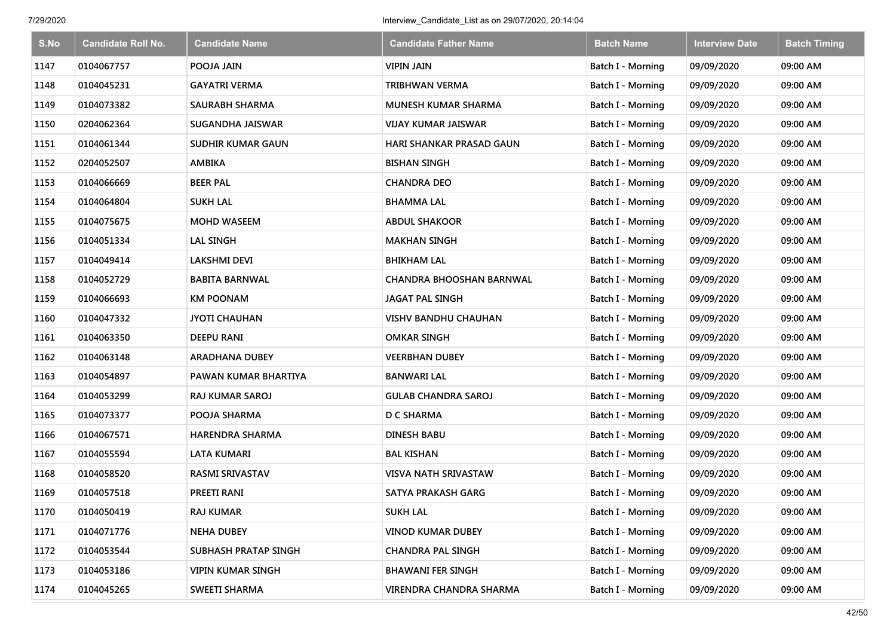| S.No | <b>Candidate Roll No.</b> | <b>Candidate Name</b>    | <b>Candidate Father Name</b>    | <b>Batch Name</b>        | <b>Interview Date</b> | <b>Batch Timing</b> |
|------|---------------------------|--------------------------|---------------------------------|--------------------------|-----------------------|---------------------|
| 1147 | 0104067757                | POOJA JAIN               | <b>VIPIN JAIN</b>               | Batch I - Morning        | 09/09/2020            | 09:00 AM            |
| 1148 | 0104045231                | GAYATRI VERMA            | <b>TRIBHWAN VERMA</b>           | Batch I - Morning        | 09/09/2020            | 09:00 AM            |
| 1149 | 0104073382                | SAURABH SHARMA           | <b>MUNESH KUMAR SHARMA</b>      | Batch I - Morning        | 09/09/2020            | 09:00 AM            |
| 1150 | 0204062364                | SUGANDHA JAISWAR         | <b>VIJAY KUMAR JAISWAR</b>      | Batch I - Morning        | 09/09/2020            | 09:00 AM            |
| 1151 | 0104061344                | <b>SUDHIR KUMAR GAUN</b> | <b>HARI SHANKAR PRASAD GAUN</b> | Batch I - Morning        | 09/09/2020            | 09:00 AM            |
| 1152 | 0204052507                | <b>AMBIKA</b>            | <b>BISHAN SINGH</b>             | <b>Batch I - Morning</b> | 09/09/2020            | 09:00 AM            |
| 1153 | 0104066669                | <b>BEER PAL</b>          | <b>CHANDRA DEO</b>              | Batch I - Morning        | 09/09/2020            | 09:00 AM            |
| 1154 | 0104064804                | <b>SUKH LAL</b>          | <b>BHAMMA LAL</b>               | <b>Batch I - Morning</b> | 09/09/2020            | 09:00 AM            |
| 1155 | 0104075675                | <b>MOHD WASEEM</b>       | <b>ABDUL SHAKOOR</b>            | Batch I - Morning        | 09/09/2020            | 09:00 AM            |
| 1156 | 0104051334                | <b>LAL SINGH</b>         | <b>MAKHAN SINGH</b>             | <b>Batch I - Morning</b> | 09/09/2020            | 09:00 AM            |
| 1157 | 0104049414                | <b>LAKSHMI DEVI</b>      | <b>BHIKHAM LAL</b>              | <b>Batch I - Morning</b> | 09/09/2020            | 09:00 AM            |
| 1158 | 0104052729                | <b>BABITA BARNWAL</b>    | CHANDRA BHOOSHAN BARNWAL        | <b>Batch I - Morning</b> | 09/09/2020            | 09:00 AM            |
| 1159 | 0104066693                | <b>KM POONAM</b>         | JAGAT PAL SINGH                 | Batch I - Morning        | 09/09/2020            | 09:00 AM            |
| 1160 | 0104047332                | <b>JYOTI CHAUHAN</b>     | <b>VISHV BANDHU CHAUHAN</b>     | Batch I - Morning        | 09/09/2020            | 09:00 AM            |
| 1161 | 0104063350                | <b>DEEPU RANI</b>        | <b>OMKAR SINGH</b>              | Batch I - Morning        | 09/09/2020            | 09:00 AM            |
| 1162 | 0104063148                | ARADHANA DUBEY           | <b>VEERBHAN DUBEY</b>           | Batch I - Morning        | 09/09/2020            | 09:00 AM            |
| 1163 | 0104054897                | PAWAN KUMAR BHARTIYA     | BANWARI LAL                     | Batch I - Morning        | 09/09/2020            | 09:00 AM            |
| 1164 | 0104053299                | RAJ KUMAR SAROJ          | <b>GULAB CHANDRA SAROJ</b>      | Batch I - Morning        | 09/09/2020            | 09:00 AM            |
| 1165 | 0104073377                | POOJA SHARMA             | D C SHARMA                      | <b>Batch I - Morning</b> | 09/09/2020            | 09:00 AM            |
| 1166 | 0104067571                | HARENDRA SHARMA          | <b>DINESH BABU</b>              | Batch I - Morning        | 09/09/2020            | 09:00 AM            |
| 1167 | 0104055594                | LATA KUMARI              | <b>BAL KISHAN</b>               | Batch I - Morning        | 09/09/2020            | 09:00 AM            |
| 1168 | 0104058520                | <b>RASMI SRIVASTAV</b>   | <b>VISVA NATH SRIVASTAW</b>     | <b>Batch I - Morning</b> | 09/09/2020            | 09:00 AM            |
| 1169 | 0104057518                | PREETI RANI              | SATYA PRAKASH GARG              | Batch I - Morning        | 09/09/2020            | 09:00 AM            |
| 1170 | 0104050419                | <b>RAJ KUMAR</b>         | <b>SUKH LAL</b>                 | Batch I - Morning        | 09/09/2020            | 09:00 AM            |
| 1171 | 0104071776                | <b>NEHA DUBEY</b>        | <b>VINOD KUMAR DUBEY</b>        | Batch I - Morning        | 09/09/2020            | 09:00 AM            |
| 1172 | 0104053544                | SUBHASH PRATAP SINGH     | <b>CHANDRA PAL SINGH</b>        | Batch I - Morning        | 09/09/2020            | 09:00 AM            |
| 1173 | 0104053186                | <b>VIPIN KUMAR SINGH</b> | <b>BHAWANI FER SINGH</b>        | Batch I - Morning        | 09/09/2020            | 09:00 AM            |
| 1174 | 0104045265                | <b>SWEETI SHARMA</b>     | VIRENDRA CHANDRA SHARMA         | Batch I - Morning        | 09/09/2020            | 09:00 AM            |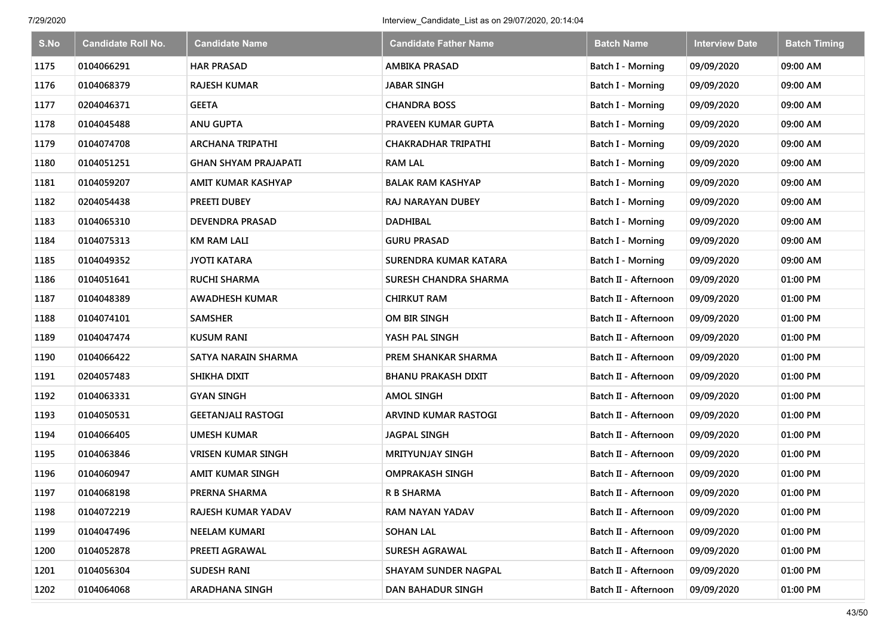| S.No | <b>Candidate Roll No.</b> | <b>Candidate Name</b>       | <b>Candidate Father Name</b> | <b>Batch Name</b>        | <b>Interview Date</b> | <b>Batch Timing</b> |
|------|---------------------------|-----------------------------|------------------------------|--------------------------|-----------------------|---------------------|
| 1175 | 0104066291                | <b>HAR PRASAD</b>           | <b>AMBIKA PRASAD</b>         | Batch I - Morning        | 09/09/2020            | 09:00 AM            |
| 1176 | 0104068379                | <b>RAJESH KUMAR</b>         | <b>JABAR SINGH</b>           | Batch I - Morning        | 09/09/2020            | 09:00 AM            |
| 1177 | 0204046371                | <b>GEETA</b>                | <b>CHANDRA BOSS</b>          | Batch I - Morning        | 09/09/2020            | 09:00 AM            |
| 1178 | 0104045488                | <b>ANU GUPTA</b>            | PRAVEEN KUMAR GUPTA          | Batch I - Morning        | 09/09/2020            | 09:00 AM            |
| 1179 | 0104074708                | <b>ARCHANA TRIPATHI</b>     | <b>CHAKRADHAR TRIPATHI</b>   | <b>Batch I - Morning</b> | 09/09/2020            | 09:00 AM            |
| 1180 | 0104051251                | <b>GHAN SHYAM PRAJAPATI</b> | <b>RAM LAL</b>               | Batch I - Morning        | 09/09/2020            | 09:00 AM            |
| 1181 | 0104059207                | AMIT KUMAR KASHYAP          | <b>BALAK RAM KASHYAP</b>     | Batch I - Morning        | 09/09/2020            | 09:00 AM            |
| 1182 | 0204054438                | PREETI DUBEY                | <b>RAJ NARAYAN DUBEY</b>     | Batch I - Morning        | 09/09/2020            | 09:00 AM            |
| 1183 | 0104065310                | <b>DEVENDRA PRASAD</b>      | <b>DADHIBAL</b>              | Batch I - Morning        | 09/09/2020            | 09:00 AM            |
| 1184 | 0104075313                | <b>KM RAM LALI</b>          | <b>GURU PRASAD</b>           | Batch I - Morning        | 09/09/2020            | 09:00 AM            |
| 1185 | 0104049352                | <b>JYOTI KATARA</b>         | SURENDRA KUMAR KATARA        | Batch I - Morning        | 09/09/2020            | 09:00 AM            |
| 1186 | 0104051641                | <b>RUCHI SHARMA</b>         | SURESH CHANDRA SHARMA        | Batch II - Afternoon     | 09/09/2020            | 01:00 PM            |
| 1187 | 0104048389                | <b>AWADHESH KUMAR</b>       | <b>CHIRKUT RAM</b>           | Batch II - Afternoon     | 09/09/2020            | 01:00 PM            |
| 1188 | 0104074101                | <b>SAMSHER</b>              | OM BIR SINGH                 | Batch II - Afternoon     | 09/09/2020            | 01:00 PM            |
| 1189 | 0104047474                | <b>KUSUM RANI</b>           | YASH PAL SINGH               | Batch II - Afternoon     | 09/09/2020            | 01:00 PM            |
| 1190 | 0104066422                | SATYA NARAIN SHARMA         | PREM SHANKAR SHARMA          | Batch II - Afternoon     | 09/09/2020            | 01:00 PM            |
| 1191 | 0204057483                | <b>SHIKHA DIXIT</b>         | <b>BHANU PRAKASH DIXIT</b>   | Batch II - Afternoon     | 09/09/2020            | 01:00 PM            |
| 1192 | 0104063331                | <b>GYAN SINGH</b>           | <b>AMOL SINGH</b>            | Batch II - Afternoon     | 09/09/2020            | 01:00 PM            |
| 1193 | 0104050531                | <b>GEETANJALI RASTOGI</b>   | ARVIND KUMAR RASTOGI         | Batch II - Afternoon     | 09/09/2020            | 01:00 PM            |
| 1194 | 0104066405                | <b>UMESH KUMAR</b>          | <b>JAGPAL SINGH</b>          | Batch II - Afternoon     | 09/09/2020            | 01:00 PM            |
| 1195 | 0104063846                | <b>VRISEN KUMAR SINGH</b>   | <b>MRITYUNJAY SINGH</b>      | Batch II - Afternoon     | 09/09/2020            | 01:00 PM            |
| 1196 | 0104060947                | <b>AMIT KUMAR SINGH</b>     | <b>OMPRAKASH SINGH</b>       | Batch II - Afternoon     | 09/09/2020            | 01:00 PM            |
| 1197 | 0104068198                | PRERNA SHARMA               | <b>R B SHARMA</b>            | Batch II - Afternoon     | 09/09/2020            | 01:00 PM            |
| 1198 | 0104072219                | RAJESH KUMAR YADAV          | RAM NAYAN YADAV              | Batch II - Afternoon     | 09/09/2020            | 01:00 PM            |
| 1199 | 0104047496                | NEELAM KUMARI               | <b>SOHAN LAL</b>             | Batch II - Afternoon     | 09/09/2020            | 01:00 PM            |
| 1200 | 0104052878                | PREETI AGRAWAL              | <b>SURESH AGRAWAL</b>        | Batch II - Afternoon     | 09/09/2020            | 01:00 PM            |
| 1201 | 0104056304                | SUDESH RANI                 | <b>SHAYAM SUNDER NAGPAL</b>  | Batch II - Afternoon     | 09/09/2020            | 01:00 PM            |
| 1202 | 0104064068                | <b>ARADHANA SINGH</b>       | <b>DAN BAHADUR SINGH</b>     | Batch II - Afternoon     | 09/09/2020            | 01:00 PM            |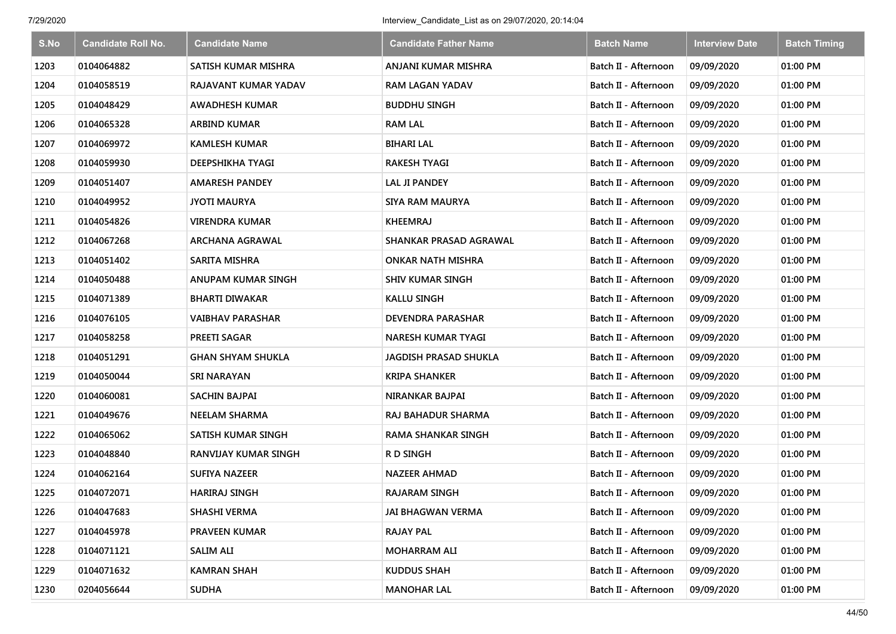| S.No | <b>Candidate Roll No.</b> | Candidate Name              | <b>Candidate Father Name</b>  | <b>Batch Name</b>    | <b>Interview Date</b> | <b>Batch Timing</b> |
|------|---------------------------|-----------------------------|-------------------------------|----------------------|-----------------------|---------------------|
| 1203 | 0104064882                | SATISH KUMAR MISHRA         | ANJANI KUMAR MISHRA           | Batch II - Afternoon | 09/09/2020            | 01:00 PM            |
| 1204 | 0104058519                | RAJAVANT KUMAR YADAV        | <b>RAM LAGAN YADAV</b>        | Batch II - Afternoon | 09/09/2020            | 01:00 PM            |
| 1205 | 0104048429                | <b>AWADHESH KUMAR</b>       | <b>BUDDHU SINGH</b>           | Batch II - Afternoon | 09/09/2020            | 01:00 PM            |
| 1206 | 0104065328                | <b>ARBIND KUMAR</b>         | <b>RAM LAL</b>                | Batch II - Afternoon | 09/09/2020            | 01:00 PM            |
| 1207 | 0104069972                | <b>KAMLESH KUMAR</b>        | <b>BIHARI LAL</b>             | Batch II - Afternoon | 09/09/2020            | 01:00 PM            |
| 1208 | 0104059930                | DEEPSHIKHA TYAGI            | <b>RAKESH TYAGI</b>           | Batch II - Afternoon | 09/09/2020            | 01:00 PM            |
| 1209 | 0104051407                | <b>AMARESH PANDEY</b>       | <b>LAL JI PANDEY</b>          | Batch II - Afternoon | 09/09/2020            | 01:00 PM            |
| 1210 | 0104049952                | <b>JYOTI MAURYA</b>         | <b>SIYA RAM MAURYA</b>        | Batch II - Afternoon | 09/09/2020            | 01:00 PM            |
| 1211 | 0104054826                | <b>VIRENDRA KUMAR</b>       | <b>KHEEMRAJ</b>               | Batch II - Afternoon | 09/09/2020            | 01:00 PM            |
| 1212 | 0104067268                | ARCHANA AGRAWAL             | <b>SHANKAR PRASAD AGRAWAL</b> | Batch II - Afternoon | 09/09/2020            | 01:00 PM            |
| 1213 | 0104051402                | SARITA MISHRA               | <b>ONKAR NATH MISHRA</b>      | Batch II - Afternoon | 09/09/2020            | 01:00 PM            |
| 1214 | 0104050488                | <b>ANUPAM KUMAR SINGH</b>   | <b>SHIV KUMAR SINGH</b>       | Batch II - Afternoon | 09/09/2020            | 01:00 PM            |
| 1215 | 0104071389                | <b>BHARTI DIWAKAR</b>       | <b>KALLU SINGH</b>            | Batch II - Afternoon | 09/09/2020            | 01:00 PM            |
| 1216 | 0104076105                | <b>VAIBHAV PARASHAR</b>     | DEVENDRA PARASHAR             | Batch II - Afternoon | 09/09/2020            | 01:00 PM            |
| 1217 | 0104058258                | <b>PREETI SAGAR</b>         | <b>NARESH KUMAR TYAGI</b>     | Batch II - Afternoon | 09/09/2020            | 01:00 PM            |
| 1218 | 0104051291                | <b>GHAN SHYAM SHUKLA</b>    | <b>JAGDISH PRASAD SHUKLA</b>  | Batch II - Afternoon | 09/09/2020            | 01:00 PM            |
| 1219 | 0104050044                | <b>SRI NARAYAN</b>          | <b>KRIPA SHANKER</b>          | Batch II - Afternoon | 09/09/2020            | 01:00 PM            |
| 1220 | 0104060081                | SACHIN BAJPAI               | NIRANKAR BAJPAI               | Batch II - Afternoon | 09/09/2020            | 01:00 PM            |
| 1221 | 0104049676                | <b>NEELAM SHARMA</b>        | RAJ BAHADUR SHARMA            | Batch II - Afternoon | 09/09/2020            | 01:00 PM            |
| 1222 | 0104065062                | SATISH KUMAR SINGH          | <b>RAMA SHANKAR SINGH</b>     | Batch II - Afternoon | 09/09/2020            | 01:00 PM            |
| 1223 | 0104048840                | <b>RANVIJAY KUMAR SINGH</b> | R D SINGH                     | Batch II - Afternoon | 09/09/2020            | 01:00 PM            |
| 1224 | 0104062164                | <b>SUFIYA NAZEER</b>        | <b>NAZEER AHMAD</b>           | Batch II - Afternoon | 09/09/2020            | 01:00 PM            |
| 1225 | 0104072071                | <b>HARIRAJ SINGH</b>        | <b>RAJARAM SINGH</b>          | Batch II - Afternoon | 09/09/2020            | 01:00 PM            |
| 1226 | 0104047683                | SHASHI VERMA                | JAI BHAGWAN VERMA             | Batch II - Afternoon | 09/09/2020            | 01:00 PM            |
| 1227 | 0104045978                | PRAVEEN KUMAR               | <b>RAJAY PAL</b>              | Batch II - Afternoon | 09/09/2020            | 01:00 PM            |
| 1228 | 0104071121                | <b>SALIM ALI</b>            | <b>MOHARRAM ALI</b>           | Batch II - Afternoon | 09/09/2020            | 01:00 PM            |
| 1229 | 0104071632                | <b>KAMRAN SHAH</b>          | <b>KUDDUS SHAH</b>            | Batch II - Afternoon | 09/09/2020            | 01:00 PM            |
| 1230 | 0204056644                | <b>SUDHA</b>                | <b>MANOHAR LAL</b>            | Batch II - Afternoon | 09/09/2020            | 01:00 PM            |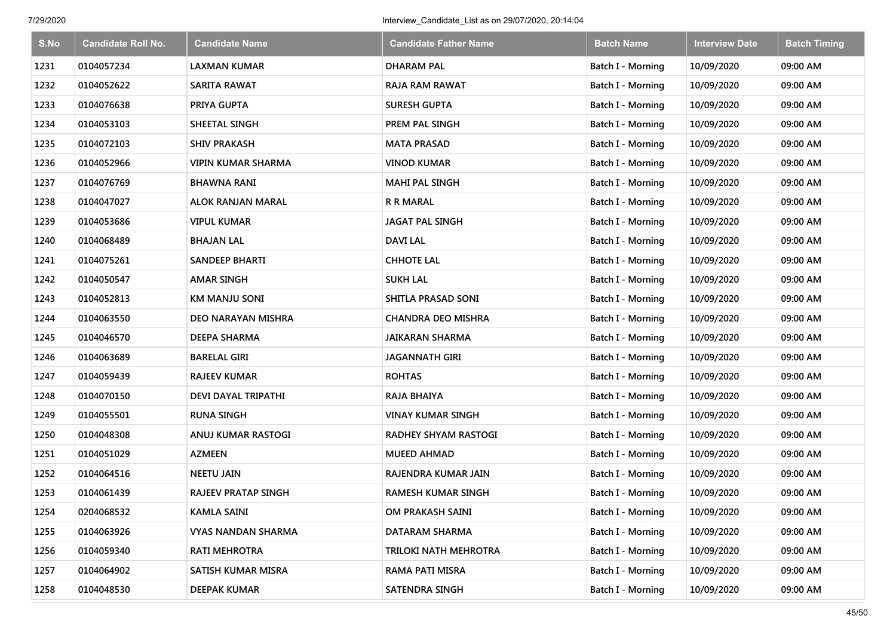| S.No | <b>Candidate Roll No.</b> | <b>Candidate Name</b>      | <b>Candidate Father Name</b> | <b>Batch Name</b>        | <b>Interview Date</b> | <b>Batch Timing</b> |
|------|---------------------------|----------------------------|------------------------------|--------------------------|-----------------------|---------------------|
| 1231 | 0104057234                | <b>LAXMAN KUMAR</b>        | <b>DHARAM PAL</b>            | Batch I - Morning        | 10/09/2020            | 09:00 AM            |
| 1232 | 0104052622                | SARITA RAWAT               | <b>RAJA RAM RAWAT</b>        | Batch I - Morning        | 10/09/2020            | 09:00 AM            |
| 1233 | 0104076638                | PRIYA GUPTA                | <b>SURESH GUPTA</b>          | <b>Batch I - Morning</b> | 10/09/2020            | 09:00 AM            |
| 1234 | 0104053103                | SHEETAL SINGH              | PREM PAL SINGH               | Batch I - Morning        | 10/09/2020            | 09:00 AM            |
| 1235 | 0104072103                | <b>SHIV PRAKASH</b>        | <b>MATA PRASAD</b>           | Batch I - Morning        | 10/09/2020            | 09:00 AM            |
| 1236 | 0104052966                | <b>VIPIN KUMAR SHARMA</b>  | <b>VINOD KUMAR</b>           | Batch I - Morning        | 10/09/2020            | 09:00 AM            |
| 1237 | 0104076769                | <b>BHAWNA RANI</b>         | <b>MAHI PAL SINGH</b>        | Batch I - Morning        | 10/09/2020            | 09:00 AM            |
| 1238 | 0104047027                | <b>ALOK RANJAN MARAL</b>   | <b>R R MARAL</b>             | Batch I - Morning        | 10/09/2020            | 09:00 AM            |
| 1239 | 0104053686                | <b>VIPUL KUMAR</b>         | <b>JAGAT PAL SINGH</b>       | Batch I - Morning        | 10/09/2020            | 09:00 AM            |
| 1240 | 0104068489                | <b>BHAJAN LAL</b>          | <b>DAVI LAL</b>              | Batch I - Morning        | 10/09/2020            | 09:00 AM            |
| 1241 | 0104075261                | <b>SANDEEP BHARTI</b>      | <b>CHHOTE LAL</b>            | Batch I - Morning        | 10/09/2020            | 09:00 AM            |
| 1242 | 0104050547                | <b>AMAR SINGH</b>          | <b>SUKH LAL</b>              | <b>Batch I - Morning</b> | 10/09/2020            | 09:00 AM            |
| 1243 | 0104052813                | <b>KM MANJU SONI</b>       | SHITLA PRASAD SONI           | Batch I - Morning        | 10/09/2020            | 09:00 AM            |
| 1244 | 0104063550                | DEO NARAYAN MISHRA         | <b>CHANDRA DEO MISHRA</b>    | <b>Batch I - Morning</b> | 10/09/2020            | 09:00 AM            |
| 1245 | 0104046570                | DEEPA SHARMA               | JAIKARAN SHARMA              | <b>Batch I - Morning</b> | 10/09/2020            | 09:00 AM            |
| 1246 | 0104063689                | <b>BARELAL GIRI</b>        | <b>JAGANNATH GIRI</b>        | <b>Batch I - Morning</b> | 10/09/2020            | 09:00 AM            |
| 1247 | 0104059439                | <b>RAJEEV KUMAR</b>        | <b>ROHTAS</b>                | <b>Batch I - Morning</b> | 10/09/2020            | 09:00 AM            |
| 1248 | 0104070150                | DEVI DAYAL TRIPATHI        | RAJA BHAIYA                  | Batch I - Morning        | 10/09/2020            | 09:00 AM            |
| 1249 | 0104055501                | <b>RUNA SINGH</b>          | <b>VINAY KUMAR SINGH</b>     | <b>Batch I - Morning</b> | 10/09/2020            | 09:00 AM            |
| 1250 | 0104048308                | ANUJ KUMAR RASTOGI         | <b>RADHEY SHYAM RASTOGI</b>  | Batch I - Morning        | 10/09/2020            | 09:00 AM            |
| 1251 | 0104051029                | <b>AZMEEN</b>              | <b>MUEED AHMAD</b>           | Batch I - Morning        | 10/09/2020            | 09:00 AM            |
| 1252 | 0104064516                | <b>NEETU JAIN</b>          | RAJENDRA KUMAR JAIN          | Batch I - Morning        | 10/09/2020            | 09:00 AM            |
| 1253 | 0104061439                | <b>RAJEEV PRATAP SINGH</b> | <b>RAMESH KUMAR SINGH</b>    | Batch I - Morning        | 10/09/2020            | 09:00 AM            |
| 1254 | 0204068532                | <b>KAMLA SAINI</b>         | OM PRAKASH SAINI             | Batch I - Morning        | 10/09/2020            | 09:00 AM            |
| 1255 | 0104063926                | VYAS NANDAN SHARMA         | DATARAM SHARMA               | Batch I - Morning        | 10/09/2020            | 09:00 AM            |
| 1256 | 0104059340                | RATI MEHROTRA              | TRILOKI NATH MEHROTRA        | Batch I - Morning        | 10/09/2020            | 09:00 AM            |
| 1257 | 0104064902                | SATISH KUMAR MISRA         | <b>RAMA PATI MISRA</b>       | Batch I - Morning        | 10/09/2020            | 09:00 AM            |
| 1258 | 0104048530                | <b>DEEPAK KUMAR</b>        | SATENDRA SINGH               | <b>Batch I - Morning</b> | 10/09/2020            | 09:00 AM            |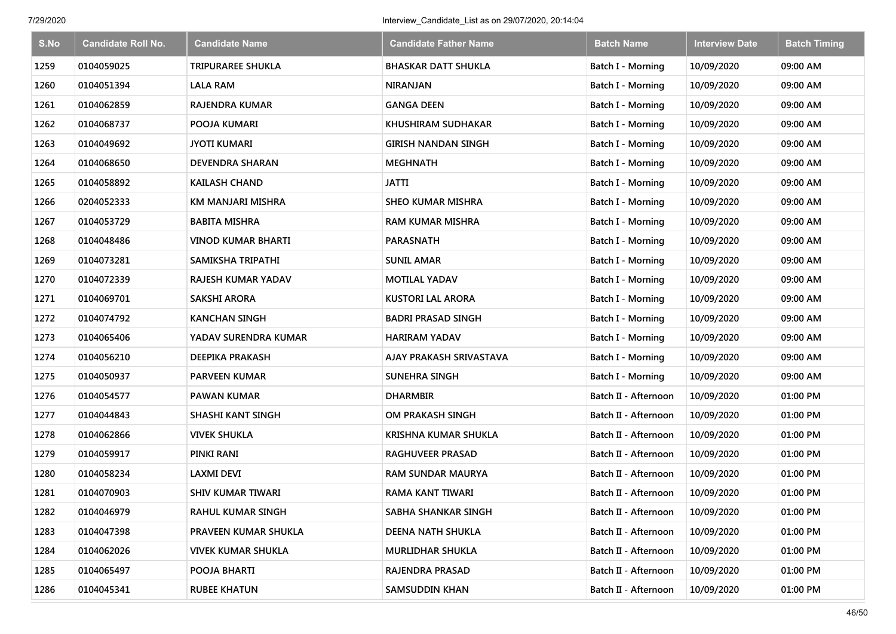| S.No | <b>Candidate Roll No.</b> | <b>Candidate Name</b>     | <b>Candidate Father Name</b> | <b>Batch Name</b>        | <b>Interview Date</b> | <b>Batch Timing</b> |
|------|---------------------------|---------------------------|------------------------------|--------------------------|-----------------------|---------------------|
| 1259 | 0104059025                | <b>TRIPURAREE SHUKLA</b>  | <b>BHASKAR DATT SHUKLA</b>   | <b>Batch I - Morning</b> | 10/09/2020            | 09:00 AM            |
| 1260 | 0104051394                | <b>LALA RAM</b>           | <b>NIRANJAN</b>              | Batch I - Morning        | 10/09/2020            | 09:00 AM            |
| 1261 | 0104062859                | <b>RAJENDRA KUMAR</b>     | <b>GANGA DEEN</b>            | Batch I - Morning        | 10/09/2020            | 09:00 AM            |
| 1262 | 0104068737                | POOJA KUMARI              | KHUSHIRAM SUDHAKAR           | Batch I - Morning        | 10/09/2020            | 09:00 AM            |
| 1263 | 0104049692                | <b>JYOTI KUMARI</b>       | <b>GIRISH NANDAN SINGH</b>   | <b>Batch I - Morning</b> | 10/09/2020            | 09:00 AM            |
| 1264 | 0104068650                | <b>DEVENDRA SHARAN</b>    | <b>MEGHNATH</b>              | Batch I - Morning        | 10/09/2020            | 09:00 AM            |
| 1265 | 0104058892                | <b>KAILASH CHAND</b>      | <b>JATTI</b>                 | Batch I - Morning        | 10/09/2020            | 09:00 AM            |
| 1266 | 0204052333                | KM MANJARI MISHRA         | <b>SHEO KUMAR MISHRA</b>     | Batch I - Morning        | 10/09/2020            | 09:00 AM            |
| 1267 | 0104053729                | <b>BABITA MISHRA</b>      | <b>RAM KUMAR MISHRA</b>      | Batch I - Morning        | 10/09/2020            | 09:00 AM            |
| 1268 | 0104048486                | <b>VINOD KUMAR BHARTI</b> | <b>PARASNATH</b>             | <b>Batch I - Morning</b> | 10/09/2020            | 09:00 AM            |
| 1269 | 0104073281                | SAMIKSHA TRIPATHI         | <b>SUNIL AMAR</b>            | Batch I - Morning        | 10/09/2020            | 09:00 AM            |
| 1270 | 0104072339                | <b>RAJESH KUMAR YADAV</b> | <b>MOTILAL YADAV</b>         | <b>Batch I - Morning</b> | 10/09/2020            | 09:00 AM            |
| 1271 | 0104069701                | <b>SAKSHI ARORA</b>       | <b>KUSTORI LAL ARORA</b>     | Batch I - Morning        | 10/09/2020            | 09:00 AM            |
| 1272 | 0104074792                | <b>KANCHAN SINGH</b>      | <b>BADRI PRASAD SINGH</b>    | <b>Batch I - Morning</b> | 10/09/2020            | 09:00 AM            |
| 1273 | 0104065406                | YADAV SURENDRA KUMAR      | <b>HARIRAM YADAV</b>         | Batch I - Morning        | 10/09/2020            | 09:00 AM            |
| 1274 | 0104056210                | <b>DEEPIKA PRAKASH</b>    | AJAY PRAKASH SRIVASTAVA      | <b>Batch I - Morning</b> | 10/09/2020            | 09:00 AM            |
| 1275 | 0104050937                | <b>PARVEEN KUMAR</b>      | SUNEHRA SINGH                | <b>Batch I - Morning</b> | 10/09/2020            | 09:00 AM            |
| 1276 | 0104054577                | <b>PAWAN KUMAR</b>        | <b>DHARMBIR</b>              | Batch II - Afternoon     | 10/09/2020            | 01:00 PM            |
| 1277 | 0104044843                | <b>SHASHI KANT SINGH</b>  | OM PRAKASH SINGH             | Batch II - Afternoon     | 10/09/2020            | 01:00 PM            |
| 1278 | 0104062866                | <b>VIVEK SHUKLA</b>       | <b>KRISHNA KUMAR SHUKLA</b>  | Batch II - Afternoon     | 10/09/2020            | 01:00 PM            |
| 1279 | 0104059917                | PINKI RANI                | <b>RAGHUVEER PRASAD</b>      | Batch II - Afternoon     | 10/09/2020            | 01:00 PM            |
| 1280 | 0104058234                | LAXMI DEVI                | <b>RAM SUNDAR MAURYA</b>     | Batch II - Afternoon     | 10/09/2020            | 01:00 PM            |
| 1281 | 0104070903                | <b>SHIV KUMAR TIWARI</b>  | RAMA KANT TIWARI             | Batch II - Afternoon     | 10/09/2020            | 01:00 PM            |
| 1282 | 0104046979                | RAHUL KUMAR SINGH         | SABHA SHANKAR SINGH          | Batch II - Afternoon     | 10/09/2020            | 01:00 PM            |
| 1283 | 0104047398                | PRAVEEN KUMAR SHUKLA      | DEENA NATH SHUKLA            | Batch II - Afternoon     | 10/09/2020            | 01:00 PM            |
| 1284 | 0104062026                | <b>VIVEK KUMAR SHUKLA</b> | MURLIDHAR SHUKLA             | Batch II - Afternoon     | 10/09/2020            | 01:00 PM            |
| 1285 | 0104065497                | POOJA BHARTI              | <b>RAJENDRA PRASAD</b>       | Batch II - Afternoon     | 10/09/2020            | 01:00 PM            |
| 1286 | 0104045341                | <b>RUBEE KHATUN</b>       | SAMSUDDIN KHAN               | Batch II - Afternoon     | 10/09/2020            | 01:00 PM            |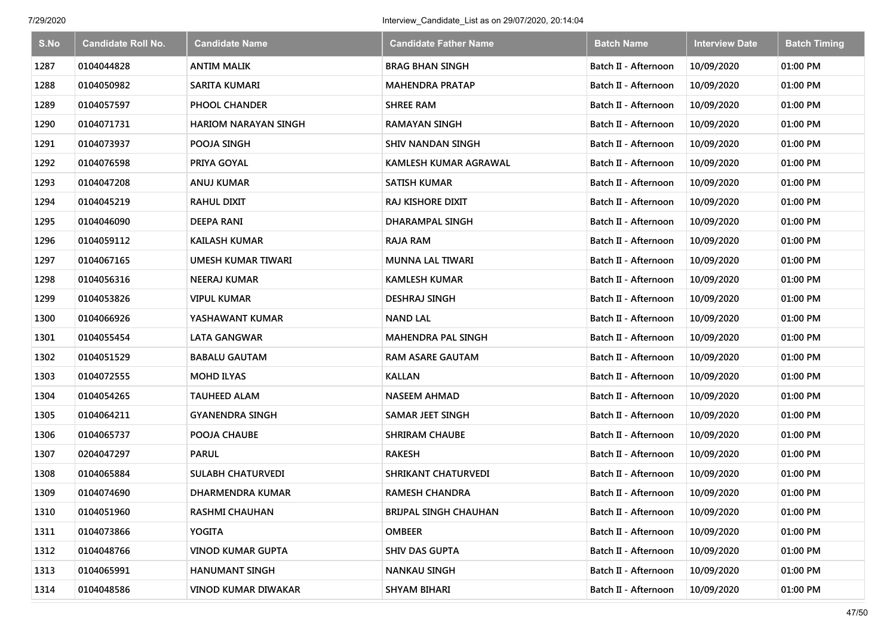| S.No | <b>Candidate Roll No.</b> | <b>Candidate Name</b>       | <b>Candidate Father Name</b> | <b>Batch Name</b>    | <b>Interview Date</b> | <b>Batch Timing</b> |
|------|---------------------------|-----------------------------|------------------------------|----------------------|-----------------------|---------------------|
| 1287 | 0104044828                | <b>ANTIM MALIK</b>          | <b>BRAG BHAN SINGH</b>       | Batch II - Afternoon | 10/09/2020            | 01:00 PM            |
| 1288 | 0104050982                | <b>SARITA KUMARI</b>        | <b>MAHENDRA PRATAP</b>       | Batch II - Afternoon | 10/09/2020            | 01:00 PM            |
| 1289 | 0104057597                | <b>PHOOL CHANDER</b>        | <b>SHREE RAM</b>             | Batch II - Afternoon | 10/09/2020            | 01:00 PM            |
| 1290 | 0104071731                | <b>HARIOM NARAYAN SINGH</b> | <b>RAMAYAN SINGH</b>         | Batch II - Afternoon | 10/09/2020            | 01:00 PM            |
| 1291 | 0104073937                | POOJA SINGH                 | <b>SHIV NANDAN SINGH</b>     | Batch II - Afternoon | 10/09/2020            | 01:00 PM            |
| 1292 | 0104076598                | PRIYA GOYAL                 | KAMLESH KUMAR AGRAWAL        | Batch II - Afternoon | 10/09/2020            | 01:00 PM            |
| 1293 | 0104047208                | ANUJ KUMAR                  | <b>SATISH KUMAR</b>          | Batch II - Afternoon | 10/09/2020            | 01:00 PM            |
| 1294 | 0104045219                | <b>RAHUL DIXIT</b>          | RAJ KISHORE DIXIT            | Batch II - Afternoon | 10/09/2020            | 01:00 PM            |
| 1295 | 0104046090                | <b>DEEPA RANI</b>           | <b>DHARAMPAL SINGH</b>       | Batch II - Afternoon | 10/09/2020            | 01:00 PM            |
| 1296 | 0104059112                | <b>KAILASH KUMAR</b>        | <b>RAJA RAM</b>              | Batch II - Afternoon | 10/09/2020            | 01:00 PM            |
| 1297 | 0104067165                | UMESH KUMAR TIWARI          | <b>MUNNA LAL TIWARI</b>      | Batch II - Afternoon | 10/09/2020            | 01:00 PM            |
| 1298 | 0104056316                | <b>NEERAJ KUMAR</b>         | <b>KAMLESH KUMAR</b>         | Batch II - Afternoon | 10/09/2020            | 01:00 PM            |
| 1299 | 0104053826                | <b>VIPUL KUMAR</b>          | <b>DESHRAJ SINGH</b>         | Batch II - Afternoon | 10/09/2020            | 01:00 PM            |
| 1300 | 0104066926                | YASHAWANT KUMAR             | <b>NAND LAL</b>              | Batch II - Afternoon | 10/09/2020            | 01:00 PM            |
| 1301 | 0104055454                | <b>LATA GANGWAR</b>         | <b>MAHENDRA PAL SINGH</b>    | Batch II - Afternoon | 10/09/2020            | 01:00 PM            |
| 1302 | 0104051529                | <b>BABALU GAUTAM</b>        | RAM ASARE GAUTAM             | Batch II - Afternoon | 10/09/2020            | 01:00 PM            |
| 1303 | 0104072555                | <b>MOHD ILYAS</b>           | <b>KALLAN</b>                | Batch II - Afternoon | 10/09/2020            | 01:00 PM            |
| 1304 | 0104054265                | <b>TAUHEED ALAM</b>         | NASEEM AHMAD                 | Batch II - Afternoon | 10/09/2020            | 01:00 PM            |
| 1305 | 0104064211                | <b>GYANENDRA SINGH</b>      | <b>SAMAR JEET SINGH</b>      | Batch II - Afternoon | 10/09/2020            | 01:00 PM            |
| 1306 | 0104065737                | POOJA CHAUBE                | <b>SHRIRAM CHAUBE</b>        | Batch II - Afternoon | 10/09/2020            | 01:00 PM            |
| 1307 | 0204047297                | <b>PARUL</b>                | <b>RAKESH</b>                | Batch II - Afternoon | 10/09/2020            | 01:00 PM            |
| 1308 | 0104065884                | <b>SULABH CHATURVEDI</b>    | SHRIKANT CHATURVEDI          | Batch II - Afternoon | 10/09/2020            | 01:00 PM            |
| 1309 | 0104074690                | <b>DHARMENDRA KUMAR</b>     | <b>RAMESH CHANDRA</b>        | Batch II - Afternoon | 10/09/2020            | 01:00 PM            |
| 1310 | 0104051960                | RASHMI CHAUHAN              | <b>BRIJPAL SINGH CHAUHAN</b> | Batch II - Afternoon | 10/09/2020            | 01:00 PM            |
| 1311 | 0104073866                | YOGITA                      | <b>OMBEER</b>                | Batch II - Afternoon | 10/09/2020            | 01:00 PM            |
| 1312 | 0104048766                | <b>VINOD KUMAR GUPTA</b>    | <b>SHIV DAS GUPTA</b>        | Batch II - Afternoon | 10/09/2020            | 01:00 PM            |
| 1313 | 0104065991                | <b>HANUMANT SINGH</b>       | NANKAU SINGH                 | Batch II - Afternoon | 10/09/2020            | 01:00 PM            |
| 1314 | 0104048586                | <b>VINOD KUMAR DIWAKAR</b>  | <b>SHYAM BIHARI</b>          | Batch II - Afternoon | 10/09/2020            | 01:00 PM            |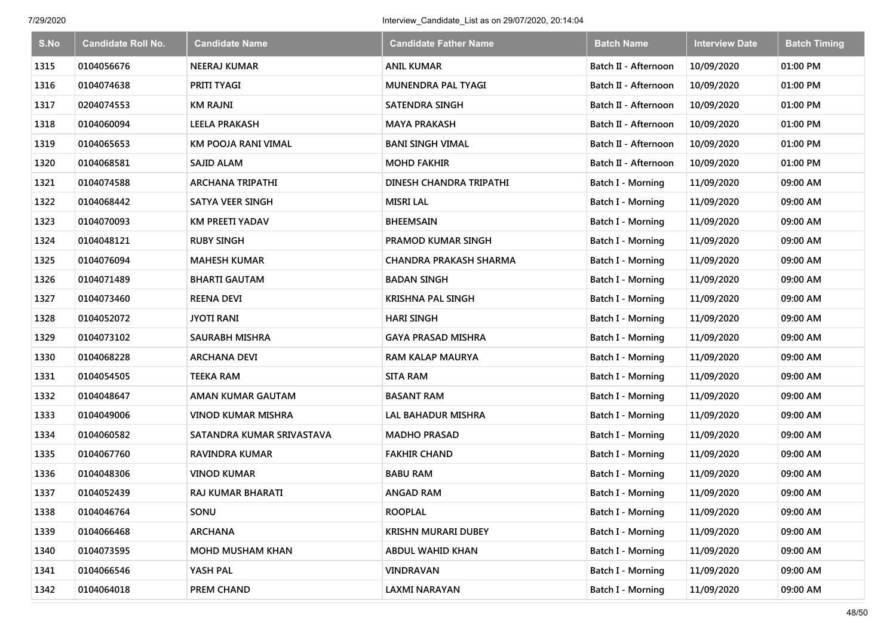| S.No | <b>Candidate Roll No.</b> | <b>Candidate Name</b>      | <b>Candidate Father Name</b>   | <b>Batch Name</b>        | <b>Interview Date</b> | <b>Batch Timing</b> |
|------|---------------------------|----------------------------|--------------------------------|--------------------------|-----------------------|---------------------|
| 1315 | 0104056676                | <b>NEERAJ KUMAR</b>        | <b>ANIL KUMAR</b>              | Batch II - Afternoon     | 10/09/2020            | 01:00 PM            |
| 1316 | 0104074638                | <b>PRITI TYAGI</b>         | MUNENDRA PAL TYAGI             | Batch II - Afternoon     | 10/09/2020            | 01:00 PM            |
| 1317 | 0204074553                | <b>KM RAJNI</b>            | SATENDRA SINGH                 | Batch II - Afternoon     | 10/09/2020            | 01:00 PM            |
| 1318 | 0104060094                | <b>LEELA PRAKASH</b>       | <b>MAYA PRAKASH</b>            | Batch II - Afternoon     | 10/09/2020            | 01:00 PM            |
| 1319 | 0104065653                | <b>KM POOJA RANI VIMAL</b> | <b>BANI SINGH VIMAL</b>        | Batch II - Afternoon     | 10/09/2020            | 01:00 PM            |
| 1320 | 0104068581                | SAJID ALAM                 | <b>MOHD FAKHIR</b>             | Batch II - Afternoon     | 10/09/2020            | 01:00 PM            |
| 1321 | 0104074588                | <b>ARCHANA TRIPATHI</b>    | <b>DINESH CHANDRA TRIPATHI</b> | Batch I - Morning        | 11/09/2020            | 09:00 AM            |
| 1322 | 0104068442                | <b>SATYA VEER SINGH</b>    | <b>MISRI LAL</b>               | Batch I - Morning        | 11/09/2020            | 09:00 AM            |
| 1323 | 0104070093                | <b>KM PREETI YADAV</b>     | <b>BHEEMSAIN</b>               | Batch I - Morning        | 11/09/2020            | 09:00 AM            |
| 1324 | 0104048121                | <b>RUBY SINGH</b>          | PRAMOD KUMAR SINGH             | Batch I - Morning        | 11/09/2020            | 09:00 AM            |
| 1325 | 0104076094                | <b>MAHESH KUMAR</b>        | <b>CHANDRA PRAKASH SHARMA</b>  | <b>Batch I - Morning</b> | 11/09/2020            | 09:00 AM            |
| 1326 | 0104071489                | <b>BHARTI GAUTAM</b>       | <b>BADAN SINGH</b>             | Batch I - Morning        | 11/09/2020            | 09:00 AM            |
| 1327 | 0104073460                | <b>REENA DEVI</b>          | <b>KRISHNA PAL SINGH</b>       | Batch I - Morning        | 11/09/2020            | 09:00 AM            |
| 1328 | 0104052072                | JYOTI RANI                 | <b>HARI SINGH</b>              | <b>Batch I - Morning</b> | 11/09/2020            | 09:00 AM            |
| 1329 | 0104073102                | <b>SAURABH MISHRA</b>      | <b>GAYA PRASAD MISHRA</b>      | <b>Batch I - Morning</b> | 11/09/2020            | 09:00 AM            |
| 1330 | 0104068228                | <b>ARCHANA DEVI</b>        | <b>RAM KALAP MAURYA</b>        | <b>Batch I - Morning</b> | 11/09/2020            | 09:00 AM            |
| 1331 | 0104054505                | <b>TEEKA RAM</b>           | <b>SITA RAM</b>                | <b>Batch I - Morning</b> | 11/09/2020            | 09:00 AM            |
| 1332 | 0104048647                | AMAN KUMAR GAUTAM          | <b>BASANT RAM</b>              | Batch I - Morning        | 11/09/2020            | 09:00 AM            |
| 1333 | 0104049006                | <b>VINOD KUMAR MISHRA</b>  | LAL BAHADUR MISHRA             | Batch I - Morning        | 11/09/2020            | 09:00 AM            |
| 1334 | 0104060582                | SATANDRA KUMAR SRIVASTAVA  | <b>MADHO PRASAD</b>            | Batch I - Morning        | 11/09/2020            | 09:00 AM            |
| 1335 | 0104067760                | <b>RAVINDRA KUMAR</b>      | <b>FAKHIR CHAND</b>            | Batch I - Morning        | 11/09/2020            | 09:00 AM            |
| 1336 | 0104048306                | <b>VINOD KUMAR</b>         | <b>BABU RAM</b>                | Batch I - Morning        | 11/09/2020            | 09:00 AM            |
| 1337 | 0104052439                | RAJ KUMAR BHARATI          | <b>ANGAD RAM</b>               | Batch I - Morning        | 11/09/2020            | 09:00 AM            |
| 1338 | 0104046764                | SONU                       | <b>ROOPLAL</b>                 | Batch I - Morning        | 11/09/2020            | 09:00 AM            |
| 1339 | 0104066468                | <b>ARCHANA</b>             | <b>KRISHN MURARI DUBEY</b>     | Batch I - Morning        | 11/09/2020            | 09:00 AM            |
| 1340 | 0104073595                | <b>MOHD MUSHAM KHAN</b>    | <b>ABDUL WAHID KHAN</b>        | Batch I - Morning        | 11/09/2020            | 09:00 AM            |
| 1341 | 0104066546                | YASH PAL                   | VINDRAVAN                      | Batch I - Morning        | 11/09/2020            | 09:00 AM            |
| 1342 | 0104064018                | PREM CHAND                 | <b>LAXMI NARAYAN</b>           | Batch I - Morning        | 11/09/2020            | 09:00 AM            |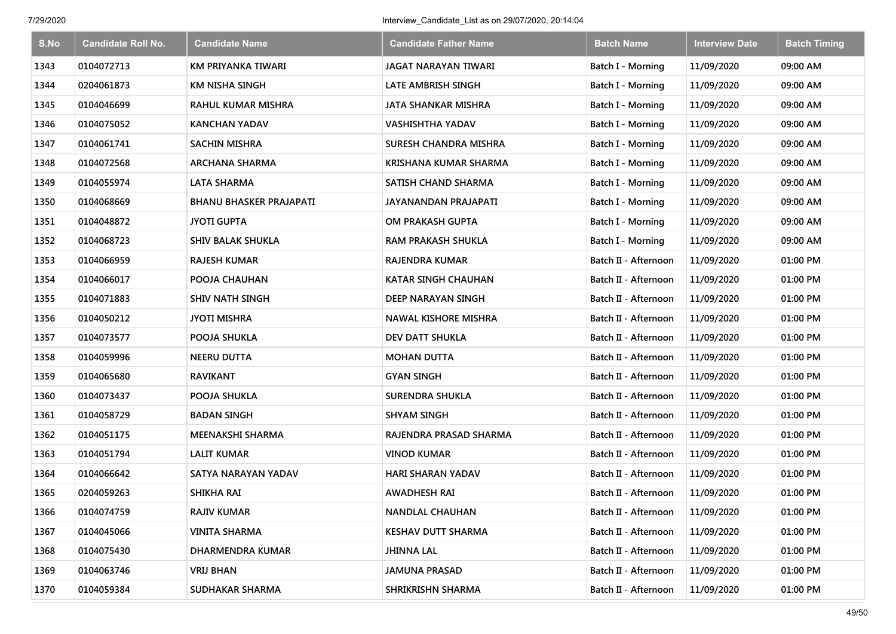| S.No | <b>Candidate Roll No.</b> | <b>Candidate Name</b>          | <b>Candidate Father Name</b> | <b>Batch Name</b>        | <b>Interview Date</b> | <b>Batch Timing</b> |
|------|---------------------------|--------------------------------|------------------------------|--------------------------|-----------------------|---------------------|
| 1343 | 0104072713                | KM PRIYANKA TIWARI             | <b>JAGAT NARAYAN TIWARI</b>  | Batch I - Morning        | 11/09/2020            | 09:00 AM            |
| 1344 | 0204061873                | <b>KM NISHA SINGH</b>          | LATE AMBRISH SINGH           | Batch I - Morning        | 11/09/2020            | 09:00 AM            |
| 1345 | 0104046699                | <b>RAHUL KUMAR MISHRA</b>      | <b>JATA SHANKAR MISHRA</b>   | Batch I - Morning        | 11/09/2020            | 09:00 AM            |
| 1346 | 0104075052                | <b>KANCHAN YADAV</b>           | <b>VASHISHTHA YADAV</b>      | Batch I - Morning        | 11/09/2020            | 09:00 AM            |
| 1347 | 0104061741                | <b>SACHIN MISHRA</b>           | SURESH CHANDRA MISHRA        | Batch I - Morning        | 11/09/2020            | 09:00 AM            |
| 1348 | 0104072568                | <b>ARCHANA SHARMA</b>          | <b>KRISHANA KUMAR SHARMA</b> | Batch I - Morning        | 11/09/2020            | 09:00 AM            |
| 1349 | 0104055974                | <b>LATA SHARMA</b>             | SATISH CHAND SHARMA          | Batch I - Morning        | 11/09/2020            | 09:00 AM            |
| 1350 | 0104068669                | <b>BHANU BHASKER PRAJAPATI</b> | JAYANANDAN PRAJAPATI         | Batch I - Morning        | 11/09/2020            | 09:00 AM            |
| 1351 | 0104048872                | <b>JYOTI GUPTA</b>             | OM PRAKASH GUPTA             | Batch I - Morning        | 11/09/2020            | 09:00 AM            |
| 1352 | 0104068723                | <b>SHIV BALAK SHUKLA</b>       | RAM PRAKASH SHUKLA           | <b>Batch I - Morning</b> | 11/09/2020            | 09:00 AM            |
| 1353 | 0104066959                | <b>RAJESH KUMAR</b>            | RAJENDRA KUMAR               | Batch II - Afternoon     | 11/09/2020            | 01:00 PM            |
| 1354 | 0104066017                | POOJA CHAUHAN                  | <b>KATAR SINGH CHAUHAN</b>   | Batch II - Afternoon     | 11/09/2020            | 01:00 PM            |
| 1355 | 0104071883                | <b>SHIV NATH SINGH</b>         | DEEP NARAYAN SINGH           | Batch II - Afternoon     | 11/09/2020            | 01:00 PM            |
| 1356 | 0104050212                | <b>JYOTI MISHRA</b>            | <b>NAWAL KISHORE MISHRA</b>  | Batch II - Afternoon     | 11/09/2020            | 01:00 PM            |
| 1357 | 0104073577                | POOJA SHUKLA                   | DEV DATT SHUKLA              | Batch II - Afternoon     | 11/09/2020            | 01:00 PM            |
| 1358 | 0104059996                | <b>NEERU DUTTA</b>             | <b>MOHAN DUTTA</b>           | Batch II - Afternoon     | 11/09/2020            | 01:00 PM            |
| 1359 | 0104065680                | <b>RAVIKANT</b>                | <b>GYAN SINGH</b>            | Batch II - Afternoon     | 11/09/2020            | 01:00 PM            |
| 1360 | 0104073437                | POOJA SHUKLA                   | <b>SURENDRA SHUKLA</b>       | Batch II - Afternoon     | 11/09/2020            | 01:00 PM            |
| 1361 | 0104058729                | <b>BADAN SINGH</b>             | <b>SHYAM SINGH</b>           | Batch II - Afternoon     | 11/09/2020            | 01:00 PM            |
| 1362 | 0104051175                | <b>MEENAKSHI SHARMA</b>        | RAJENDRA PRASAD SHARMA       | Batch II - Afternoon     | 11/09/2020            | 01:00 PM            |
| 1363 | 0104051794                | <b>LALIT KUMAR</b>             | <b>VINOD KUMAR</b>           | Batch II - Afternoon     | 11/09/2020            | 01:00 PM            |
| 1364 | 0104066642                | SATYA NARAYAN YADAV            | <b>HARI SHARAN YADAV</b>     | Batch II - Afternoon     | 11/09/2020            | 01:00 PM            |
| 1365 | 0204059263                | <b>SHIKHA RAI</b>              | <b>AWADHESH RAI</b>          | Batch II - Afternoon     | 11/09/2020            | 01:00 PM            |
| 1366 | 0104074759                | <b>RAJIV KUMAR</b>             | NANDLAL CHAUHAN              | Batch II - Afternoon     | 11/09/2020            | 01:00 PM            |
| 1367 | 0104045066                | <b>VINITA SHARMA</b>           | <b>KESHAV DUTT SHARMA</b>    | Batch II - Afternoon     | 11/09/2020            | 01:00 PM            |
| 1368 | 0104075430                | DHARMENDRA KUMAR               | <b>JHINNA LAL</b>            | Batch II - Afternoon     | 11/09/2020            | 01:00 PM            |
| 1369 | 0104063746                | <b>VRIJ BHAN</b>               | <b>JAMUNA PRASAD</b>         | Batch II - Afternoon     | 11/09/2020            | 01:00 PM            |
| 1370 | 0104059384                | SUDHAKAR SHARMA                | SHRIKRISHN SHARMA            | Batch II - Afternoon     | 11/09/2020            | 01:00 PM            |